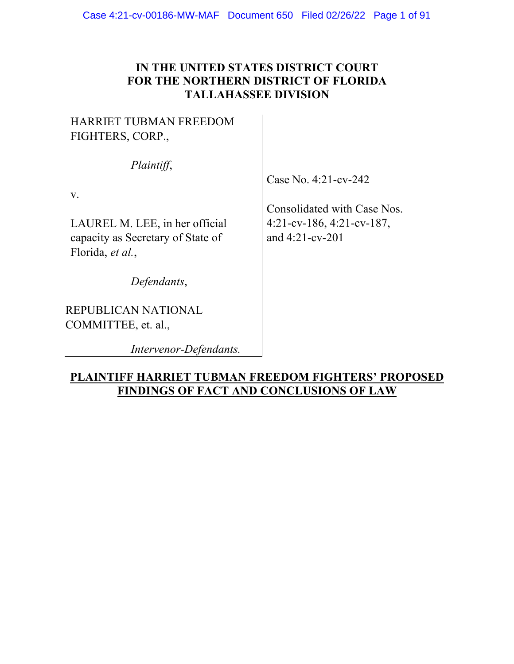# **IN THE UNITED STATES DISTRICT COURT FOR THE NORTHERN DISTRICT OF FLORIDA TALLAHASSEE DIVISION**

# HARRIET TUBMAN FREEDOM FIGHTERS, CORP.,

*Plaintiff*,

v.

LAUREL M. LEE, in her official capacity as Secretary of State of Florida, *et al.*,

*Defendants*,

REPUBLICAN NATIONAL COMMITTEE, et. al.,

*Intervenor-Defendants.*

# Case No. 4:21-cv-242

Consolidated with Case Nos. 4:21-cv-186, 4:21-cv-187, and 4:21-cv-201

# **PLAINTIFF HARRIET TUBMAN FREEDOM FIGHTERS' PROPOSED FINDINGS OF FACT AND CONCLUSIONS OF LAW**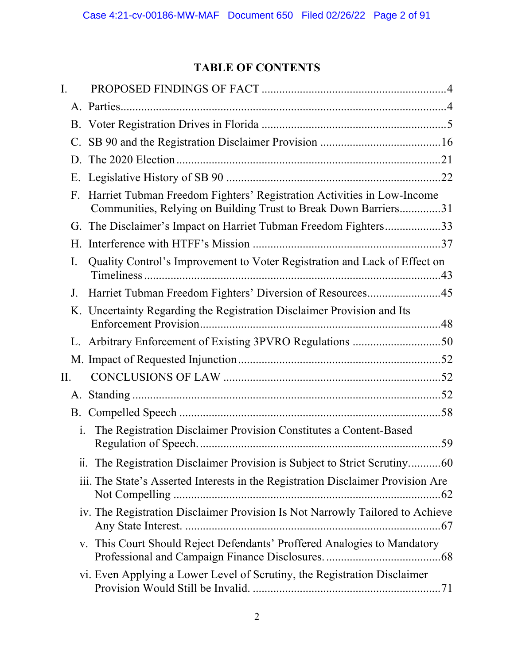# **TABLE OF CONTENTS**

| I.             |                                                                                                                                           |
|----------------|-------------------------------------------------------------------------------------------------------------------------------------------|
|                |                                                                                                                                           |
|                |                                                                                                                                           |
|                |                                                                                                                                           |
| D.             |                                                                                                                                           |
|                |                                                                                                                                           |
| F.             | Harriet Tubman Freedom Fighters' Registration Activities in Low-Income<br>Communities, Relying on Building Trust to Break Down Barriers31 |
| G.             | The Disclaimer's Impact on Harriet Tubman Freedom Fighters33                                                                              |
| H.             |                                                                                                                                           |
| I.             | Quality Control's Improvement to Voter Registration and Lack of Effect on                                                                 |
| J.             | Harriet Tubman Freedom Fighters' Diversion of Resources45                                                                                 |
|                | K. Uncertainty Regarding the Registration Disclaimer Provision and Its                                                                    |
|                | L. Arbitrary Enforcement of Existing 3PVRO Regulations 50                                                                                 |
|                |                                                                                                                                           |
| Π.             |                                                                                                                                           |
| А.             |                                                                                                                                           |
| B.             |                                                                                                                                           |
| $\mathbf{i}$ . | The Registration Disclaimer Provision Constitutes a Content-Based                                                                         |
|                | ii. The Registration Disclaimer Provision is Subject to Strict Scrutiny60                                                                 |
|                | iii. The State's Asserted Interests in the Registration Disclaimer Provision Are                                                          |
|                | iv. The Registration Disclaimer Provision Is Not Narrowly Tailored to Achieve                                                             |
|                | v. This Court Should Reject Defendants' Proffered Analogies to Mandatory                                                                  |
|                | vi. Even Applying a Lower Level of Scrutiny, the Registration Disclaimer                                                                  |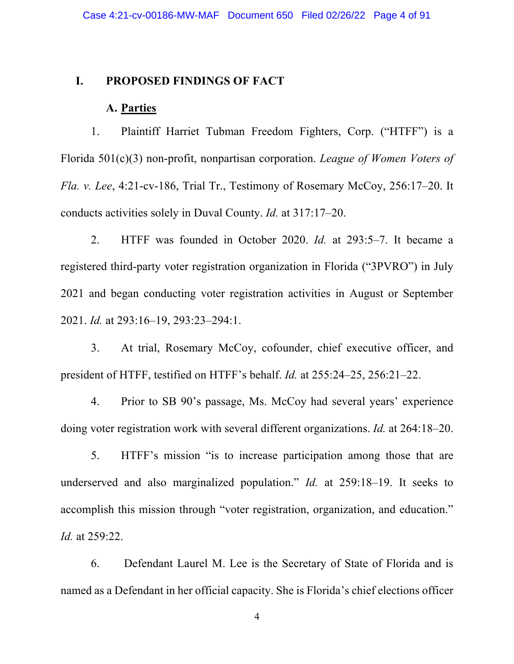### **I. PROPOSED FINDINGS OF FACT**

# **A. Parties**

1. Plaintiff Harriet Tubman Freedom Fighters, Corp. ("HTFF") is a Florida 501(c)(3) non-profit, nonpartisan corporation. *League of Women Voters of Fla. v. Lee*, 4:21-cv-186, Trial Tr., Testimony of Rosemary McCoy, 256:17–20. It conducts activities solely in Duval County. *Id.* at 317:17–20.

2. HTFF was founded in October 2020. *Id.* at 293:5–7. It became a registered third-party voter registration organization in Florida ("3PVRO") in July 2021 and began conducting voter registration activities in August or September 2021. *Id.* at 293:16–19, 293:23–294:1.

3. At trial, Rosemary McCoy, cofounder, chief executive officer, and president of HTFF, testified on HTFF's behalf. *Id.* at 255:24–25, 256:21–22.

4. Prior to SB 90's passage, Ms. McCoy had several years' experience doing voter registration work with several different organizations. *Id.* at 264:18–20.

5. HTFF's mission "is to increase participation among those that are underserved and also marginalized population." *Id.* at 259:18–19. It seeks to accomplish this mission through "voter registration, organization, and education." *Id.* at 259:22.

6. Defendant Laurel M. Lee is the Secretary of State of Florida and is named as a Defendant in her official capacity. She is Florida's chief elections officer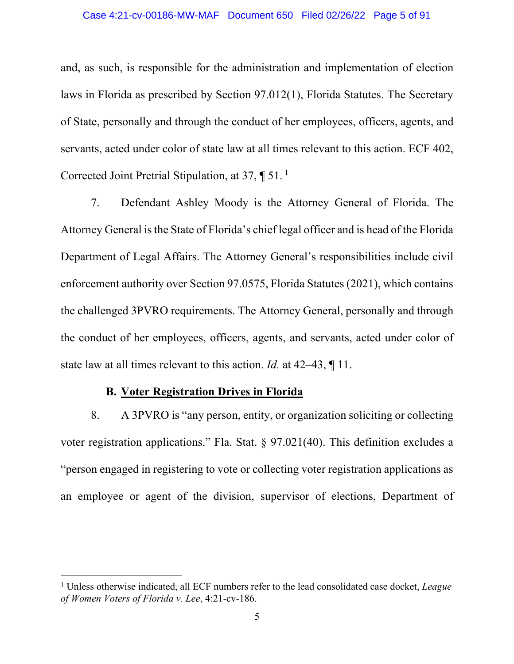and, as such, is responsible for the administration and implementation of election laws in Florida as prescribed by Section 97.012(1), Florida Statutes. The Secretary of State, personally and through the conduct of her employees, officers, agents, and servants, acted under color of state law at all times relevant to this action. ECF 402, Corrected Joint Pretrial Stipulation, at 37, ¶ 51. <sup>1</sup>

7. Defendant Ashley Moody is the Attorney General of Florida. The Attorney General is the State of Florida's chief legal officer and is head of the Florida Department of Legal Affairs. The Attorney General's responsibilities include civil enforcement authority over Section 97.0575, Florida Statutes (2021), which contains the challenged 3PVRO requirements. The Attorney General, personally and through the conduct of her employees, officers, agents, and servants, acted under color of state law at all times relevant to this action. *Id.* at 42–43, ¶ 11.

# **B. Voter Registration Drives in Florida**

8. A 3PVRO is "any person, entity, or organization soliciting or collecting voter registration applications." Fla. Stat. § 97.021(40). This definition excludes a "person engaged in registering to vote or collecting voter registration applications as an employee or agent of the division, supervisor of elections, Department of

<sup>1</sup> Unless otherwise indicated, all ECF numbers refer to the lead consolidated case docket, *League of Women Voters of Florida v. Lee*, 4:21-cv-186.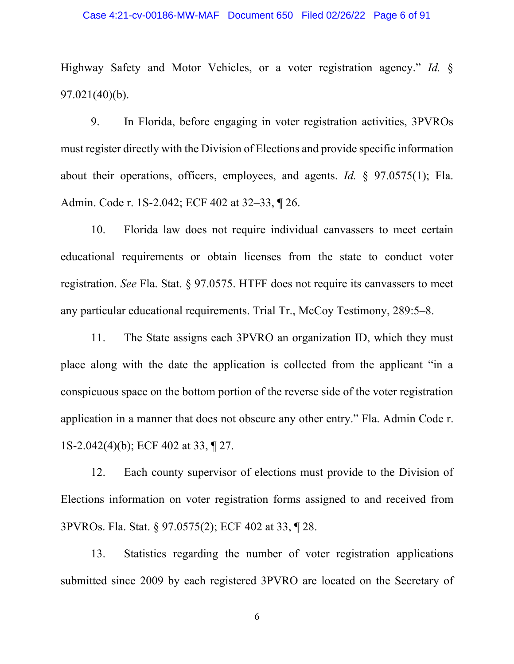#### Case 4:21-cv-00186-MW-MAF Document 650 Filed 02/26/22 Page 6 of 91

Highway Safety and Motor Vehicles, or a voter registration agency." *Id.* § 97.021(40)(b).

9. In Florida, before engaging in voter registration activities, 3PVROs must register directly with the Division of Elections and provide specific information about their operations, officers, employees, and agents. *Id.* § 97.0575(1); Fla. Admin. Code r. 1S-2.042; ECF 402 at 32–33, ¶ 26.

10. Florida law does not require individual canvassers to meet certain educational requirements or obtain licenses from the state to conduct voter registration. *See* Fla. Stat. § 97.0575. HTFF does not require its canvassers to meet any particular educational requirements. Trial Tr., McCoy Testimony, 289:5–8.

11. The State assigns each 3PVRO an organization ID, which they must place along with the date the application is collected from the applicant "in a conspicuous space on the bottom portion of the reverse side of the voter registration application in a manner that does not obscure any other entry." Fla. Admin Code r. 1S-2.042(4)(b); ECF 402 at 33, ¶ 27.

12. Each county supervisor of elections must provide to the Division of Elections information on voter registration forms assigned to and received from 3PVROs. Fla. Stat. § 97.0575(2); ECF 402 at 33, ¶ 28.

13. Statistics regarding the number of voter registration applications submitted since 2009 by each registered 3PVRO are located on the Secretary of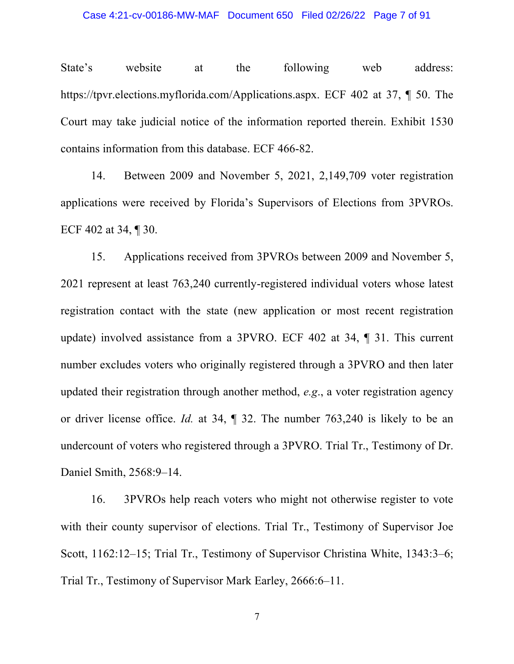State's website at the following web address: https://tpvr.elections.myflorida.com/Applications.aspx. ECF 402 at 37, ¶ 50. The Court may take judicial notice of the information reported therein. Exhibit 1530 contains information from this database. ECF 466-82.

14. Between 2009 and November 5, 2021, 2,149,709 voter registration applications were received by Florida's Supervisors of Elections from 3PVROs. ECF 402 at 34, ¶ 30.

15. Applications received from 3PVROs between 2009 and November 5, 2021 represent at least 763,240 currently-registered individual voters whose latest registration contact with the state (new application or most recent registration update) involved assistance from a 3PVRO. ECF 402 at 34, ¶ 31. This current number excludes voters who originally registered through a 3PVRO and then later updated their registration through another method, *e.g*., a voter registration agency or driver license office. *Id.* at 34, ¶ 32. The number 763,240 is likely to be an undercount of voters who registered through a 3PVRO. Trial Tr., Testimony of Dr. Daniel Smith, 2568:9–14.

16. 3PVROs help reach voters who might not otherwise register to vote with their county supervisor of elections. Trial Tr., Testimony of Supervisor Joe Scott, 1162:12–15; Trial Tr., Testimony of Supervisor Christina White, 1343:3–6; Trial Tr., Testimony of Supervisor Mark Earley, 2666:6–11.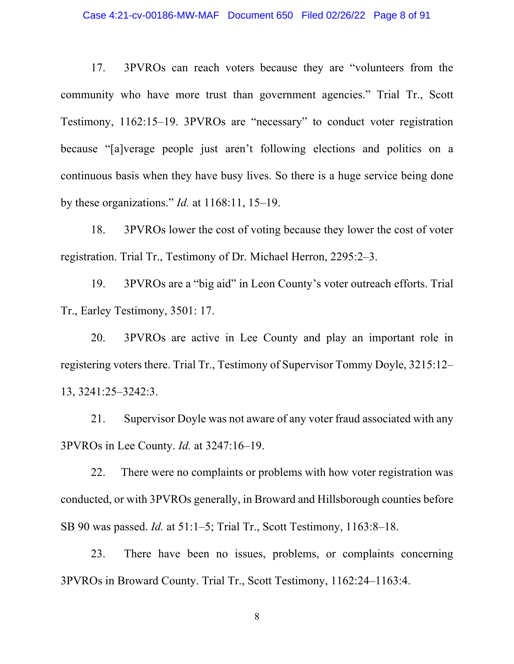#### Case 4:21-cv-00186-MW-MAF Document 650 Filed 02/26/22 Page 8 of 91

17. 3PVROs can reach voters because they are "volunteers from the community who have more trust than government agencies." Trial Tr., Scott Testimony, 1162:15–19. 3PVROs are "necessary" to conduct voter registration because "[a]verage people just aren't following elections and politics on a continuous basis when they have busy lives. So there is a huge service being done by these organizations." *Id.* at 1168:11, 15–19.

18. 3PVROs lower the cost of voting because they lower the cost of voter registration. Trial Tr., Testimony of Dr. Michael Herron, 2295:2–3.

19. 3PVROs are a "big aid" in Leon County's voter outreach efforts. Trial Tr., Earley Testimony, 3501: 17.

20. 3PVROs are active in Lee County and play an important role in registering voters there. Trial Tr., Testimony of Supervisor Tommy Doyle, 3215:12– 13, 3241:25–3242:3.

21. Supervisor Doyle was not aware of any voter fraud associated with any 3PVROs in Lee County. *Id.* at 3247:16–19.

22. There were no complaints or problems with how voter registration was conducted, or with 3PVROs generally, in Broward and Hillsborough counties before SB 90 was passed. *Id.* at 51:1–5; Trial Tr., Scott Testimony, 1163:8–18.

23. There have been no issues, problems, or complaints concerning 3PVROs in Broward County. Trial Tr., Scott Testimony, 1162:24–1163:4.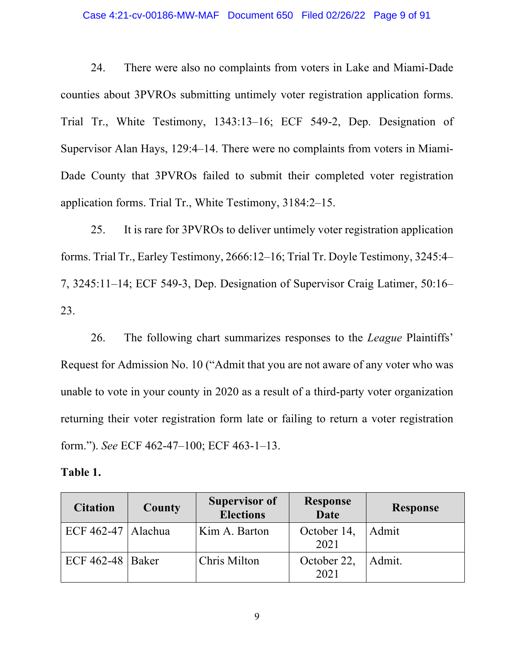#### Case 4:21-cv-00186-MW-MAF Document 650 Filed 02/26/22 Page 9 of 91

24. There were also no complaints from voters in Lake and Miami-Dade counties about 3PVROs submitting untimely voter registration application forms. Trial Tr., White Testimony, 1343:13–16; ECF 549-2, Dep. Designation of Supervisor Alan Hays, 129:4–14. There were no complaints from voters in Miami-Dade County that 3PVROs failed to submit their completed voter registration application forms. Trial Tr., White Testimony, 3184:2–15.

25. It is rare for 3PVROs to deliver untimely voter registration application forms. Trial Tr., Earley Testimony, 2666:12–16; Trial Tr. Doyle Testimony, 3245:4– 7, 3245:11–14; ECF 549-3, Dep. Designation of Supervisor Craig Latimer, 50:16– 23.

26. The following chart summarizes responses to the *League* Plaintiffs' Request for Admission No. 10 ("Admit that you are not aware of any voter who was unable to vote in your county in 2020 as a result of a third-party voter organization returning their voter registration form late or failing to return a voter registration form."). *See* ECF 462-47–100; ECF 463-1–13.

#### **Table 1.**

| <b>Citation</b>      | County | <b>Supervisor of</b><br><b>Elections</b> | <b>Response</b><br><b>Date</b> | <b>Response</b> |
|----------------------|--------|------------------------------------------|--------------------------------|-----------------|
| ECF 462-47   Alachua |        | Kim A. Barton                            | October 14,<br>2021            | Admit           |
| ECF $462-48$ Baker   |        | Chris Milton                             | October 22,<br>2021            | Admit.          |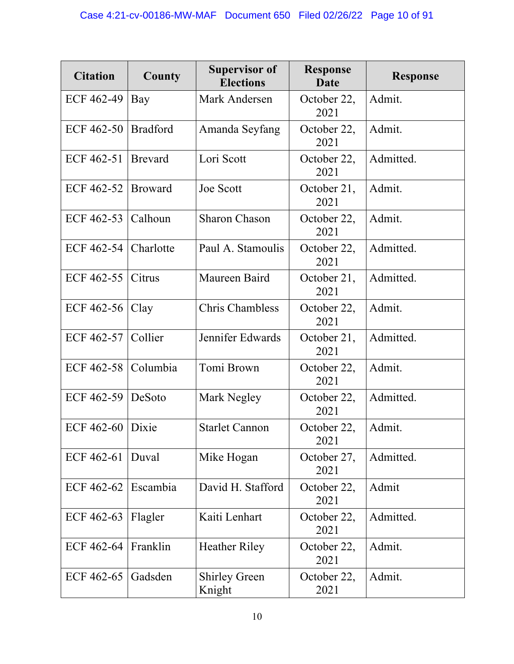| <b>Citation</b>    | County          | <b>Supervisor of</b><br><b>Elections</b> | <b>Response</b><br>Date | <b>Response</b> |
|--------------------|-----------------|------------------------------------------|-------------------------|-----------------|
| ECF 462-49         | Bay             | Mark Andersen                            | October 22,<br>2021     | Admit.          |
| ECF 462-50         | <b>Bradford</b> | Amanda Seyfang                           | October 22,<br>2021     | Admit.          |
| ECF 462-51         | <b>Brevard</b>  | Lori Scott                               | October 22,<br>2021     | Admitted.       |
| ECF 462-52         | <b>Broward</b>  | Joe Scott                                | October 21,<br>2021     | Admit.          |
| ECF 462-53         | Calhoun         | <b>Sharon Chason</b>                     | October 22,<br>2021     | Admit.          |
| ECF 462-54         | Charlotte       | Paul A. Stamoulis                        | October 22,<br>2021     | Admitted.       |
| ECF 462-55         | Citrus          | Maureen Baird                            | October 21,<br>2021     | Admitted.       |
| ECF 462-56         | Clay            | Chris Chambless                          | October 22,<br>2021     | Admit.          |
| ECF 462-57         | Collier         | Jennifer Edwards                         | October 21,<br>2021     | Admitted.       |
| ECF 462-58         | Columbia        | Tomi Brown                               | October 22,<br>2021     | Admit.          |
| ECF 462-59         | DeSoto          | Mark Negley                              | October 22,<br>2021     | Admitted.       |
| ECF $462-60$ Dixie |                 | <b>Starlet Cannon</b>                    | October 22,<br>2021     | Admit.          |
| ECF 462-61         | Duval           | Mike Hogan                               | October 27,<br>2021     | Admitted.       |
| ECF 462-62         | Escambia        | David H. Stafford                        | October 22,<br>2021     | Admit           |
| ECF 462-63         | Flagler         | Kaiti Lenhart                            | October 22,<br>2021     | Admitted.       |
| ECF 462-64         | Franklin        | <b>Heather Riley</b>                     | October 22,<br>2021     | Admit.          |
| ECF 462-65         | Gadsden         | <b>Shirley Green</b><br>Knight           | October 22,<br>2021     | Admit.          |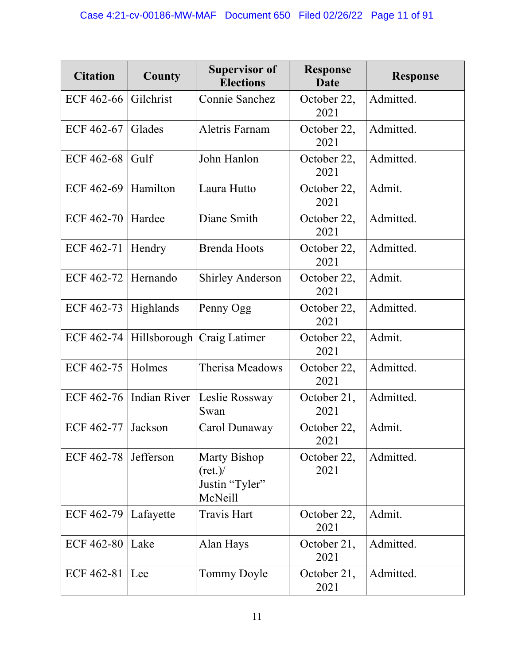| <b>Citation</b>        | <b>County</b>       | <b>Supervisor of</b><br><b>Elections</b>                              | <b>Response</b><br>Date | <b>Response</b> |
|------------------------|---------------------|-----------------------------------------------------------------------|-------------------------|-----------------|
| ECF 462-66             | Gilchrist           | Connie Sanchez                                                        | October 22,<br>2021     | Admitted.       |
| ECF 462-67             | Glades              | <b>Aletris Farnam</b>                                                 | October 22,<br>2021     | Admitted.       |
| ECF 462-68             | Gulf                | John Hanlon                                                           | October 22,<br>2021     | Admitted.       |
| ECF 462-69             | Hamilton            | Laura Hutto                                                           | October 22,<br>2021     | Admit.          |
| ECF 462-70             | Hardee              | Diane Smith                                                           | October 22,<br>2021     | Admitted.       |
| ECF 462-71             | Hendry              | <b>Brenda Hoots</b>                                                   | October 22,<br>2021     | Admitted.       |
| ECF 462-72             | Hernando            | <b>Shirley Anderson</b>                                               | October 22,<br>2021     | Admit.          |
| ECF 462-73             | Highlands           | Penny Ogg                                                             | October 22,<br>2021     | Admitted.       |
| ECF 462-74             | Hillsborough        | Craig Latimer                                                         | October 22,<br>2021     | Admit.          |
| ECF 462-75             | Holmes              | Therisa Meadows                                                       | October 22,<br>2021     | Admitted.       |
| ECF 462-76             | <b>Indian River</b> | Leslie Rossway<br>Swan                                                | October 21,<br>2021     | Admitted.       |
| ECF 462-77             | Jackson             | Carol Dunaway                                                         | October 22,<br>2021     | Admit.          |
| ECF $462-78$ Jefferson |                     | <b>Marty Bishop</b><br>$(\text{ret.})$ /<br>Justin "Tyler"<br>McNeill | October 22,<br>2021     | Admitted.       |
| ECF 462-79             | Lafayette           | <b>Travis Hart</b>                                                    | October 22,<br>2021     | Admit.          |
| <b>ECF 462-80</b>      | Lake                | Alan Hays                                                             | October 21,<br>2021     | Admitted.       |
| ECF 462-81             | Lee                 | Tommy Doyle                                                           | October 21,<br>2021     | Admitted.       |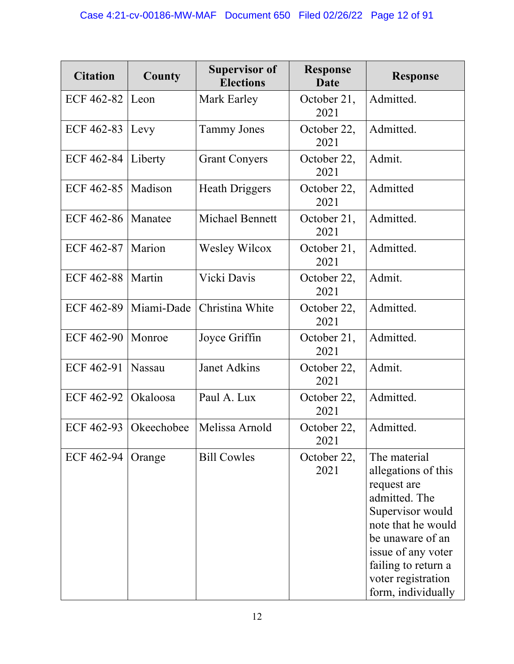| <b>Citation</b>   | <b>County</b> | <b>Supervisor of</b><br><b>Elections</b> | <b>Response</b><br>Date | <b>Response</b>                                                                                                                                                                                                            |
|-------------------|---------------|------------------------------------------|-------------------------|----------------------------------------------------------------------------------------------------------------------------------------------------------------------------------------------------------------------------|
| ECF 462-82        | Leon          | Mark Earley                              | October 21,<br>2021     | Admitted.                                                                                                                                                                                                                  |
| ECF 462-83        | Levy          | <b>Tammy Jones</b>                       | October 22,<br>2021     | Admitted.                                                                                                                                                                                                                  |
| ECF 462-84        | Liberty       | <b>Grant Conyers</b>                     | October 22,<br>2021     | Admit.                                                                                                                                                                                                                     |
| ECF 462-85        | Madison       | <b>Heath Driggers</b>                    | October 22,<br>2021     | Admitted                                                                                                                                                                                                                   |
| ECF 462-86        | Manatee       | <b>Michael Bennett</b>                   | October 21,<br>2021     | Admitted.                                                                                                                                                                                                                  |
| ECF 462-87        | Marion        | Wesley Wilcox                            | October 21,<br>2021     | Admitted.                                                                                                                                                                                                                  |
| <b>ECF 462-88</b> | Martin        | Vicki Davis                              | October 22,<br>2021     | Admit.                                                                                                                                                                                                                     |
| <b>ECF 462-89</b> | Miami-Dade    | Christina White                          | October 22,<br>2021     | Admitted.                                                                                                                                                                                                                  |
| <b>ECF 462-90</b> | Monroe        | Joyce Griffin                            | October 21,<br>2021     | Admitted.                                                                                                                                                                                                                  |
| ECF 462-91        | <b>Nassau</b> | Janet Adkins                             | October 22,<br>2021     | Admit.                                                                                                                                                                                                                     |
| ECF 462-92        | Okaloosa      | Paul A. Lux                              | October 22,<br>2021     | Admitted.                                                                                                                                                                                                                  |
| ECF 462-93        | Okeechobee    | Melissa Arnold                           | October 22,<br>2021     | Admitted.                                                                                                                                                                                                                  |
| ECF 462-94        | Orange        | <b>Bill Cowles</b>                       | October 22,<br>2021     | The material<br>allegations of this<br>request are<br>admitted. The<br>Supervisor would<br>note that he would<br>be unaware of an<br>issue of any voter<br>failing to return a<br>voter registration<br>form, individually |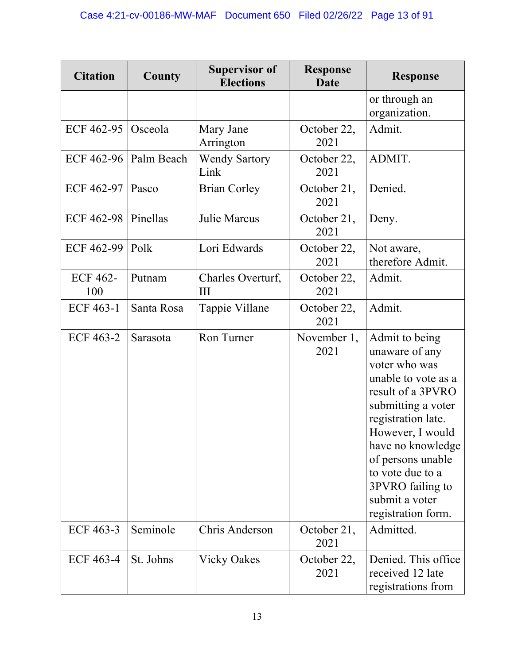| <b>Citation</b>        | <b>County</b> | <b>Supervisor of</b><br><b>Elections</b> | <b>Response</b><br><b>Date</b> | <b>Response</b>                                                                                                                                                                                                                                                                         |
|------------------------|---------------|------------------------------------------|--------------------------------|-----------------------------------------------------------------------------------------------------------------------------------------------------------------------------------------------------------------------------------------------------------------------------------------|
|                        |               |                                          |                                | or through an<br>organization.                                                                                                                                                                                                                                                          |
| ECF 462-95             | Osceola       | Mary Jane<br>Arrington                   | October 22,<br>2021            | Admit.                                                                                                                                                                                                                                                                                  |
| ECF 462-96             | Palm Beach    | <b>Wendy Sartory</b><br>Link             | October 22,<br>2021            | ADMIT.                                                                                                                                                                                                                                                                                  |
| ECF 462-97             | Pasco         | <b>Brian Corley</b>                      | Denied.<br>October 21,<br>2021 |                                                                                                                                                                                                                                                                                         |
| <b>ECF 462-98</b>      | Pinellas      | Julie Marcus                             | October 21,<br>2021            | Deny.                                                                                                                                                                                                                                                                                   |
| <b>ECF 462-99</b>      | Polk          | Lori Edwards                             | October 22,<br>2021            | Not aware,<br>therefore Admit.                                                                                                                                                                                                                                                          |
| <b>ECF 462-</b><br>100 | Putnam        | Charles Overturf,<br>Ш                   | October 22,<br>2021            | Admit.                                                                                                                                                                                                                                                                                  |
| <b>ECF 463-1</b>       | Santa Rosa    | Tappie Villane                           | October 22,<br>2021            | Admit.                                                                                                                                                                                                                                                                                  |
| <b>ECF 463-2</b>       | Sarasota      | Ron Turner                               | November 1,<br>2021            | Admit to being<br>unaware of any<br>voter who was<br>unable to vote as a<br>result of a 3PVRO<br>submitting a voter<br>registration late.<br>However, I would<br>have no knowledge<br>of persons unable<br>to vote due to a<br>3PVRO failing to<br>submit a voter<br>registration form. |
| ECF 463-3              | Seminole      | Chris Anderson                           | October 21,<br>2021            | Admitted.                                                                                                                                                                                                                                                                               |
| <b>ECF 463-4</b>       | St. Johns     | <b>Vicky Oakes</b>                       | October 22,<br>2021            | Denied. This office<br>received 12 late<br>registrations from                                                                                                                                                                                                                           |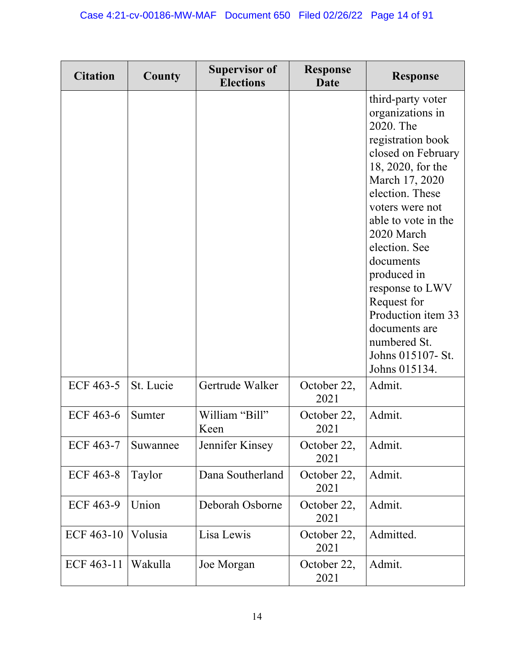| <b>Citation</b>  | County    | <b>Supervisor of</b><br><b>Elections</b> | <b>Response</b><br>Date | <b>Response</b>                                                                                                                                                                                                                                                                                                                                                                             |
|------------------|-----------|------------------------------------------|-------------------------|---------------------------------------------------------------------------------------------------------------------------------------------------------------------------------------------------------------------------------------------------------------------------------------------------------------------------------------------------------------------------------------------|
|                  |           |                                          |                         | third-party voter<br>organizations in<br>2020. The<br>registration book<br>closed on February<br>18, 2020, for the<br>March 17, 2020<br>election. These<br>voters were not<br>able to vote in the<br>2020 March<br>election. See<br>documents<br>produced in<br>response to LWV<br>Request for<br>Production item 33<br>documents are<br>numbered St.<br>Johns 015107- St.<br>Johns 015134. |
| ECF 463-5        | St. Lucie | Gertrude Walker                          | October 22,<br>2021     | Admit.                                                                                                                                                                                                                                                                                                                                                                                      |
| <b>ECF 463-6</b> | Sumter    | William "Bill"<br>Keen                   | October 22,<br>2021     | Admit.                                                                                                                                                                                                                                                                                                                                                                                      |
| <b>ECF 463-7</b> | Suwannee  | Jennifer Kinsey                          | October 22,<br>2021     | Admit.                                                                                                                                                                                                                                                                                                                                                                                      |
| <b>ECF 463-8</b> | Taylor    | Dana Southerland                         | October 22,<br>2021     | Admit.                                                                                                                                                                                                                                                                                                                                                                                      |
| <b>ECF 463-9</b> | Union     | Deborah Osborne                          | October 22,<br>2021     | Admit.                                                                                                                                                                                                                                                                                                                                                                                      |
| ECF 463-10       | Volusia   | Lisa Lewis                               | October 22,<br>2021     | Admitted.                                                                                                                                                                                                                                                                                                                                                                                   |
| ECF 463-11       | Wakulla   | Joe Morgan                               | October 22,<br>2021     | Admit.                                                                                                                                                                                                                                                                                                                                                                                      |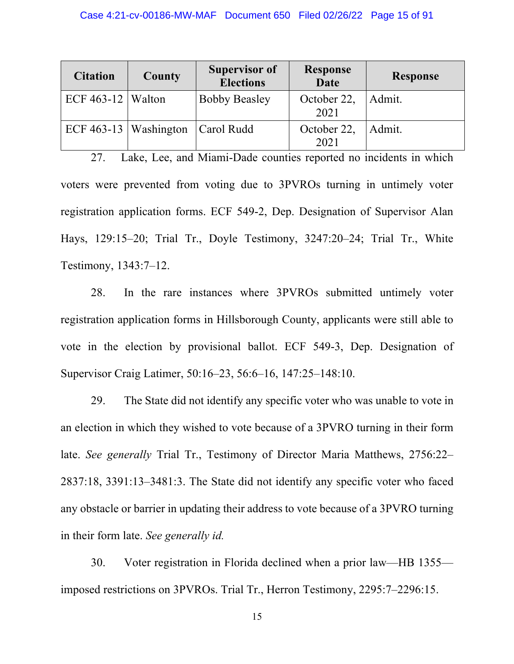| <b>Citation</b>     | County                  | <b>Supervisor of</b><br><b>Elections</b> | <b>Response</b><br><b>Date</b> | <b>Response</b> |
|---------------------|-------------------------|------------------------------------------|--------------------------------|-----------------|
| ECF 463-12   Walton |                         | <b>Bobby Beasley</b>                     | October 22,<br>2021            | Admit.          |
|                     | ECF $463-13$ Washington | Carol Rudd                               | October 22,<br>2021            | Admit.          |

27. Lake, Lee, and Miami-Dade counties reported no incidents in which voters were prevented from voting due to 3PVROs turning in untimely voter registration application forms. ECF 549-2, Dep. Designation of Supervisor Alan Hays, 129:15–20; Trial Tr., Doyle Testimony, 3247:20–24; Trial Tr., White Testimony, 1343:7–12.

28. In the rare instances where 3PVROs submitted untimely voter registration application forms in Hillsborough County, applicants were still able to vote in the election by provisional ballot. ECF 549-3, Dep. Designation of Supervisor Craig Latimer, 50:16–23, 56:6–16, 147:25–148:10.

29. The State did not identify any specific voter who was unable to vote in an election in which they wished to vote because of a 3PVRO turning in their form late. *See generally* Trial Tr., Testimony of Director Maria Matthews, 2756:22– 2837:18, 3391:13–3481:3. The State did not identify any specific voter who faced any obstacle or barrier in updating their address to vote because of a 3PVRO turning in their form late. *See generally id.*

30. Voter registration in Florida declined when a prior law—HB 1355 imposed restrictions on 3PVROs. Trial Tr., Herron Testimony, 2295:7–2296:15.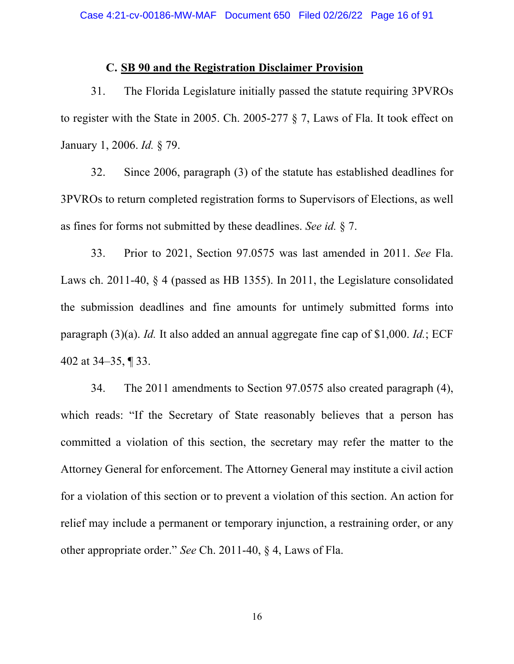### **C. SB 90 and the Registration Disclaimer Provision**

31. The Florida Legislature initially passed the statute requiring 3PVROs to register with the State in 2005. Ch. 2005-277 § 7, Laws of Fla. It took effect on January 1, 2006. *Id.* § 79.

32. Since 2006, paragraph (3) of the statute has established deadlines for 3PVROs to return completed registration forms to Supervisors of Elections, as well as fines for forms not submitted by these deadlines. *See id.* § 7.

33. Prior to 2021, Section 97.0575 was last amended in 2011. *See* Fla. Laws ch. 2011-40, § 4 (passed as HB 1355). In 2011, the Legislature consolidated the submission deadlines and fine amounts for untimely submitted forms into paragraph (3)(a). *Id.* It also added an annual aggregate fine cap of \$1,000. *Id.*; ECF 402 at 34–35, ¶ 33.

34. The 2011 amendments to Section 97.0575 also created paragraph (4), which reads: "If the Secretary of State reasonably believes that a person has committed a violation of this section, the secretary may refer the matter to the Attorney General for enforcement. The Attorney General may institute a civil action for a violation of this section or to prevent a violation of this section. An action for relief may include a permanent or temporary injunction, a restraining order, or any other appropriate order." *See* Ch. 2011-40, § 4, Laws of Fla.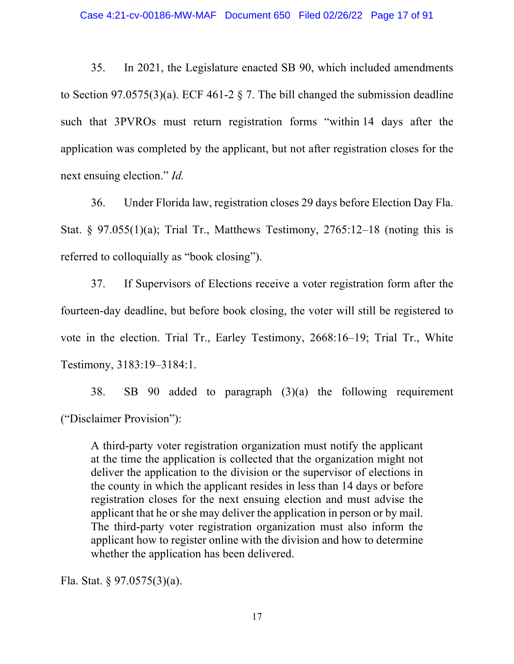35. In 2021, the Legislature enacted SB 90, which included amendments to Section 97.0575(3)(a). ECF 461-2  $\S$  7. The bill changed the submission deadline such that 3PVROs must return registration forms "within 14 days after the application was completed by the applicant, but not after registration closes for the next ensuing election." *Id.*

36. Under Florida law, registration closes 29 days before Election Day Fla. Stat. § 97.055(1)(a); Trial Tr., Matthews Testimony,  $2765:12-18$  (noting this is referred to colloquially as "book closing").

37. If Supervisors of Elections receive a voter registration form after the fourteen-day deadline, but before book closing, the voter will still be registered to vote in the election. Trial Tr., Earley Testimony, 2668:16–19; Trial Tr., White Testimony, 3183:19–3184:1.

38. SB 90 added to paragraph (3)(a) the following requirement ("Disclaimer Provision"):

A third-party voter registration organization must notify the applicant at the time the application is collected that the organization might not deliver the application to the division or the supervisor of elections in the county in which the applicant resides in less than 14 days or before registration closes for the next ensuing election and must advise the applicant that he or she may deliver the application in person or by mail. The third-party voter registration organization must also inform the applicant how to register online with the division and how to determine whether the application has been delivered.

Fla. Stat. § 97.0575(3)(a).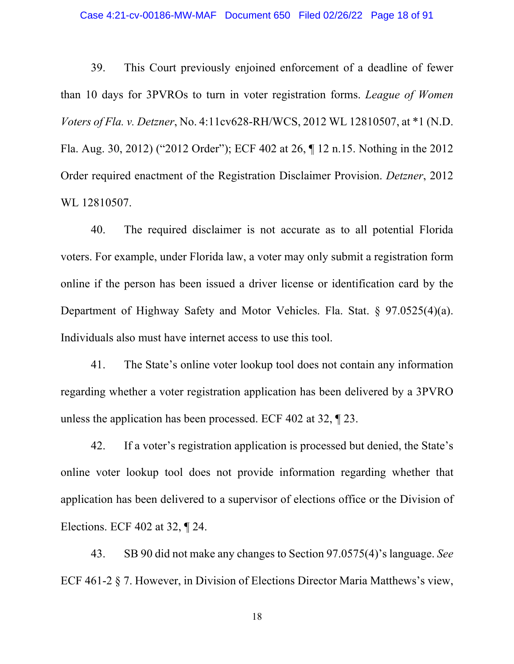#### Case 4:21-cv-00186-MW-MAF Document 650 Filed 02/26/22 Page 18 of 91

39. This Court previously enjoined enforcement of a deadline of fewer than 10 days for 3PVROs to turn in voter registration forms. *League of Women Voters of Fla. v. Detzner*, No. 4:11cv628-RH/WCS, 2012 WL 12810507, at \*1 (N.D. Fla. Aug. 30, 2012) ("2012 Order"); ECF 402 at 26, ¶ 12 n.15. Nothing in the 2012 Order required enactment of the Registration Disclaimer Provision. *Detzner*, 2012 WL 12810507.

40. The required disclaimer is not accurate as to all potential Florida voters. For example, under Florida law, a voter may only submit a registration form online if the person has been issued a driver license or identification card by the Department of Highway Safety and Motor Vehicles. Fla. Stat. § 97.0525(4)(a). Individuals also must have internet access to use this tool.

41. The State's online voter lookup tool does not contain any information regarding whether a voter registration application has been delivered by a 3PVRO unless the application has been processed. ECF 402 at 32, ¶ 23.

42. If a voter's registration application is processed but denied, the State's online voter lookup tool does not provide information regarding whether that application has been delivered to a supervisor of elections office or the Division of Elections. ECF 402 at 32, ¶ 24.

43. SB 90 did not make any changes to Section 97.0575(4)'s language. *See*  ECF 461-2 § 7. However, in Division of Elections Director Maria Matthews's view,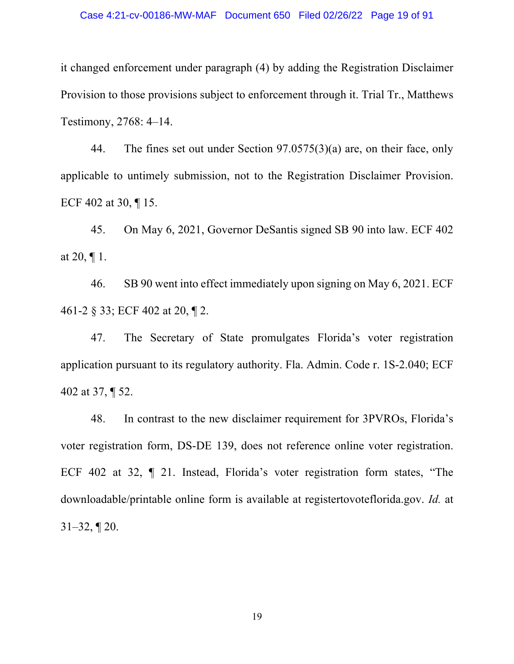it changed enforcement under paragraph (4) by adding the Registration Disclaimer Provision to those provisions subject to enforcement through it. Trial Tr., Matthews Testimony, 2768: 4–14.

44. The fines set out under Section 97.0575(3)(a) are, on their face, only applicable to untimely submission, not to the Registration Disclaimer Provision. ECF 402 at 30, ¶ 15.

45. On May 6, 2021, Governor DeSantis signed SB 90 into law. ECF 402 at 20,  $\P$  1.

46. SB 90 went into effect immediately upon signing on May 6, 2021. ECF 461-2 § 33; ECF 402 at 20, ¶ 2.

47. The Secretary of State promulgates Florida's voter registration application pursuant to its regulatory authority. Fla. Admin. Code r. 1S-2.040; ECF 402 at 37, ¶ 52.

48. In contrast to the new disclaimer requirement for 3PVROs, Florida's voter registration form, DS-DE 139, does not reference online voter registration. ECF 402 at 32, ¶ 21. Instead, Florida's voter registration form states, "The downloadable/printable online form is available at registertovoteflorida.gov. *Id.* at  $31-32, 120.$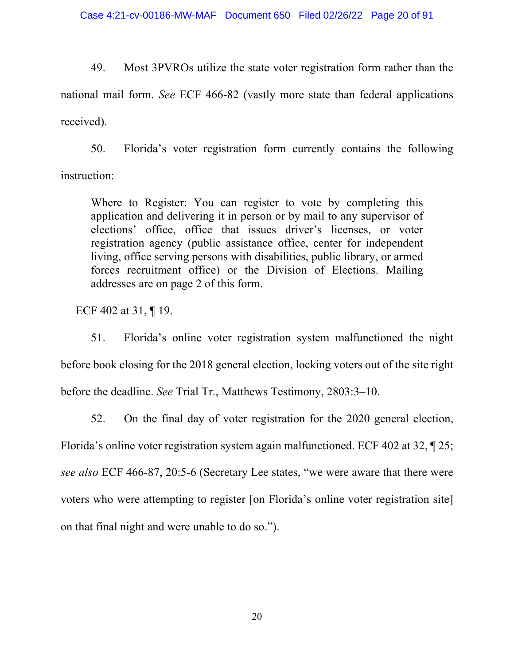49. Most 3PVROs utilize the state voter registration form rather than the national mail form. *See* ECF 466-82 (vastly more state than federal applications received).

50. Florida's voter registration form currently contains the following instruction:

Where to Register: You can register to vote by completing this application and delivering it in person or by mail to any supervisor of elections' office, office that issues driver's licenses, or voter registration agency (public assistance office, center for independent living, office serving persons with disabilities, public library, or armed forces recruitment office) or the Division of Elections. Mailing addresses are on page 2 of this form.

ECF 402 at 31, ¶ 19.

51. Florida's online voter registration system malfunctioned the night before book closing for the 2018 general election, locking voters out of the site right before the deadline. *See* Trial Tr., Matthews Testimony, 2803:3–10.

52. On the final day of voter registration for the 2020 general election, Florida's online voter registration system again malfunctioned. ECF 402 at 32, ¶ 25; *see also* ECF 466-87, 20:5-6 (Secretary Lee states, "we were aware that there were voters who were attempting to register [on Florida's online voter registration site] on that final night and were unable to do so.").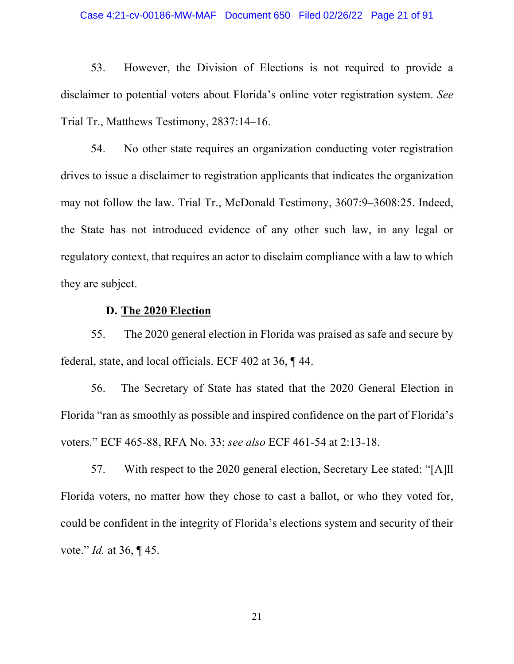53. However, the Division of Elections is not required to provide a disclaimer to potential voters about Florida's online voter registration system. *See*  Trial Tr., Matthews Testimony, 2837:14–16.

54. No other state requires an organization conducting voter registration drives to issue a disclaimer to registration applicants that indicates the organization may not follow the law. Trial Tr., McDonald Testimony, 3607:9–3608:25. Indeed, the State has not introduced evidence of any other such law, in any legal or regulatory context, that requires an actor to disclaim compliance with a law to which they are subject.

# **D. The 2020 Election**

55. The 2020 general election in Florida was praised as safe and secure by federal, state, and local officials. ECF 402 at 36, ¶ 44.

56. The Secretary of State has stated that the 2020 General Election in Florida "ran as smoothly as possible and inspired confidence on the part of Florida's voters." ECF 465-88, RFA No. 33; *see also* ECF 461-54 at 2:13-18.

57. With respect to the 2020 general election, Secretary Lee stated: "[A]ll Florida voters, no matter how they chose to cast a ballot, or who they voted for, could be confident in the integrity of Florida's elections system and security of their vote." *Id.* at 36, ¶ 45.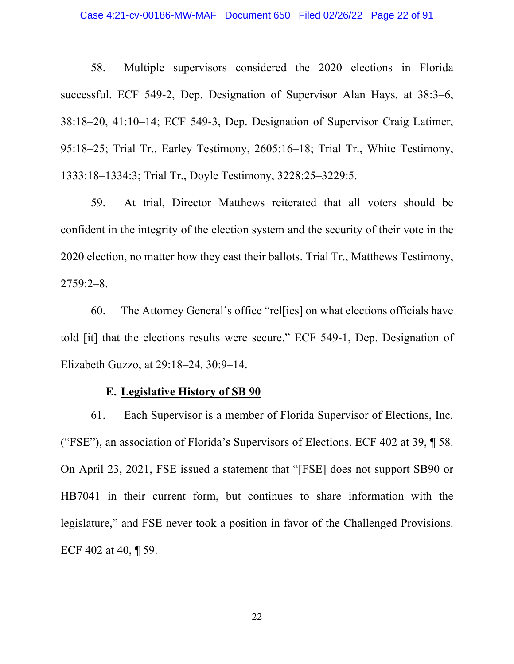#### Case 4:21-cv-00186-MW-MAF Document 650 Filed 02/26/22 Page 22 of 91

58. Multiple supervisors considered the 2020 elections in Florida successful. ECF 549-2, Dep. Designation of Supervisor Alan Hays, at 38:3–6, 38:18–20, 41:10–14; ECF 549-3, Dep. Designation of Supervisor Craig Latimer, 95:18–25; Trial Tr., Earley Testimony, 2605:16–18; Trial Tr., White Testimony, 1333:18–1334:3; Trial Tr., Doyle Testimony, 3228:25–3229:5.

59. At trial, Director Matthews reiterated that all voters should be confident in the integrity of the election system and the security of their vote in the 2020 election, no matter how they cast their ballots. Trial Tr., Matthews Testimony, 2759:2–8.

60. The Attorney General's office "rel[ies] on what elections officials have told [it] that the elections results were secure." ECF 549-1, Dep. Designation of Elizabeth Guzzo, at 29:18–24, 30:9–14.

#### **E. Legislative History of SB 90**

61. Each Supervisor is a member of Florida Supervisor of Elections, Inc. ("FSE"), an association of Florida's Supervisors of Elections. ECF 402 at 39, ¶ 58. On April 23, 2021, FSE issued a statement that "[FSE] does not support SB90 or HB7041 in their current form, but continues to share information with the legislature," and FSE never took a position in favor of the Challenged Provisions. ECF 402 at 40, ¶ 59.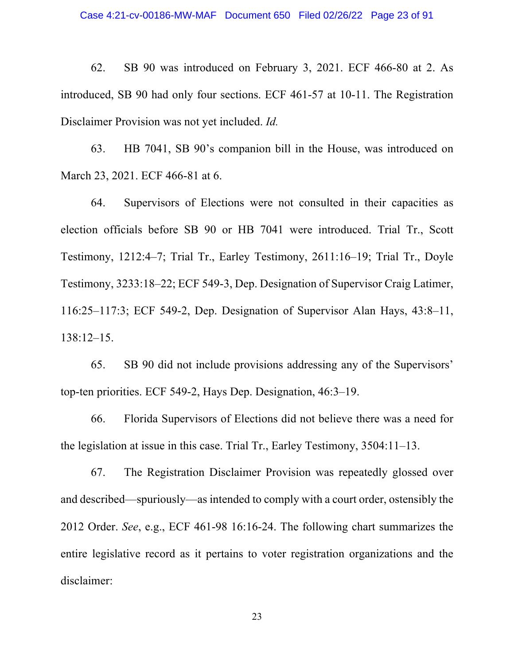62. SB 90 was introduced on February 3, 2021. ECF 466-80 at 2. As introduced, SB 90 had only four sections. ECF 461-57 at 10-11. The Registration Disclaimer Provision was not yet included. *Id.*

63. HB 7041, SB 90's companion bill in the House, was introduced on March 23, 2021. ECF 466-81 at 6.

64. Supervisors of Elections were not consulted in their capacities as election officials before SB 90 or HB 7041 were introduced. Trial Tr., Scott Testimony, 1212:4–7; Trial Tr., Earley Testimony, 2611:16–19; Trial Tr., Doyle Testimony, 3233:18–22; ECF 549-3, Dep. Designation of Supervisor Craig Latimer, 116:25–117:3; ECF 549-2, Dep. Designation of Supervisor Alan Hays, 43:8–11, 138:12–15.

65. SB 90 did not include provisions addressing any of the Supervisors' top-ten priorities. ECF 549-2, Hays Dep. Designation, 46:3–19.

66. Florida Supervisors of Elections did not believe there was a need for the legislation at issue in this case. Trial Tr., Earley Testimony, 3504:11–13.

67. The Registration Disclaimer Provision was repeatedly glossed over and described—spuriously—as intended to comply with a court order, ostensibly the 2012 Order. *See*, e.g., ECF 461-98 16:16-24. The following chart summarizes the entire legislative record as it pertains to voter registration organizations and the disclaimer: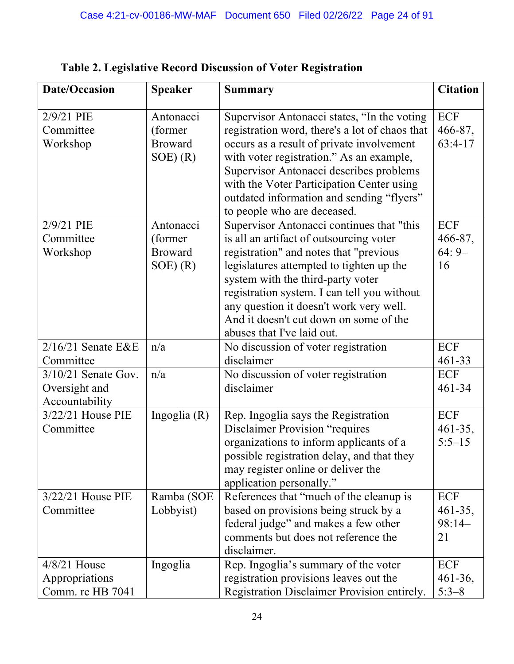| Date/Occasion                                            | <b>Speaker</b>                                        | <b>Summary</b>                                                                                                                                                                                                                                                                                                                                                                                                   | <b>Citation</b>                        |
|----------------------------------------------------------|-------------------------------------------------------|------------------------------------------------------------------------------------------------------------------------------------------------------------------------------------------------------------------------------------------------------------------------------------------------------------------------------------------------------------------------------------------------------------------|----------------------------------------|
| 2/9/21 PIE<br>Committee<br>Workshop                      | Antonacci<br>(former<br><b>Broward</b><br>$SOE$ $(R)$ | Supervisor Antonacci states, "In the voting<br>registration word, there's a lot of chaos that<br>occurs as a result of private involvement<br>with voter registration." As an example,<br>Supervisor Antonacci describes problems<br>with the Voter Participation Center using<br>outdated information and sending "flyers"                                                                                      | ECF<br>466-87,<br>$63:4-17$            |
| 2/9/21 PIE<br>Committee<br>Workshop                      | Antonacci<br>(former<br><b>Broward</b><br>$SOE$ $(R)$ | to people who are deceased.<br>Supervisor Antonacci continues that "this<br>is all an artifact of outsourcing voter<br>registration" and notes that "previous<br>legislatures attempted to tighten up the<br>system with the third-party voter<br>registration system. I can tell you without<br>any question it doesn't work very well.<br>And it doesn't cut down on some of the<br>abuses that I've laid out. | <b>ECF</b><br>466-87,<br>$64:9-$<br>16 |
| $2/16/21$ Senate E&E<br>Committee                        | n/a                                                   | No discussion of voter registration<br>disclaimer                                                                                                                                                                                                                                                                                                                                                                | ECF<br>461-33                          |
| $3/10/21$ Senate Gov.<br>Oversight and<br>Accountability | n/a                                                   | No discussion of voter registration<br>disclaimer                                                                                                                                                                                                                                                                                                                                                                | <b>ECF</b><br>461-34                   |
| $3/22/21$ House PIE<br>Committee                         | Ingoglia $(R)$                                        | Rep. Ingoglia says the Registration<br><b>Disclaimer Provision "requires</b><br>organizations to inform applicants of a<br>possible registration delay, and that they<br>may register online or deliver the<br>application personally."                                                                                                                                                                          | ECF<br>$461 - 35,$<br>$5:5 - 15$       |
| $3/22/21$ House PIE<br>Committee                         | Ramba (SOE<br>Lobbyist)                               | References that "much of the cleanup is<br>based on provisions being struck by a<br>federal judge" and makes a few other<br>comments but does not reference the<br>disclaimer.                                                                                                                                                                                                                                   | ECF<br>$461 - 35,$<br>$98:14-$<br>21   |
| $4/8/21$ House<br>Appropriations<br>Comm. re HB 7041     | Ingoglia                                              | Rep. Ingoglia's summary of the voter<br>registration provisions leaves out the<br>Registration Disclaimer Provision entirely.                                                                                                                                                                                                                                                                                    | ECF<br>$461 - 36,$<br>$5:3-8$          |

**Table 2. Legislative Record Discussion of Voter Registration**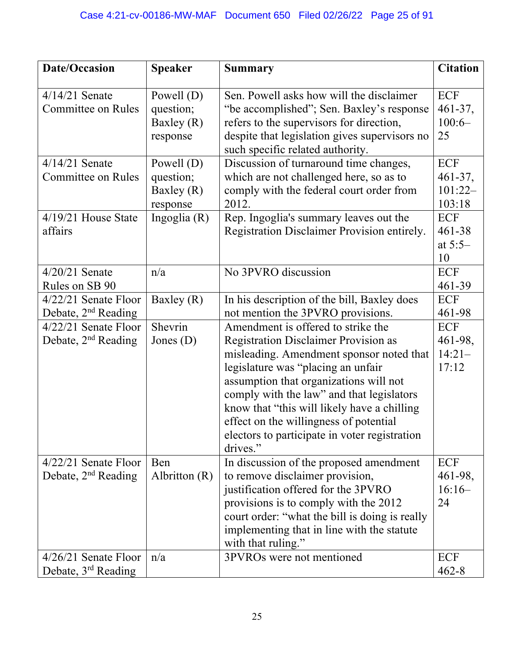| <b>Date/Occasion</b>                                      | <b>Speaker</b>                                        | <b>Summary</b>                                                                                                                                                                                                                                                                                                                                                                                                   | <b>Citation</b>                                   |
|-----------------------------------------------------------|-------------------------------------------------------|------------------------------------------------------------------------------------------------------------------------------------------------------------------------------------------------------------------------------------------------------------------------------------------------------------------------------------------------------------------------------------------------------------------|---------------------------------------------------|
| $4/14/21$ Senate<br><b>Committee on Rules</b>             | Powell $(D)$<br>question;<br>Baxley $(R)$<br>response | Sen. Powell asks how will the disclaimer<br>"be accomplished"; Sen. Baxley's response<br>refers to the supervisors for direction,<br>despite that legislation gives supervisors no<br>such specific related authority.                                                                                                                                                                                           | ECF<br>$461 - 37,$<br>$100:6-$<br>25              |
| $4/14/21$ Senate<br><b>Committee on Rules</b>             | Powell $(D)$<br>question;<br>Baxley $(R)$<br>response | Discussion of turnaround time changes,<br>which are not challenged here, so as to<br>comply with the federal court order from<br>2012.                                                                                                                                                                                                                                                                           | <b>ECF</b><br>$461 - 37$ ,<br>$101:22-$<br>103:18 |
| $4/19/21$ House State<br>affairs                          | Ingoglia $(R)$                                        | Rep. Ingoglia's summary leaves out the<br>Registration Disclaimer Provision entirely.                                                                                                                                                                                                                                                                                                                            | ECF<br>461-38<br>at $5:5-$<br>10                  |
| $4/20/21$ Senate<br>Rules on SB 90                        | n/a                                                   | No 3PVRO discussion                                                                                                                                                                                                                                                                                                                                                                                              | <b>ECF</b><br>461-39                              |
| $4/22/21$ Senate Floor<br>Debate, 2 <sup>nd</sup> Reading | Baxley $(R)$                                          | In his description of the bill, Baxley does<br>not mention the 3PVRO provisions.                                                                                                                                                                                                                                                                                                                                 | ECF<br>461-98                                     |
| $4/22/21$ Senate Floor<br>Debate, $2nd$ Reading           | Shevrin<br>Jones $(D)$                                | Amendment is offered to strike the<br><b>Registration Disclaimer Provision as</b><br>misleading. Amendment sponsor noted that<br>legislature was "placing an unfair<br>assumption that organizations will not<br>comply with the law" and that legislators<br>know that "this will likely have a chilling<br>effect on the willingness of potential<br>electors to participate in voter registration<br>drives." | ECF<br>461-98,<br>$14:21-$<br>17:12               |
| $4/22/21$ Senate Floor<br>Debate, $2nd$ Reading           | Ben<br>Albritton $(R)$                                | In discussion of the proposed amendment<br>to remove disclaimer provision,<br>justification offered for the 3PVRO<br>provisions is to comply with the 2012<br>court order: "what the bill is doing is really<br>implementing that in line with the statute<br>with that ruling."                                                                                                                                 | ECF<br>461-98,<br>$16:16-$<br>24                  |
| $4/26/21$ Senate Floor<br>Debate, 3 <sup>rd</sup> Reading | n/a                                                   | 3PVROs were not mentioned                                                                                                                                                                                                                                                                                                                                                                                        | ECF<br>$462 - 8$                                  |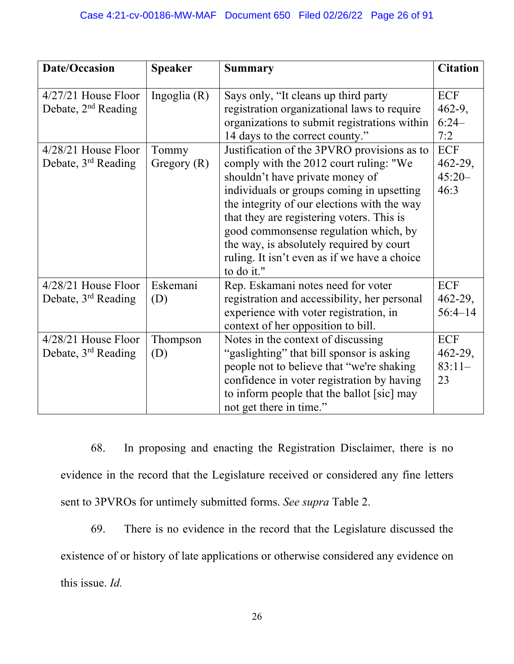| <b>Date/Occasion</b>                                     | <b>Speaker</b>         | <b>Summary</b>                                                                                                                                                                                                                                                                                                                                                                                                       | <b>Citation</b>                             |
|----------------------------------------------------------|------------------------|----------------------------------------------------------------------------------------------------------------------------------------------------------------------------------------------------------------------------------------------------------------------------------------------------------------------------------------------------------------------------------------------------------------------|---------------------------------------------|
| $4/27/21$ House Floor<br>Debate, $2nd$ Reading           | Ingoglia $(R)$         | Says only, "It cleans up third party<br>registration organizational laws to require<br>organizations to submit registrations within<br>14 days to the correct county."                                                                                                                                                                                                                                               | ECF<br>$462-9,$<br>$6:24-$<br>7:2           |
| $4/28/21$ House Floor<br>Debate, 3 <sup>rd</sup> Reading | Tommy<br>Gregory $(R)$ | Justification of the 3PVRO provisions as to<br>comply with the 2012 court ruling: "We<br>shouldn't have private money of<br>individuals or groups coming in upsetting<br>the integrity of our elections with the way<br>that they are registering voters. This is<br>good commonsense regulation which, by<br>the way, is absolutely required by court<br>ruling. It isn't even as if we have a choice<br>to do it." | ECF<br>$462 - 29$ ,<br>$45:20-$<br>46:3     |
| 4/28/21 House Floor<br>Debate, 3 <sup>rd</sup> Reading   | Eskemani<br>(D)        | Rep. Eskamani notes need for voter<br>registration and accessibility, her personal<br>experience with voter registration, in<br>context of her opposition to bill.                                                                                                                                                                                                                                                   | <b>ECF</b><br>$462 - 29$ ,<br>$56:4 - 14$   |
| $4/28/21$ House Floor<br>Debate, 3 <sup>rd</sup> Reading | Thompson<br>(D)        | Notes in the context of discussing<br>"gaslighting" that bill sponsor is asking<br>people not to believe that "we're shaking<br>confidence in voter registration by having<br>to inform people that the ballot [sic] may<br>not get there in time."                                                                                                                                                                  | <b>ECF</b><br>$462 - 29,$<br>$83:11-$<br>23 |

68. In proposing and enacting the Registration Disclaimer, there is no evidence in the record that the Legislature received or considered any fine letters sent to 3PVROs for untimely submitted forms. *See supra* Table 2.

69. There is no evidence in the record that the Legislature discussed the existence of or history of late applications or otherwise considered any evidence on this issue. *Id.*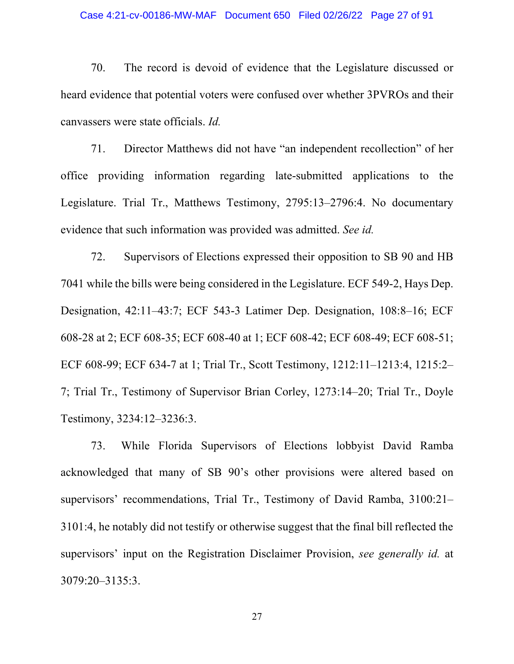#### Case 4:21-cv-00186-MW-MAF Document 650 Filed 02/26/22 Page 27 of 91

70. The record is devoid of evidence that the Legislature discussed or heard evidence that potential voters were confused over whether 3PVROs and their canvassers were state officials. *Id.*

71. Director Matthews did not have "an independent recollection" of her office providing information regarding late-submitted applications to the Legislature. Trial Tr., Matthews Testimony, 2795:13–2796:4. No documentary evidence that such information was provided was admitted. *See id.*

72. Supervisors of Elections expressed their opposition to SB 90 and HB 7041 while the bills were being considered in the Legislature. ECF 549-2, Hays Dep. Designation, 42:11–43:7; ECF 543-3 Latimer Dep. Designation, 108:8–16; ECF 608-28 at 2; ECF 608-35; ECF 608-40 at 1; ECF 608-42; ECF 608-49; ECF 608-51; ECF 608-99; ECF 634-7 at 1; Trial Tr., Scott Testimony, 1212:11–1213:4, 1215:2– 7; Trial Tr., Testimony of Supervisor Brian Corley, 1273:14–20; Trial Tr., Doyle Testimony, 3234:12–3236:3.

73. While Florida Supervisors of Elections lobbyist David Ramba acknowledged that many of SB 90's other provisions were altered based on supervisors' recommendations, Trial Tr., Testimony of David Ramba, 3100:21– 3101:4, he notably did not testify or otherwise suggest that the final bill reflected the supervisors' input on the Registration Disclaimer Provision, *see generally id.* at 3079:20–3135:3.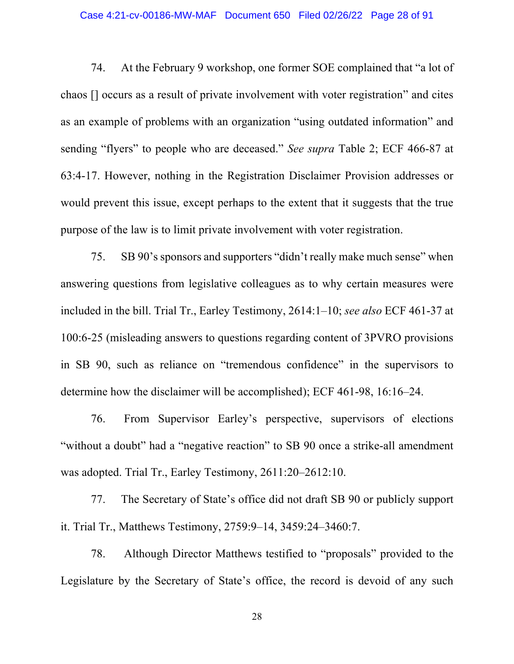#### Case 4:21-cv-00186-MW-MAF Document 650 Filed 02/26/22 Page 28 of 91

74. At the February 9 workshop, one former SOE complained that "a lot of chaos [] occurs as a result of private involvement with voter registration" and cites as an example of problems with an organization "using outdated information" and sending "flyers" to people who are deceased." *See supra* Table 2; ECF 466-87 at 63:4-17. However, nothing in the Registration Disclaimer Provision addresses or would prevent this issue, except perhaps to the extent that it suggests that the true purpose of the law is to limit private involvement with voter registration.

75. SB 90's sponsors and supporters "didn't really make much sense" when answering questions from legislative colleagues as to why certain measures were included in the bill. Trial Tr., Earley Testimony, 2614:1–10; *see also* ECF 461-37 at 100:6-25 (misleading answers to questions regarding content of 3PVRO provisions in SB 90, such as reliance on "tremendous confidence" in the supervisors to determine how the disclaimer will be accomplished); ECF 461-98, 16:16–24.

76. From Supervisor Earley's perspective, supervisors of elections "without a doubt" had a "negative reaction" to SB 90 once a strike-all amendment was adopted. Trial Tr., Earley Testimony, 2611:20–2612:10.

77. The Secretary of State's office did not draft SB 90 or publicly support it. Trial Tr., Matthews Testimony, 2759:9–14, 3459:24–3460:7.

78. Although Director Matthews testified to "proposals" provided to the Legislature by the Secretary of State's office, the record is devoid of any such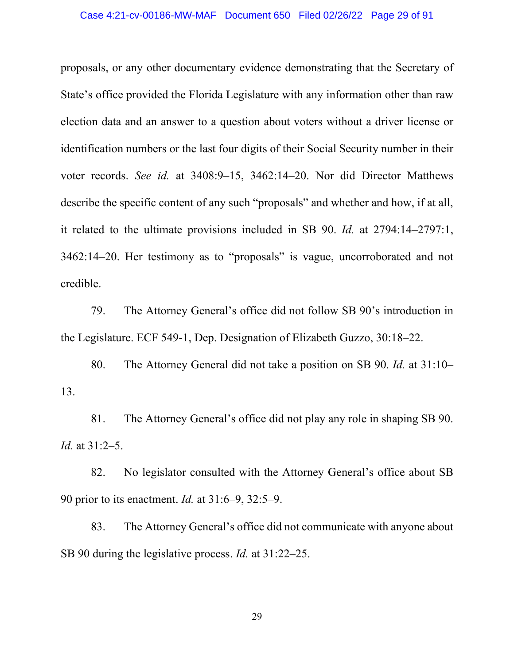#### Case 4:21-cv-00186-MW-MAF Document 650 Filed 02/26/22 Page 29 of 91

proposals, or any other documentary evidence demonstrating that the Secretary of State's office provided the Florida Legislature with any information other than raw election data and an answer to a question about voters without a driver license or identification numbers or the last four digits of their Social Security number in their voter records. *See id.* at 3408:9–15, 3462:14–20. Nor did Director Matthews describe the specific content of any such "proposals" and whether and how, if at all, it related to the ultimate provisions included in SB 90. *Id.* at 2794:14–2797:1, 3462:14–20. Her testimony as to "proposals" is vague, uncorroborated and not credible.

79. The Attorney General's office did not follow SB 90's introduction in the Legislature. ECF 549-1, Dep. Designation of Elizabeth Guzzo, 30:18–22.

80. The Attorney General did not take a position on SB 90. *Id.* at 31:10– 13.

81. The Attorney General's office did not play any role in shaping SB 90. *Id.* at 31:2–5.

82. No legislator consulted with the Attorney General's office about SB 90 prior to its enactment. *Id.* at 31:6–9, 32:5–9.

83. The Attorney General's office did not communicate with anyone about SB 90 during the legislative process. *Id.* at 31:22–25.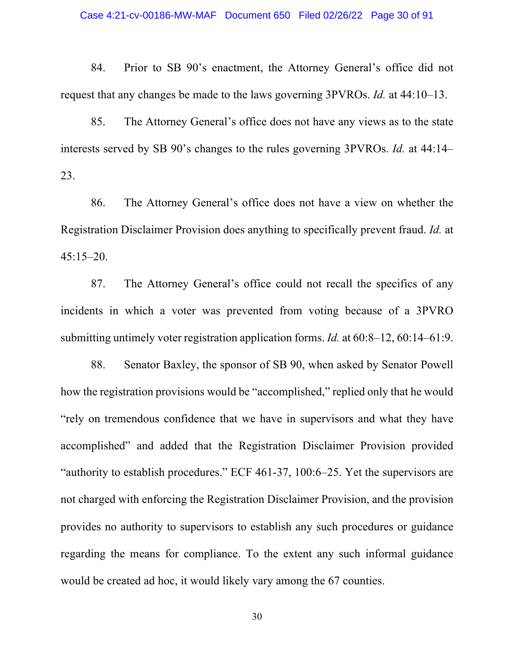84. Prior to SB 90's enactment, the Attorney General's office did not request that any changes be made to the laws governing 3PVROs. *Id.* at 44:10–13.

85. The Attorney General's office does not have any views as to the state interests served by SB 90's changes to the rules governing 3PVROs. *Id.* at 44:14– 23.

86. The Attorney General's office does not have a view on whether the Registration Disclaimer Provision does anything to specifically prevent fraud. *Id.* at 45:15–20.

87. The Attorney General's office could not recall the specifics of any incidents in which a voter was prevented from voting because of a 3PVRO submitting untimely voter registration application forms. *Id.* at 60:8–12, 60:14–61:9.

88. Senator Baxley, the sponsor of SB 90, when asked by Senator Powell how the registration provisions would be "accomplished," replied only that he would "rely on tremendous confidence that we have in supervisors and what they have accomplished" and added that the Registration Disclaimer Provision provided "authority to establish procedures." ECF 461-37, 100:6–25. Yet the supervisors are not charged with enforcing the Registration Disclaimer Provision, and the provision provides no authority to supervisors to establish any such procedures or guidance regarding the means for compliance. To the extent any such informal guidance would be created ad hoc, it would likely vary among the 67 counties.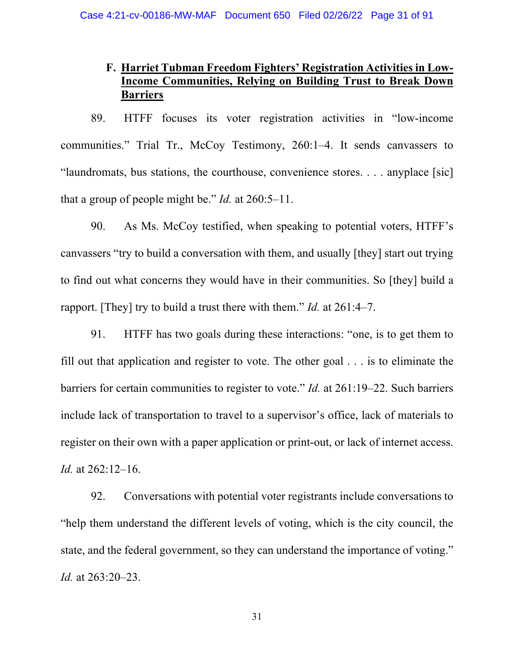# **F. Harriet Tubman Freedom Fighters' Registration Activities in Low-Income Communities, Relying on Building Trust to Break Down Barriers**

89. HTFF focuses its voter registration activities in "low-income communities." Trial Tr., McCoy Testimony, 260:1–4. It sends canvassers to "laundromats, bus stations, the courthouse, convenience stores. . . . anyplace [sic] that a group of people might be." *Id.* at 260:5–11.

90. As Ms. McCoy testified, when speaking to potential voters, HTFF's canvassers "try to build a conversation with them, and usually [they] start out trying to find out what concerns they would have in their communities. So [they] build a rapport. [They] try to build a trust there with them." *Id.* at 261:4–7.

91. HTFF has two goals during these interactions: "one, is to get them to fill out that application and register to vote. The other goal . . . is to eliminate the barriers for certain communities to register to vote." *Id.* at 261:19–22. Such barriers include lack of transportation to travel to a supervisor's office, lack of materials to register on their own with a paper application or print-out, or lack of internet access. *Id.* at 262:12–16.

92. Conversations with potential voter registrants include conversations to "help them understand the different levels of voting, which is the city council, the state, and the federal government, so they can understand the importance of voting." *Id.* at 263:20–23.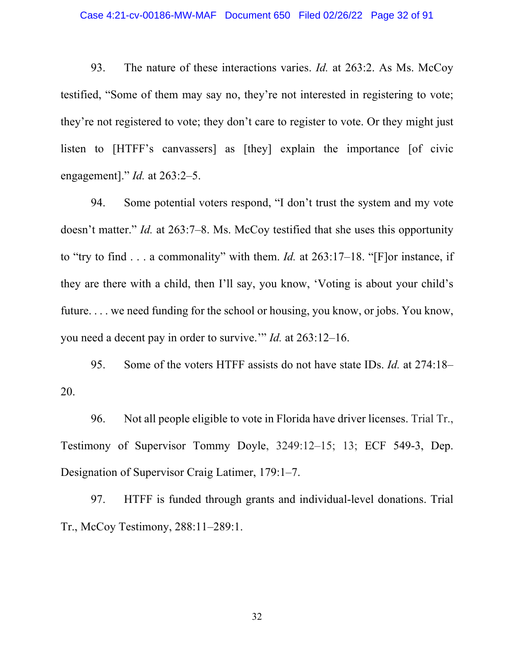#### Case 4:21-cv-00186-MW-MAF Document 650 Filed 02/26/22 Page 32 of 91

93. The nature of these interactions varies. *Id.* at 263:2. As Ms. McCoy testified, "Some of them may say no, they're not interested in registering to vote; they're not registered to vote; they don't care to register to vote. Or they might just listen to [HTFF's canvassers] as [they] explain the importance [of civic engagement]." *Id.* at 263:2–5.

94. Some potential voters respond, "I don't trust the system and my vote doesn't matter." *Id.* at 263:7–8. Ms. McCoy testified that she uses this opportunity to "try to find . . . a commonality" with them. *Id.* at 263:17–18. "[F]or instance, if they are there with a child, then I'll say, you know, 'Voting is about your child's future. . . . we need funding for the school or housing, you know, or jobs. You know, you need a decent pay in order to survive.'" *Id.* at 263:12–16.

95. Some of the voters HTFF assists do not have state IDs. *Id.* at 274:18– 20.

96. Not all people eligible to vote in Florida have driver licenses. Trial Tr., Testimony of Supervisor Tommy Doyle, 3249:12–15; 13; ECF 549-3, Dep. Designation of Supervisor Craig Latimer, 179:1–7.

97. HTFF is funded through grants and individual-level donations. Trial Tr., McCoy Testimony, 288:11–289:1.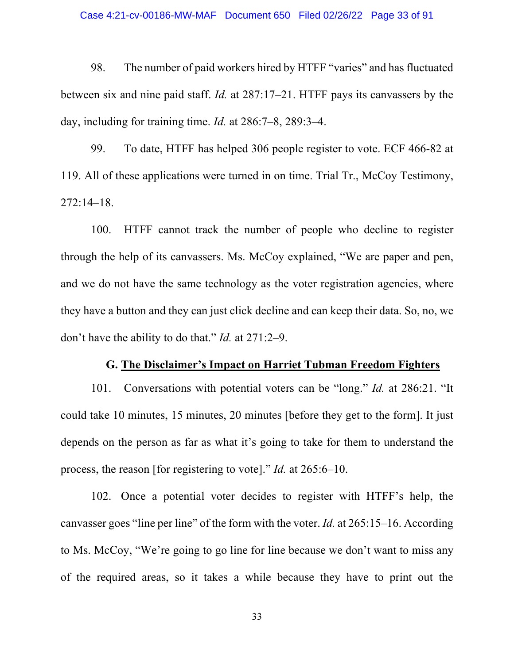#### Case 4:21-cv-00186-MW-MAF Document 650 Filed 02/26/22 Page 33 of 91

98. The number of paid workers hired by HTFF "varies" and has fluctuated between six and nine paid staff. *Id.* at 287:17–21. HTFF pays its canvassers by the day, including for training time. *Id.* at 286:7–8, 289:3–4.

99. To date, HTFF has helped 306 people register to vote. ECF 466-82 at 119. All of these applications were turned in on time. Trial Tr., McCoy Testimony, 272:14–18.

100. HTFF cannot track the number of people who decline to register through the help of its canvassers. Ms. McCoy explained, "We are paper and pen, and we do not have the same technology as the voter registration agencies, where they have a button and they can just click decline and can keep their data. So, no, we don't have the ability to do that." *Id.* at 271:2–9.

# **G. The Disclaimer's Impact on Harriet Tubman Freedom Fighters**

101. Conversations with potential voters can be "long." *Id.* at 286:21. "It could take 10 minutes, 15 minutes, 20 minutes [before they get to the form]. It just depends on the person as far as what it's going to take for them to understand the process, the reason [for registering to vote]." *Id.* at 265:6–10.

102. Once a potential voter decides to register with HTFF's help, the canvasser goes "line per line" of the form with the voter. *Id.* at 265:15–16. According to Ms. McCoy, "We're going to go line for line because we don't want to miss any of the required areas, so it takes a while because they have to print out the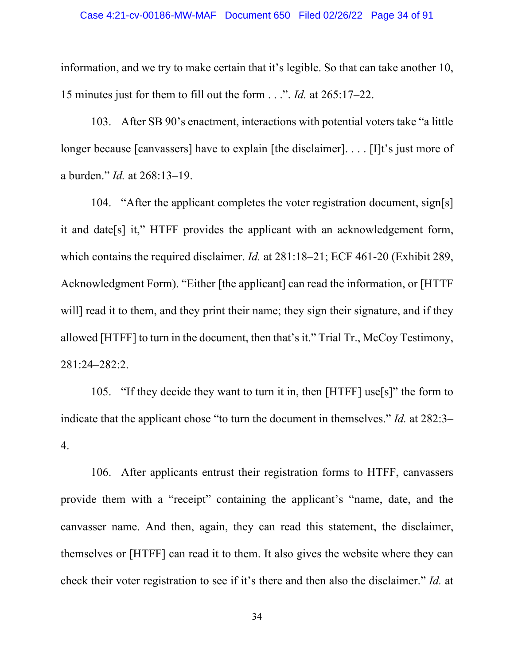information, and we try to make certain that it's legible. So that can take another 10, 15 minutes just for them to fill out the form . . .". *Id.* at 265:17–22.

103. After SB 90's enactment, interactions with potential voters take "a little longer because [canvassers] have to explain [the disclaimer]. . . . [I]t's just more of a burden." *Id.* at 268:13–19.

104. "After the applicant completes the voter registration document, sign[s] it and date[s] it," HTFF provides the applicant with an acknowledgement form, which contains the required disclaimer. *Id.* at 281:18–21; ECF 461-20 (Exhibit 289, Acknowledgment Form). "Either [the applicant] can read the information, or [HTTF will] read it to them, and they print their name; they sign their signature, and if they allowed [HTFF] to turn in the document, then that's it." Trial Tr., McCoy Testimony, 281:24–282:2.

105. "If they decide they want to turn it in, then [HTFF] use[s]" the form to indicate that the applicant chose "to turn the document in themselves." *Id.* at 282:3– 4.

106. After applicants entrust their registration forms to HTFF, canvassers provide them with a "receipt" containing the applicant's "name, date, and the canvasser name. And then, again, they can read this statement, the disclaimer, themselves or [HTFF] can read it to them. It also gives the website where they can check their voter registration to see if it's there and then also the disclaimer." *Id.* at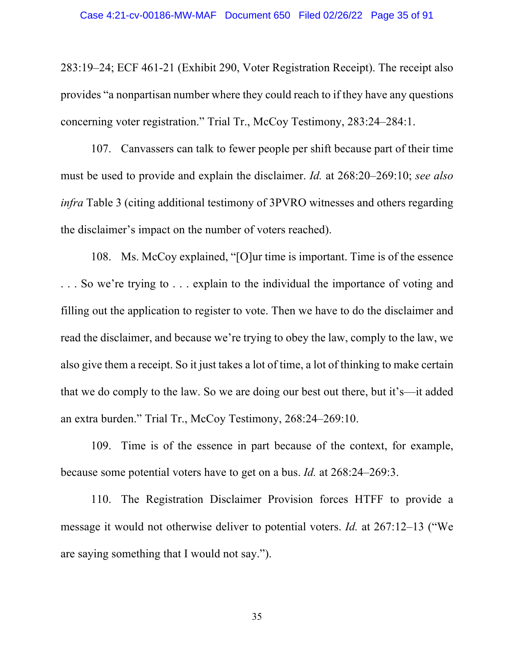283:19–24; ECF 461-21 (Exhibit 290, Voter Registration Receipt). The receipt also provides "a nonpartisan number where they could reach to if they have any questions concerning voter registration." Trial Tr., McCoy Testimony, 283:24–284:1.

107. Canvassers can talk to fewer people per shift because part of their time must be used to provide and explain the disclaimer. *Id.* at 268:20–269:10; *see also infra* Table 3 (citing additional testimony of 3PVRO witnesses and others regarding the disclaimer's impact on the number of voters reached).

108. Ms. McCoy explained, "[O]ur time is important. Time is of the essence . . . So we're trying to . . . explain to the individual the importance of voting and filling out the application to register to vote. Then we have to do the disclaimer and read the disclaimer, and because we're trying to obey the law, comply to the law, we also give them a receipt. So it just takes a lot of time, a lot of thinking to make certain that we do comply to the law. So we are doing our best out there, but it's—it added an extra burden." Trial Tr., McCoy Testimony, 268:24–269:10.

109. Time is of the essence in part because of the context, for example, because some potential voters have to get on a bus. *Id.* at 268:24–269:3.

110. The Registration Disclaimer Provision forces HTFF to provide a message it would not otherwise deliver to potential voters. *Id.* at 267:12–13 ("We are saying something that I would not say.").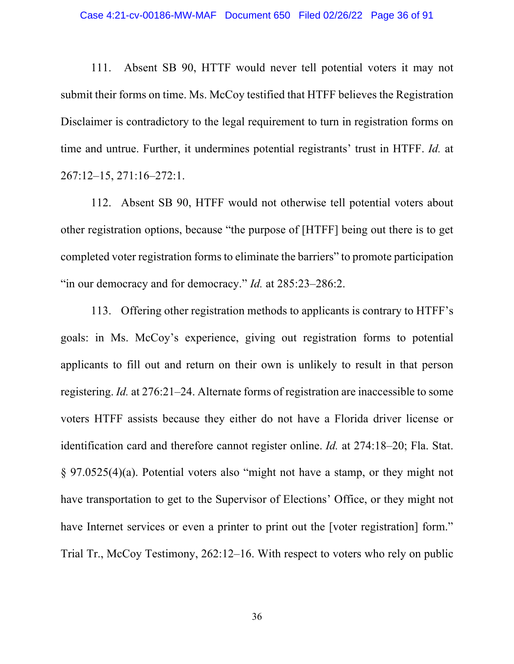111. Absent SB 90, HTTF would never tell potential voters it may not submit their forms on time. Ms. McCoy testified that HTFF believes the Registration Disclaimer is contradictory to the legal requirement to turn in registration forms on time and untrue. Further, it undermines potential registrants' trust in HTFF. *Id.* at 267:12–15, 271:16–272:1.

112. Absent SB 90, HTFF would not otherwise tell potential voters about other registration options, because "the purpose of [HTFF] being out there is to get completed voter registration forms to eliminate the barriers" to promote participation "in our democracy and for democracy." *Id.* at 285:23-286:2.

113. Offering other registration methods to applicants is contrary to HTFF's goals: in Ms. McCoy's experience, giving out registration forms to potential applicants to fill out and return on their own is unlikely to result in that person registering. *Id.* at 276:21–24. Alternate forms of registration are inaccessible to some voters HTFF assists because they either do not have a Florida driver license or identification card and therefore cannot register online. *Id.* at 274:18–20; Fla. Stat. § 97.0525(4)(a). Potential voters also "might not have a stamp, or they might not have transportation to get to the Supervisor of Elections' Office, or they might not have Internet services or even a printer to print out the [voter registration] form." Trial Tr., McCoy Testimony, 262:12–16. With respect to voters who rely on public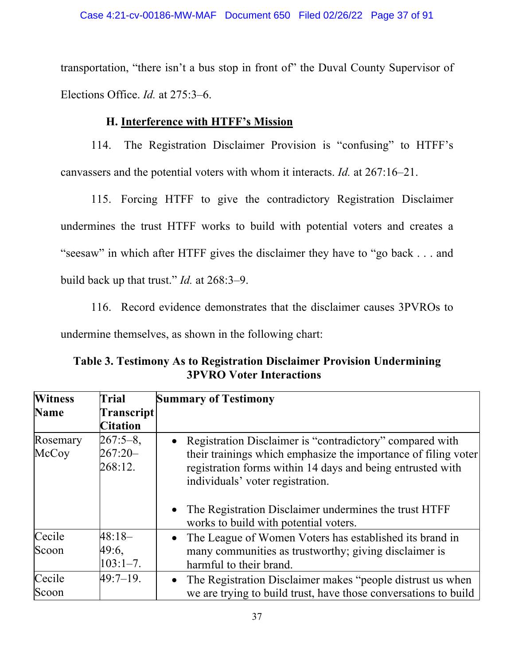transportation, "there isn't a bus stop in front of" the Duval County Supervisor of Elections Office. *Id.* at 275:3–6.

# **H. Interference with HTFF's Mission**

114. The Registration Disclaimer Provision is "confusing" to HTFF's canvassers and the potential voters with whom it interacts. *Id.* at 267:16–21.

115. Forcing HTFF to give the contradictory Registration Disclaimer undermines the trust HTFF works to build with potential voters and creates a "seesaw" in which after HTFF gives the disclaimer they have to "go back . . . and build back up that trust." *Id.* at 268:3–9.

116. Record evidence demonstrates that the disclaimer causes 3PVROs to undermine themselves, as shown in the following chart:

**Table 3. Testimony As to Registration Disclaimer Provision Undermining 3PVRO Voter Interactions**

| <b>Witness</b>    | Trial                               | <b>Summary of Testimony</b>                                                                                                                                                                                                    |
|-------------------|-------------------------------------|--------------------------------------------------------------------------------------------------------------------------------------------------------------------------------------------------------------------------------|
| <b>Name</b>       | Transcript<br><b>Citation</b>       |                                                                                                                                                                                                                                |
| Rosemary<br>McCoy | $267:5-8$ ,<br>$267:20-$<br>268:12. | • Registration Disclaimer is "contradictory" compared with<br>their trainings which emphasize the importance of filing voter<br>registration forms within 14 days and being entrusted with<br>individuals' voter registration. |
|                   |                                     | The Registration Disclaimer undermines the trust HTFF<br>$\bullet$<br>works to build with potential voters.                                                                                                                    |
| Cecile<br>Scoon   | $48:18-$<br>49:6,<br>$103:1 - 7$ .  | The League of Women Voters has established its brand in<br>$\bullet$<br>many communities as trustworthy; giving disclaimer is<br>harmful to their brand.                                                                       |
| Cecile<br>Scoon   | $49:7 - 19$ .                       | The Registration Disclaimer makes "people distrust us when<br>$\bullet$<br>we are trying to build trust, have those conversations to build                                                                                     |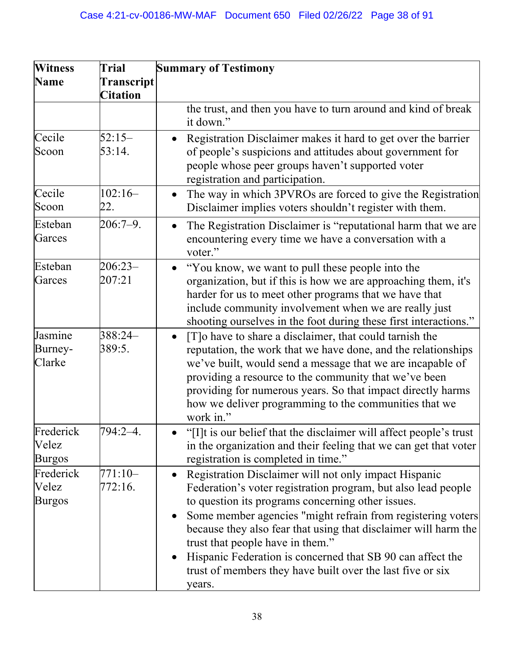| <b>Trial</b>                         | <b>Summary of Testimony</b>                                                                                                                                                                                                                                                                                                                                                                                                                                                   |
|--------------------------------------|-------------------------------------------------------------------------------------------------------------------------------------------------------------------------------------------------------------------------------------------------------------------------------------------------------------------------------------------------------------------------------------------------------------------------------------------------------------------------------|
| <b>Transcript</b><br><b>Citation</b> |                                                                                                                                                                                                                                                                                                                                                                                                                                                                               |
|                                      | the trust, and then you have to turn around and kind of break<br>it down."                                                                                                                                                                                                                                                                                                                                                                                                    |
| $52:15-$<br>53:14.                   | Registration Disclaimer makes it hard to get over the barrier<br>of people's suspicions and attitudes about government for<br>people whose peer groups haven't supported voter<br>registration and participation.                                                                                                                                                                                                                                                             |
| $102:16-$<br>22.                     | The way in which 3PVROs are forced to give the Registration<br>Disclaimer implies voters shouldn't register with them.                                                                                                                                                                                                                                                                                                                                                        |
| $206:7-9.$                           | The Registration Disclaimer is "reputational harm that we are<br>encountering every time we have a conversation with a<br>voter."                                                                                                                                                                                                                                                                                                                                             |
| $206:23-$<br>207:21                  | "You know, we want to pull these people into the<br>$\bullet$<br>organization, but if this is how we are approaching them, it's<br>harder for us to meet other programs that we have that<br>include community involvement when we are really just<br>shooting ourselves in the foot during these first interactions."                                                                                                                                                        |
| 388:24-<br>389:5.                    | [T] o have to share a disclaimer, that could tarnish the<br>$\bullet$<br>reputation, the work that we have done, and the relationships<br>we've built, would send a message that we are incapable of<br>providing a resource to the community that we've been<br>providing for numerous years. So that impact directly harms<br>how we deliver programming to the communities that we<br>work in."                                                                            |
| $794:2 - 4$                          | "[I]t is our belief that the disclaimer will affect people's trust<br>in the organization and their feeling that we can get that voter<br>registration is completed in time."                                                                                                                                                                                                                                                                                                 |
| 771:10-<br>772:16.                   | Registration Disclaimer will not only impact Hispanic<br>Federation's voter registration program, but also lead people<br>to question its programs concerning other issues.<br>Some member agencies "might refrain from registering voters<br>because they also fear that using that disclaimer will harm the<br>trust that people have in them."<br>Hispanic Federation is concerned that SB 90 can affect the<br>trust of members they have built over the last five or six |
|                                      |                                                                                                                                                                                                                                                                                                                                                                                                                                                                               |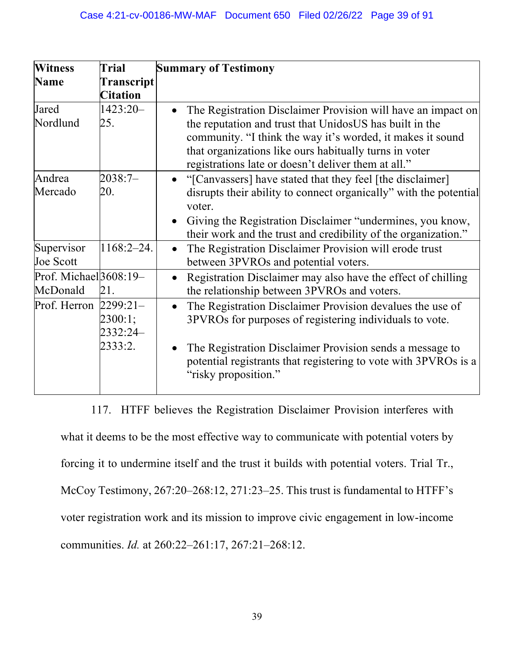| <b>Witness</b>           | <b>Trial</b>    | <b>Summary of Testimony</b>                                         |
|--------------------------|-----------------|---------------------------------------------------------------------|
| <b>Name</b>              | Transcript      |                                                                     |
|                          | <b>Citation</b> |                                                                     |
| Jared                    | 1423:20-        | The Registration Disclaimer Provision will have an impact on        |
| Nordlund                 | 25.             | the reputation and trust that UnidosUS has built in the             |
|                          |                 | community. "I think the way it's worded, it makes it sound          |
|                          |                 | that organizations like ours habitually turns in voter              |
|                          |                 | registrations late or doesn't deliver them at all."                 |
| Andrea                   | 2038:7-         | "[Canvassers] have stated that they feel [the disclaimer]           |
| Mercado                  | 20.             | disrupts their ability to connect organically" with the potential   |
|                          |                 | voter.                                                              |
|                          |                 | Giving the Registration Disclaimer "undermines, you know,           |
|                          |                 | their work and the trust and credibility of the organization."      |
| Supervisor               | $1168:2 - 24.$  | The Registration Disclaimer Provision will erode trust<br>$\bullet$ |
| <b>Joe Scott</b>         |                 | between 3PVROs and potential voters.                                |
| Prof. Michael $3608:19-$ |                 | Registration Disclaimer may also have the effect of chilling        |
| McDonald                 | 21.             | the relationship between 3PVROs and voters.                         |
| Prof. Herron             | $2299:21-$      | The Registration Disclaimer Provision devalues the use of           |
|                          | 2300:1;         | 3PVROs for purposes of registering individuals to vote.             |
|                          | 2332:24         |                                                                     |
|                          | 2333:2.         | The Registration Disclaimer Provision sends a message to            |
|                          |                 | potential registrants that registering to vote with 3PVROs is a     |
|                          |                 | "risky proposition."                                                |
|                          |                 |                                                                     |

117. HTFF believes the Registration Disclaimer Provision interferes with what it deems to be the most effective way to communicate with potential voters by forcing it to undermine itself and the trust it builds with potential voters. Trial Tr., McCoy Testimony, 267:20–268:12, 271:23–25. This trust is fundamental to HTFF's voter registration work and its mission to improve civic engagement in low-income communities. *Id.* at 260:22–261:17, 267:21–268:12.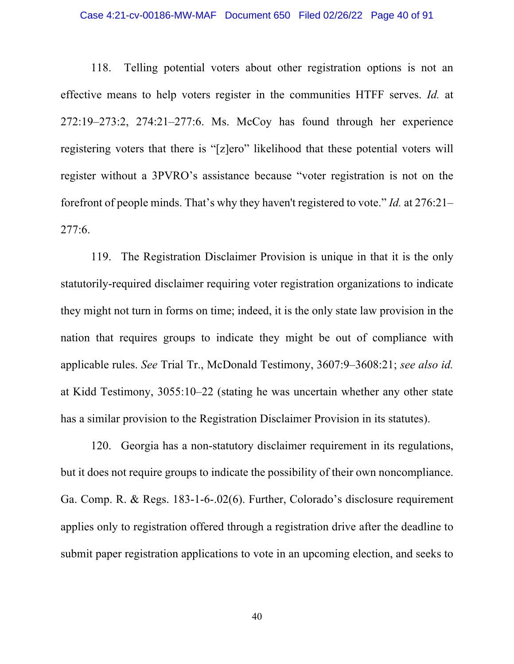#### Case 4:21-cv-00186-MW-MAF Document 650 Filed 02/26/22 Page 40 of 91

118. Telling potential voters about other registration options is not an effective means to help voters register in the communities HTFF serves. *Id.* at 272:19–273:2, 274:21–277:6. Ms. McCoy has found through her experience registering voters that there is "[z]ero" likelihood that these potential voters will register without a 3PVRO's assistance because "voter registration is not on the forefront of people minds. That's why they haven't registered to vote." *Id.* at 276:21– 277:6.

119. The Registration Disclaimer Provision is unique in that it is the only statutorily-required disclaimer requiring voter registration organizations to indicate they might not turn in forms on time; indeed, it is the only state law provision in the nation that requires groups to indicate they might be out of compliance with applicable rules. *See* Trial Tr., McDonald Testimony, 3607:9–3608:21; *see also id.*  at Kidd Testimony, 3055:10–22 (stating he was uncertain whether any other state has a similar provision to the Registration Disclaimer Provision in its statutes).

120. Georgia has a non-statutory disclaimer requirement in its regulations, but it does not require groups to indicate the possibility of their own noncompliance. Ga. Comp. R. & Regs. 183-1-6-.02(6). Further, Colorado's disclosure requirement applies only to registration offered through a registration drive after the deadline to submit paper registration applications to vote in an upcoming election, and seeks to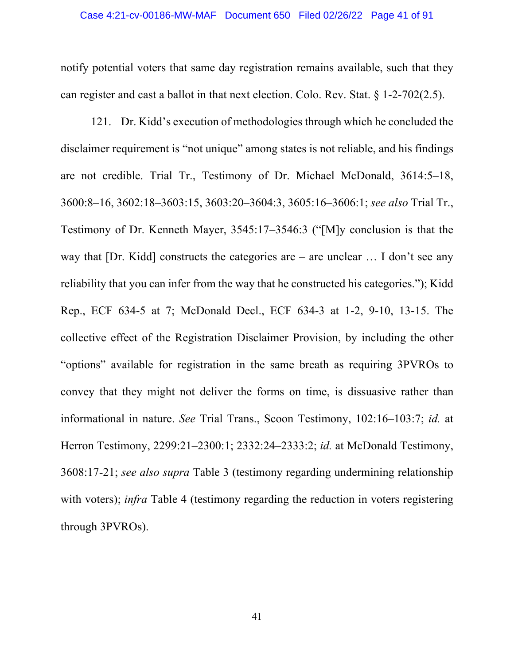notify potential voters that same day registration remains available, such that they can register and cast a ballot in that next election. Colo. Rev. Stat. § 1-2-702(2.5).

121. Dr. Kidd's execution of methodologies through which he concluded the disclaimer requirement is "not unique" among states is not reliable, and his findings are not credible. Trial Tr., Testimony of Dr. Michael McDonald, 3614:5–18, 3600:8–16, 3602:18–3603:15, 3603:20–3604:3, 3605:16–3606:1; *see also* Trial Tr., Testimony of Dr. Kenneth Mayer, 3545:17–3546:3 ("[M]y conclusion is that the way that [Dr. Kidd] constructs the categories are – are unclear ... I don't see any reliability that you can infer from the way that he constructed his categories."); Kidd Rep., ECF 634-5 at 7; McDonald Decl., ECF 634-3 at 1-2, 9-10, 13-15. The collective effect of the Registration Disclaimer Provision, by including the other "options" available for registration in the same breath as requiring 3PVROs to convey that they might not deliver the forms on time, is dissuasive rather than informational in nature. *See* Trial Trans., Scoon Testimony, 102:16–103:7; *id.* at Herron Testimony, 2299:21–2300:1; 2332:24–2333:2; *id.* at McDonald Testimony, 3608:17-21; *see also supra* Table 3 (testimony regarding undermining relationship with voters); *infra* Table 4 (testimony regarding the reduction in voters registering through 3PVROs).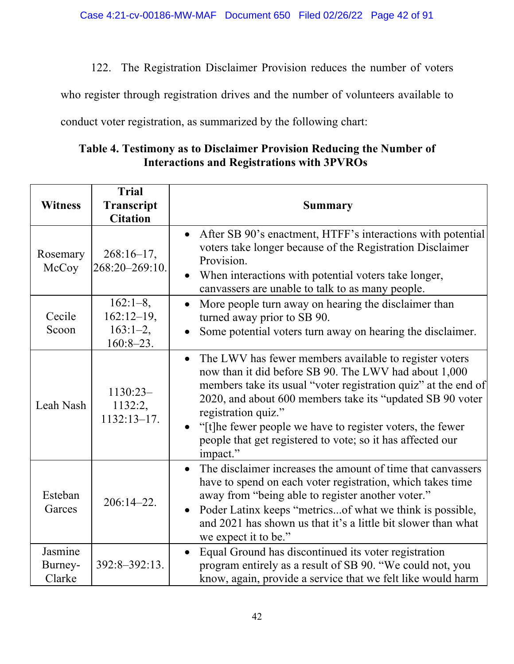122. The Registration Disclaimer Provision reduces the number of voters

who register through registration drives and the number of volunteers available to

conduct voter registration, as summarized by the following chart:

| Table 4. Testimony as to Disclaimer Provision Reducing the Number of |  |  |  |  |
|----------------------------------------------------------------------|--|--|--|--|
| <b>Interactions and Registrations with 3PVROs</b>                    |  |  |  |  |

|                              | <b>Trial</b>                              |                                                                                                                                                                                                                                                                                                                                                                                                                           |
|------------------------------|-------------------------------------------|---------------------------------------------------------------------------------------------------------------------------------------------------------------------------------------------------------------------------------------------------------------------------------------------------------------------------------------------------------------------------------------------------------------------------|
| <b>Witness</b>               | Transcript                                | Summary                                                                                                                                                                                                                                                                                                                                                                                                                   |
|                              | <b>Citation</b>                           |                                                                                                                                                                                                                                                                                                                                                                                                                           |
| Rosemary<br>McCoy            | $268:16-17,$<br>268:20-269:10.            | After SB 90's enactment, HTFF's interactions with potential<br>$\bullet$<br>voters take longer because of the Registration Disclaimer<br>Provision.<br>When interactions with potential voters take longer,<br>$\bullet$<br>canvassers are unable to talk to as many people.                                                                                                                                              |
| Cecile<br>Scoon              | $162:1-8,$<br>$162:12-19$ ,<br>$163:1-2,$ | More people turn away on hearing the disclaimer than<br>$\bullet$<br>turned away prior to SB 90.<br>Some potential voters turn away on hearing the disclaimer.                                                                                                                                                                                                                                                            |
|                              | $160:8-23.$                               |                                                                                                                                                                                                                                                                                                                                                                                                                           |
| Leah Nash                    | $1130:23-$<br>1132:2,<br>$1132:13-17.$    | The LWV has fewer members available to register voters<br>$\bullet$<br>now than it did before SB 90. The LWV had about 1,000<br>members take its usual "voter registration quiz" at the end of<br>2020, and about 600 members take its "updated SB 90 voter<br>registration quiz."<br>"[t]he fewer people we have to register voters, the fewer<br>people that get registered to vote; so it has affected our<br>impact." |
| Esteban<br>Garces            | $206:14 - 22.$                            | The disclaimer increases the amount of time that canvassers<br>$\bullet$<br>have to spend on each voter registration, which takes time<br>away from "being able to register another voter."<br>Poder Latinx keeps "metrics of what we think is possible,<br>$\bullet$<br>and 2021 has shown us that it's a little bit slower than what<br>we expect it to be."                                                            |
| Jasmine<br>Burney-<br>Clarke | 392:8-392:13.                             | Equal Ground has discontinued its voter registration<br>$\bullet$<br>program entirely as a result of SB 90. "We could not, you<br>know, again, provide a service that we felt like would harm                                                                                                                                                                                                                             |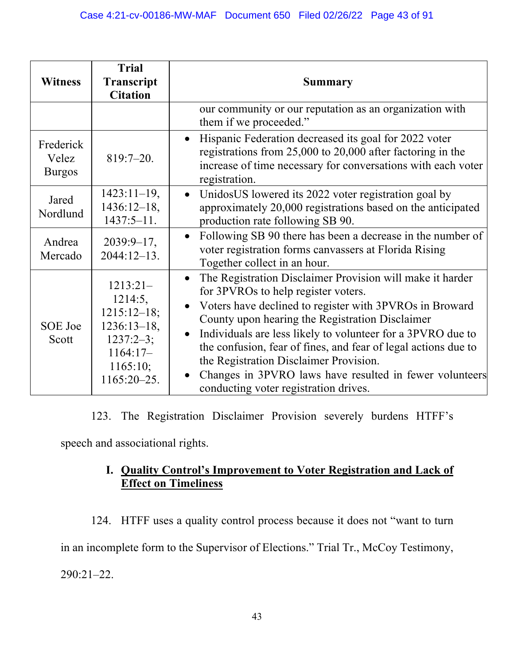| <b>Witness</b>                      | <b>Trial</b><br>Transcript<br><b>Citation</b>                                                                      | Summary                                                                                                                                                                                                                                                                                                                                                                                                                                                                                                                              |
|-------------------------------------|--------------------------------------------------------------------------------------------------------------------|--------------------------------------------------------------------------------------------------------------------------------------------------------------------------------------------------------------------------------------------------------------------------------------------------------------------------------------------------------------------------------------------------------------------------------------------------------------------------------------------------------------------------------------|
|                                     |                                                                                                                    | our community or our reputation as an organization with<br>them if we proceeded."                                                                                                                                                                                                                                                                                                                                                                                                                                                    |
| Frederick<br>Velez<br><b>Burgos</b> | $819:7 - 20.$                                                                                                      | Hispanic Federation decreased its goal for 2022 voter<br>$\bullet$<br>registrations from 25,000 to 20,000 after factoring in the<br>increase of time necessary for conversations with each voter<br>registration.                                                                                                                                                                                                                                                                                                                    |
| Jared<br>Nordlund                   | $1423:11-19$ ,<br>$1436:12-18$ ,<br>$1437:5-11.$                                                                   | UnidosUS lowered its 2022 voter registration goal by<br>$\bullet$<br>approximately 20,000 registrations based on the anticipated<br>production rate following SB 90.                                                                                                                                                                                                                                                                                                                                                                 |
| Andrea<br>Mercado                   | $2039:9-17$ ,<br>$2044:12-13.$                                                                                     | Following SB 90 there has been a decrease in the number of<br>$\bullet$<br>voter registration forms canvassers at Florida Rising<br>Together collect in an hour.                                                                                                                                                                                                                                                                                                                                                                     |
| SOE Joe<br>Scott                    | $1213:21-$<br>1214:5,<br>$1215:12-18;$<br>$1236:13-18$ ,<br>$1237:2-3;$<br>$1164:17-$<br>1165:10;<br>$1165:20-25.$ | The Registration Disclaimer Provision will make it harder<br>$\bullet$<br>for 3PVROs to help register voters.<br>Voters have declined to register with 3PVROs in Broward<br>$\bullet$<br>County upon hearing the Registration Disclaimer<br>Individuals are less likely to volunteer for a 3PVRO due to<br>$\bullet$<br>the confusion, fear of fines, and fear of legal actions due to<br>the Registration Disclaimer Provision.<br>Changes in 3PVRO laws have resulted in fewer volunteers<br>conducting voter registration drives. |

123. The Registration Disclaimer Provision severely burdens HTFF's

speech and associational rights.

# **I. Quality Control's Improvement to Voter Registration and Lack of Effect on Timeliness**

124. HTFF uses a quality control process because it does not "want to turn in an incomplete form to the Supervisor of Elections." Trial Tr., McCoy Testimony, 290:21–22.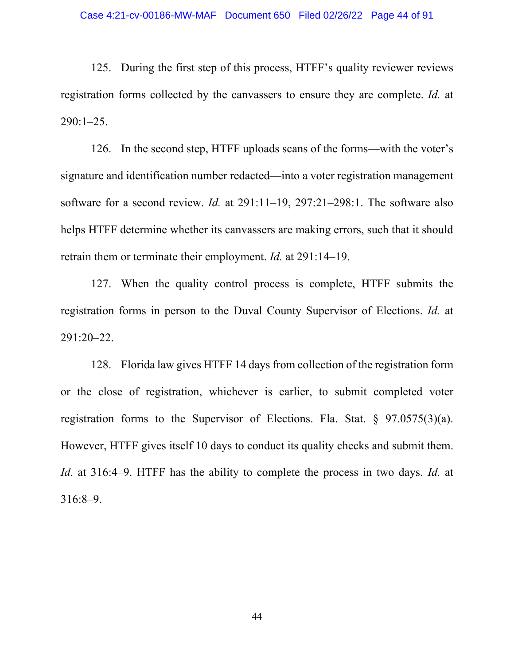125. During the first step of this process, HTFF's quality reviewer reviews registration forms collected by the canvassers to ensure they are complete. *Id.* at 290:1–25.

126. In the second step, HTFF uploads scans of the forms—with the voter's signature and identification number redacted—into a voter registration management software for a second review. *Id.* at 291:11–19, 297:21–298:1. The software also helps HTFF determine whether its canvassers are making errors, such that it should retrain them or terminate their employment. *Id.* at 291:14–19.

127. When the quality control process is complete, HTFF submits the registration forms in person to the Duval County Supervisor of Elections. *Id.* at 291:20–22.

128. Florida law gives HTFF 14 days from collection of the registration form or the close of registration, whichever is earlier, to submit completed voter registration forms to the Supervisor of Elections. Fla. Stat. § 97.0575(3)(a). However, HTFF gives itself 10 days to conduct its quality checks and submit them. *Id.* at 316:4–9. HTFF has the ability to complete the process in two days. *Id.* at 316:8–9.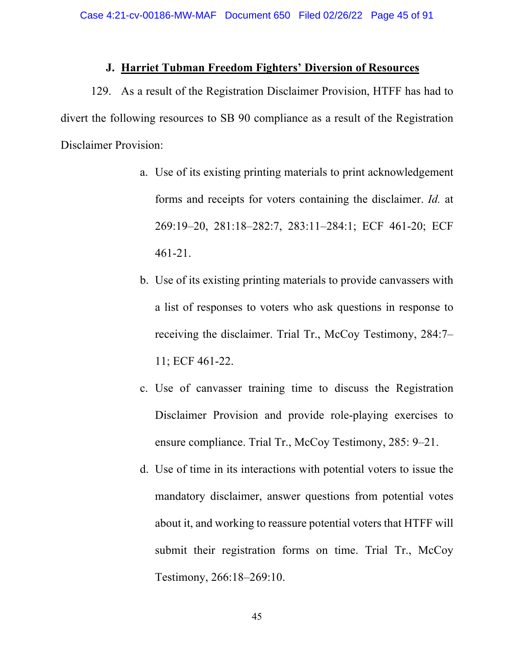### **J. Harriet Tubman Freedom Fighters' Diversion of Resources**

129. As a result of the Registration Disclaimer Provision, HTFF has had to divert the following resources to SB 90 compliance as a result of the Registration Disclaimer Provision:

- a. Use of its existing printing materials to print acknowledgement forms and receipts for voters containing the disclaimer. *Id.* at 269:19–20, 281:18–282:7, 283:11–284:1; ECF 461-20; ECF 461-21.
- b. Use of its existing printing materials to provide canvassers with a list of responses to voters who ask questions in response to receiving the disclaimer. Trial Tr., McCoy Testimony, 284:7– 11; ECF 461-22.
- c. Use of canvasser training time to discuss the Registration Disclaimer Provision and provide role-playing exercises to ensure compliance. Trial Tr., McCoy Testimony, 285: 9–21.
- d. Use of time in its interactions with potential voters to issue the mandatory disclaimer, answer questions from potential votes about it, and working to reassure potential voters that HTFF will submit their registration forms on time. Trial Tr., McCoy Testimony, 266:18–269:10.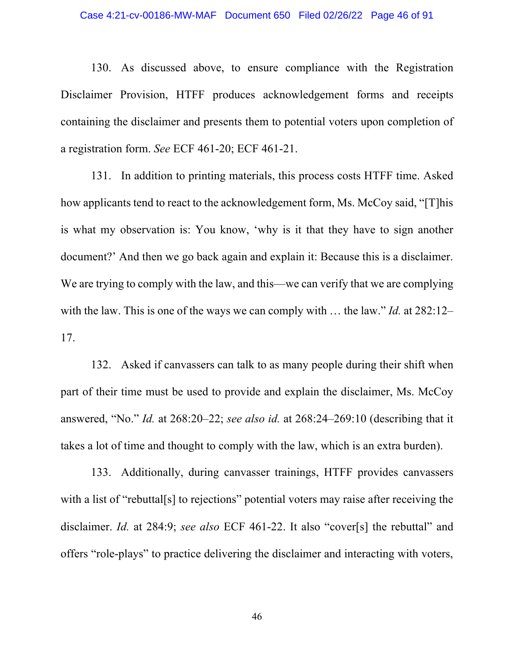130. As discussed above, to ensure compliance with the Registration Disclaimer Provision, HTFF produces acknowledgement forms and receipts containing the disclaimer and presents them to potential voters upon completion of a registration form. *See* ECF 461-20; ECF 461-21.

131. In addition to printing materials, this process costs HTFF time. Asked how applicants tend to react to the acknowledgement form, Ms. McCoy said, "[T]his is what my observation is: You know, 'why is it that they have to sign another document?' And then we go back again and explain it: Because this is a disclaimer. We are trying to comply with the law, and this—we can verify that we are complying with the law. This is one of the ways we can comply with … the law." *Id.* at 282:12– 17.

132. Asked if canvassers can talk to as many people during their shift when part of their time must be used to provide and explain the disclaimer, Ms. McCoy answered, "No." *Id.* at 268:20–22; *see also id.* at 268:24–269:10 (describing that it takes a lot of time and thought to comply with the law, which is an extra burden).

133. Additionally, during canvasser trainings, HTFF provides canvassers with a list of "rebuttal[s] to rejections" potential voters may raise after receiving the disclaimer. *Id.* at 284:9; *see also* ECF 461-22. It also "cover[s] the rebuttal" and offers "role-plays" to practice delivering the disclaimer and interacting with voters,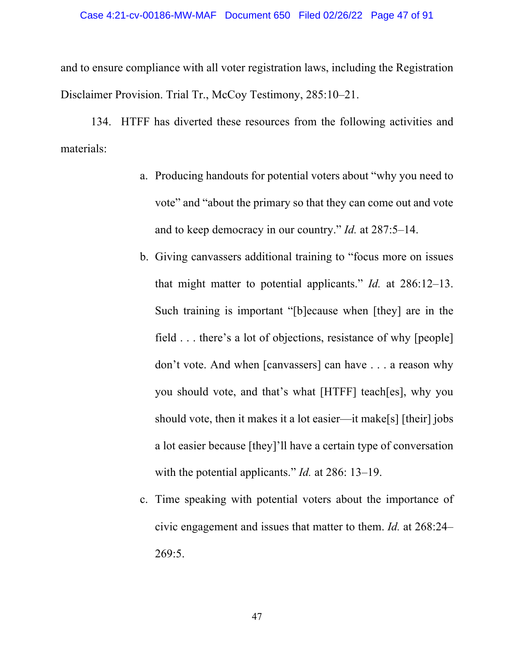and to ensure compliance with all voter registration laws, including the Registration Disclaimer Provision. Trial Tr., McCoy Testimony, 285:10–21.

134. HTFF has diverted these resources from the following activities and materials:

- a. Producing handouts for potential voters about "why you need to vote" and "about the primary so that they can come out and vote and to keep democracy in our country." *Id.* at 287:5–14.
- b. Giving canvassers additional training to "focus more on issues that might matter to potential applicants." *Id.* at 286:12–13. Such training is important "[b]ecause when [they] are in the field . . . there's a lot of objections, resistance of why [people] don't vote. And when [canvassers] can have . . . a reason why you should vote, and that's what [HTFF] teach[es], why you should vote, then it makes it a lot easier—it make[s] [their] jobs a lot easier because [they]'ll have a certain type of conversation with the potential applicants." *Id.* at 286: 13–19.
- c. Time speaking with potential voters about the importance of civic engagement and issues that matter to them. *Id.* at 268:24– 269:5.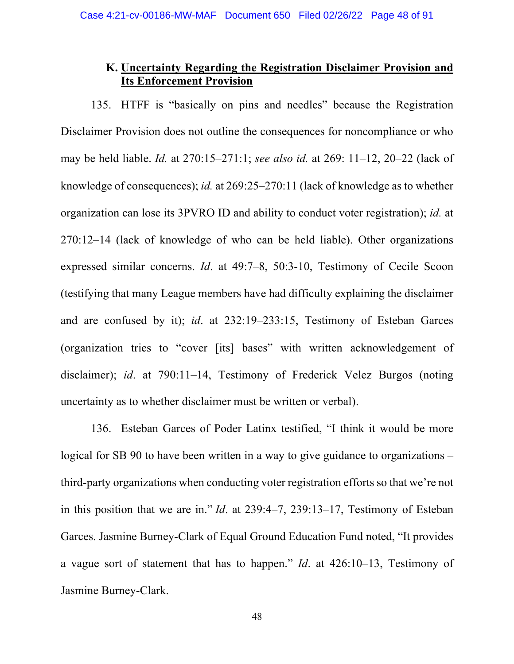### **K. Uncertainty Regarding the Registration Disclaimer Provision and Its Enforcement Provision**

135. HTFF is "basically on pins and needles" because the Registration Disclaimer Provision does not outline the consequences for noncompliance or who may be held liable. *Id.* at 270:15–271:1; *see also id.* at 269: 11–12, 20–22 (lack of knowledge of consequences); *id.* at 269:25–270:11 (lack of knowledge as to whether organization can lose its 3PVRO ID and ability to conduct voter registration); *id.* at 270:12–14 (lack of knowledge of who can be held liable). Other organizations expressed similar concerns. *Id*. at 49:7–8, 50:3-10, Testimony of Cecile Scoon (testifying that many League members have had difficulty explaining the disclaimer and are confused by it); *id*. at 232:19–233:15, Testimony of Esteban Garces (organization tries to "cover [its] bases" with written acknowledgement of disclaimer); *id*. at 790:11–14, Testimony of Frederick Velez Burgos (noting uncertainty as to whether disclaimer must be written or verbal).

136. Esteban Garces of Poder Latinx testified, "I think it would be more logical for SB 90 to have been written in a way to give guidance to organizations – third-party organizations when conducting voter registration efforts so that we're not in this position that we are in." *Id*. at 239:4–7, 239:13–17, Testimony of Esteban Garces. Jasmine Burney-Clark of Equal Ground Education Fund noted, "It provides a vague sort of statement that has to happen." *Id*. at 426:10–13, Testimony of Jasmine Burney-Clark.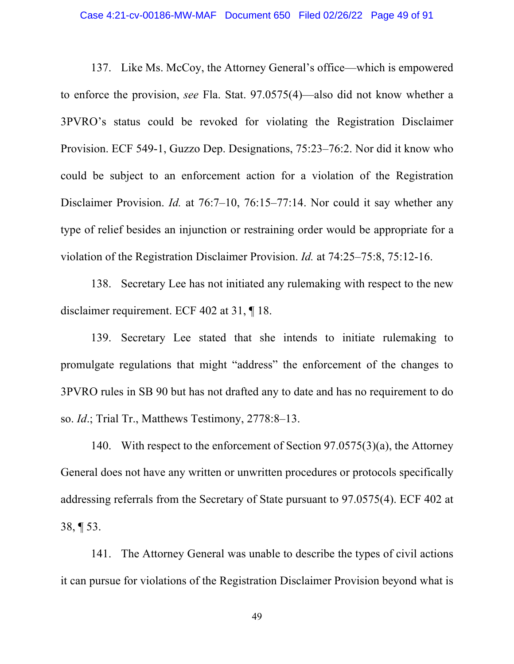137. Like Ms. McCoy, the Attorney General's office—which is empowered to enforce the provision, *see* Fla. Stat. 97.0575(4)—also did not know whether a 3PVRO's status could be revoked for violating the Registration Disclaimer Provision. ECF 549-1, Guzzo Dep. Designations, 75:23–76:2. Nor did it know who could be subject to an enforcement action for a violation of the Registration Disclaimer Provision. *Id.* at 76:7–10, 76:15–77:14. Nor could it say whether any type of relief besides an injunction or restraining order would be appropriate for a violation of the Registration Disclaimer Provision. *Id.* at 74:25–75:8, 75:12-16.

138. Secretary Lee has not initiated any rulemaking with respect to the new disclaimer requirement. ECF 402 at 31, ¶ 18.

139. Secretary Lee stated that she intends to initiate rulemaking to promulgate regulations that might "address" the enforcement of the changes to 3PVRO rules in SB 90 but has not drafted any to date and has no requirement to do so. *Id*.; Trial Tr., Matthews Testimony, 2778:8–13.

140. With respect to the enforcement of Section 97.0575(3)(a), the Attorney General does not have any written or unwritten procedures or protocols specifically addressing referrals from the Secretary of State pursuant to 97.0575(4). ECF 402 at 38, ¶ 53.

141. The Attorney General was unable to describe the types of civil actions it can pursue for violations of the Registration Disclaimer Provision beyond what is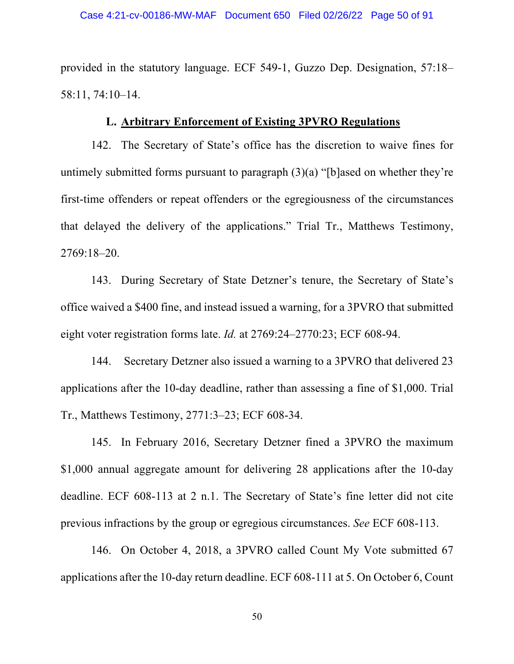provided in the statutory language. ECF 549-1, Guzzo Dep. Designation, 57:18– 58:11, 74:10–14.

### **L. Arbitrary Enforcement of Existing 3PVRO Regulations**

142. The Secretary of State's office has the discretion to waive fines for untimely submitted forms pursuant to paragraph (3)(a) "[b]ased on whether they're first-time offenders or repeat offenders or the egregiousness of the circumstances that delayed the delivery of the applications." Trial Tr., Matthews Testimony, 2769:18–20.

143. During Secretary of State Detzner's tenure, the Secretary of State's office waived a \$400 fine, and instead issued a warning, for a 3PVRO that submitted eight voter registration forms late. *Id.* at 2769:24–2770:23; ECF 608-94.

144. Secretary Detzner also issued a warning to a 3PVRO that delivered 23 applications after the 10-day deadline, rather than assessing a fine of \$1,000. Trial Tr., Matthews Testimony, 2771:3–23; ECF 608-34.

145. In February 2016, Secretary Detzner fined a 3PVRO the maximum \$1,000 annual aggregate amount for delivering 28 applications after the 10-day deadline. ECF 608-113 at 2 n.1. The Secretary of State's fine letter did not cite previous infractions by the group or egregious circumstances. *See* ECF 608-113.

146. On October 4, 2018, a 3PVRO called Count My Vote submitted 67 applications after the 10-day return deadline. ECF 608-111 at 5. On October 6, Count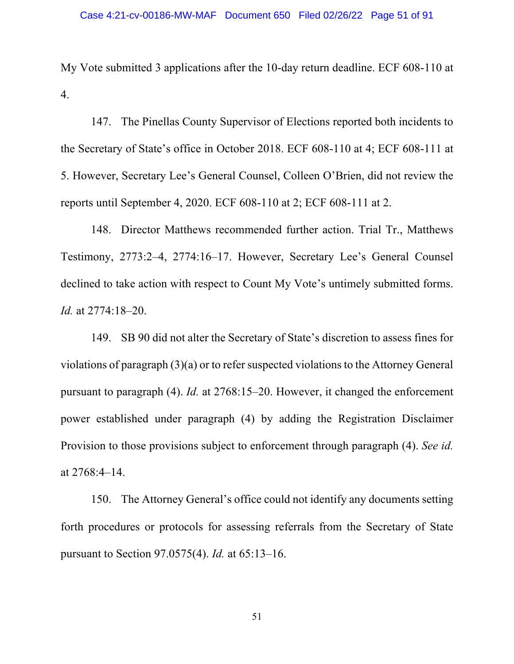My Vote submitted 3 applications after the 10-day return deadline. ECF 608-110 at 4.

147. The Pinellas County Supervisor of Elections reported both incidents to the Secretary of State's office in October 2018. ECF 608-110 at 4; ECF 608-111 at 5. However, Secretary Lee's General Counsel, Colleen O'Brien, did not review the reports until September 4, 2020. ECF 608-110 at 2; ECF 608-111 at 2.

148. Director Matthews recommended further action. Trial Tr., Matthews Testimony, 2773:2–4, 2774:16–17. However, Secretary Lee's General Counsel declined to take action with respect to Count My Vote's untimely submitted forms. *Id.* at 2774:18–20.

149. SB 90 did not alter the Secretary of State's discretion to assess fines for violations of paragraph (3)(a) or to refer suspected violations to the Attorney General pursuant to paragraph (4). *Id.* at 2768:15–20. However, it changed the enforcement power established under paragraph (4) by adding the Registration Disclaimer Provision to those provisions subject to enforcement through paragraph (4). *See id.*  at 2768:4–14.

150. The Attorney General's office could not identify any documents setting forth procedures or protocols for assessing referrals from the Secretary of State pursuant to Section 97.0575(4). *Id.* at 65:13–16.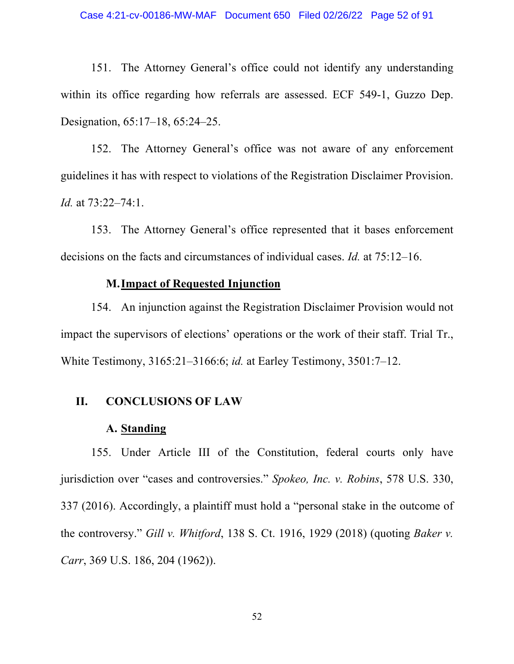151. The Attorney General's office could not identify any understanding within its office regarding how referrals are assessed. ECF 549-1, Guzzo Dep. Designation, 65:17–18, 65:24–25.

152. The Attorney General's office was not aware of any enforcement guidelines it has with respect to violations of the Registration Disclaimer Provision. *Id.* at 73:22–74:1.

153. The Attorney General's office represented that it bases enforcement decisions on the facts and circumstances of individual cases. *Id.* at 75:12–16.

## **M.Impact of Requested Injunction**

154. An injunction against the Registration Disclaimer Provision would not impact the supervisors of elections' operations or the work of their staff. Trial Tr., White Testimony, 3165:21–3166:6; *id.* at Earley Testimony, 3501:7–12.

### **II. CONCLUSIONS OF LAW**

### **A. Standing**

155. Under Article III of the Constitution, federal courts only have jurisdiction over "cases and controversies." *Spokeo, Inc. v. Robins*, 578 U.S. 330, 337 (2016). Accordingly, a plaintiff must hold a "personal stake in the outcome of the controversy." *Gill v. Whitford*, 138 S. Ct. 1916, 1929 (2018) (quoting *Baker v. Carr*, 369 U.S. 186, 204 (1962)).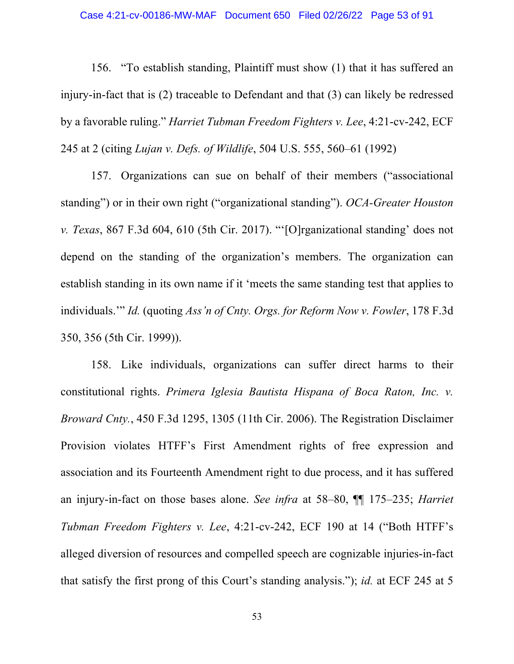156. "To establish standing, Plaintiff must show (1) that it has suffered an injury-in-fact that is (2) traceable to Defendant and that (3) can likely be redressed by a favorable ruling." *Harriet Tubman Freedom Fighters v. Lee*, 4:21-cv-242, ECF 245 at 2 (citing *Lujan v. Defs. of Wildlife*, 504 U.S. 555, 560–61 (1992)

157. Organizations can sue on behalf of their members ("associational standing") or in their own right ("organizational standing"). *OCA-Greater Houston v. Texas*, 867 F.3d 604, 610 (5th Cir. 2017). "'[O]rganizational standing' does not depend on the standing of the organization's members. The organization can establish standing in its own name if it 'meets the same standing test that applies to individuals.'" *Id.* (quoting *Ass'n of Cnty. Orgs. for Reform Now v. Fowler*, 178 F.3d 350, 356 (5th Cir. 1999)).

158. Like individuals, organizations can suffer direct harms to their constitutional rights. *Primera Iglesia Bautista Hispana of Boca Raton, Inc. v. Broward Cnty.*, 450 F.3d 1295, 1305 (11th Cir. 2006). The Registration Disclaimer Provision violates HTFF's First Amendment rights of free expression and association and its Fourteenth Amendment right to due process, and it has suffered an injury-in-fact on those bases alone. *See infra* at 58–80, ¶¶ 175–235; *Harriet Tubman Freedom Fighters v. Lee*, 4:21-cv-242, ECF 190 at 14 ("Both HTFF's alleged diversion of resources and compelled speech are cognizable injuries-in-fact that satisfy the first prong of this Court's standing analysis."); *id.* at ECF 245 at 5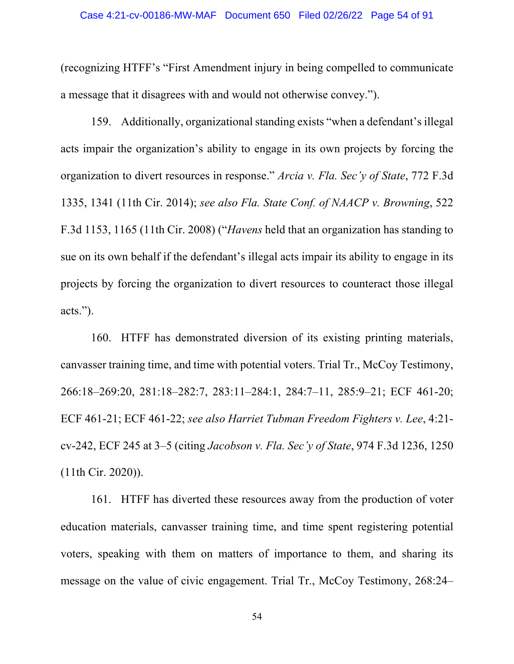(recognizing HTFF's "First Amendment injury in being compelled to communicate a message that it disagrees with and would not otherwise convey.").

159. Additionally, organizational standing exists "when a defendant's illegal acts impair the organization's ability to engage in its own projects by forcing the organization to divert resources in response." *Arcia v. Fla. Sec'y of State*, 772 F.3d 1335, 1341 (11th Cir. 2014); *see also Fla. State Conf. of NAACP v. Browning*, 522 F.3d 1153, 1165 (11th Cir. 2008) ("*Havens* held that an organization has standing to sue on its own behalf if the defendant's illegal acts impair its ability to engage in its projects by forcing the organization to divert resources to counteract those illegal acts.").

160. HTFF has demonstrated diversion of its existing printing materials, canvasser training time, and time with potential voters. Trial Tr., McCoy Testimony, 266:18–269:20, 281:18–282:7, 283:11–284:1, 284:7–11, 285:9–21; ECF 461-20; ECF 461-21; ECF 461-22; *see also Harriet Tubman Freedom Fighters v. Lee*, 4:21 cv-242, ECF 245 at 3–5 (citing *Jacobson v. Fla. Sec'y of State*, 974 F.3d 1236, 1250 (11th Cir. 2020)).

161. HTFF has diverted these resources away from the production of voter education materials, canvasser training time, and time spent registering potential voters, speaking with them on matters of importance to them, and sharing its message on the value of civic engagement. Trial Tr., McCoy Testimony, 268:24–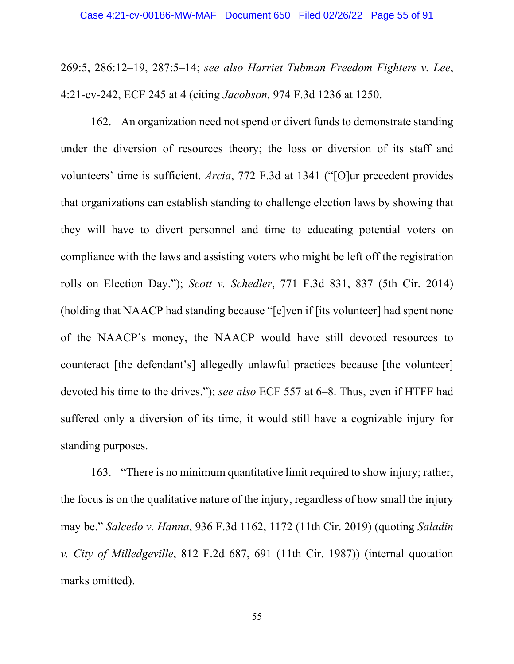269:5, 286:12–19, 287:5–14; *see also Harriet Tubman Freedom Fighters v. Lee*, 4:21-cv-242, ECF 245 at 4 (citing *Jacobson*, 974 F.3d 1236 at 1250.

162. An organization need not spend or divert funds to demonstrate standing under the diversion of resources theory; the loss or diversion of its staff and volunteers' time is sufficient. *Arcia*, 772 F.3d at 1341 ("[O]ur precedent provides that organizations can establish standing to challenge election laws by showing that they will have to divert personnel and time to educating potential voters on compliance with the laws and assisting voters who might be left off the registration rolls on Election Day."); *Scott v. Schedler*, 771 F.3d 831, 837 (5th Cir. 2014) (holding that NAACP had standing because "[e]ven if [its volunteer] had spent none of the NAACP's money, the NAACP would have still devoted resources to counteract [the defendant's] allegedly unlawful practices because [the volunteer] devoted his time to the drives."); *see also* ECF 557 at 6–8. Thus, even if HTFF had suffered only a diversion of its time, it would still have a cognizable injury for standing purposes.

163. "There is no minimum quantitative limit required to show injury; rather, the focus is on the qualitative nature of the injury, regardless of how small the injury may be." *Salcedo v. Hanna*, 936 F.3d 1162, 1172 (11th Cir. 2019) (quoting *Saladin v. City of Milledgeville*, 812 F.2d 687, 691 (11th Cir. 1987)) (internal quotation marks omitted).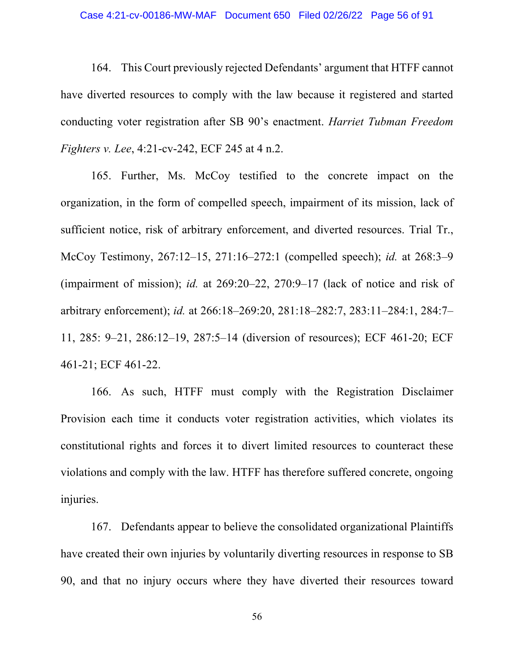#### Case 4:21-cv-00186-MW-MAF Document 650 Filed 02/26/22 Page 56 of 91

164. This Court previously rejected Defendants' argument that HTFF cannot have diverted resources to comply with the law because it registered and started conducting voter registration after SB 90's enactment. *Harriet Tubman Freedom Fighters v. Lee*, 4:21-cv-242, ECF 245 at 4 n.2.

165. Further, Ms. McCoy testified to the concrete impact on the organization, in the form of compelled speech, impairment of its mission, lack of sufficient notice, risk of arbitrary enforcement, and diverted resources. Trial Tr., McCoy Testimony, 267:12–15, 271:16–272:1 (compelled speech); *id.* at 268:3–9 (impairment of mission); *id.* at 269:20–22, 270:9–17 (lack of notice and risk of arbitrary enforcement); *id.* at 266:18–269:20, 281:18–282:7, 283:11–284:1, 284:7– 11, 285: 9–21, 286:12–19, 287:5–14 (diversion of resources); ECF 461-20; ECF 461-21; ECF 461-22.

166. As such, HTFF must comply with the Registration Disclaimer Provision each time it conducts voter registration activities, which violates its constitutional rights and forces it to divert limited resources to counteract these violations and comply with the law. HTFF has therefore suffered concrete, ongoing injuries.

167. Defendants appear to believe the consolidated organizational Plaintiffs have created their own injuries by voluntarily diverting resources in response to SB 90, and that no injury occurs where they have diverted their resources toward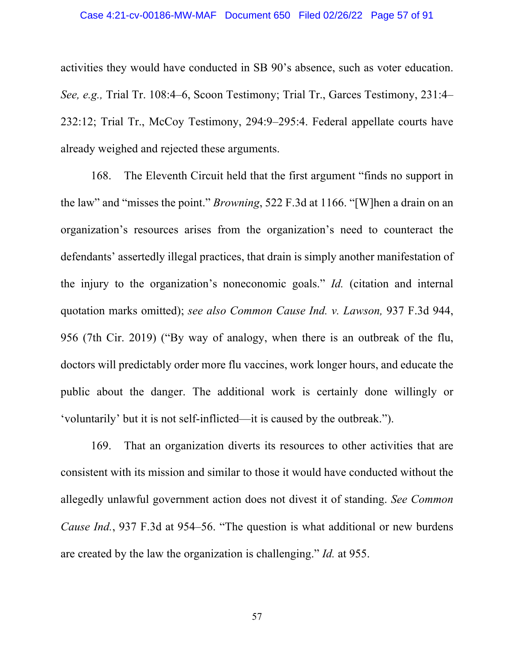activities they would have conducted in SB 90's absence, such as voter education. *See, e.g.,* Trial Tr. 108:4–6, Scoon Testimony; Trial Tr., Garces Testimony, 231:4– 232:12; Trial Tr., McCoy Testimony, 294:9–295:4. Federal appellate courts have already weighed and rejected these arguments.

168. The Eleventh Circuit held that the first argument "finds no support in the law" and "misses the point." *Browning*, 522 F.3d at 1166. "[W]hen a drain on an organization's resources arises from the organization's need to counteract the defendants' assertedly illegal practices, that drain is simply another manifestation of the injury to the organization's noneconomic goals." *Id.* (citation and internal quotation marks omitted); *see also Common Cause Ind. v. Lawson,* 937 F.3d 944, 956 (7th Cir. 2019) ("By way of analogy, when there is an outbreak of the flu, doctors will predictably order more flu vaccines, work longer hours, and educate the public about the danger. The additional work is certainly done willingly or 'voluntarily' but it is not self-inflicted—it is caused by the outbreak.").

169. That an organization diverts its resources to other activities that are consistent with its mission and similar to those it would have conducted without the allegedly unlawful government action does not divest it of standing. *See Common Cause Ind.*, 937 F.3d at 954–56. "The question is what additional or new burdens are created by the law the organization is challenging." *Id.* at 955.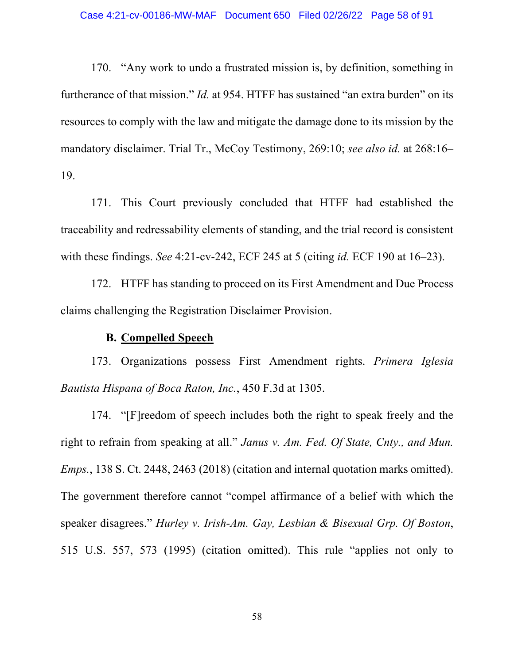170. "Any work to undo a frustrated mission is, by definition, something in furtherance of that mission." *Id.* at 954. HTFF has sustained "an extra burden" on its resources to comply with the law and mitigate the damage done to its mission by the mandatory disclaimer. Trial Tr., McCoy Testimony, 269:10; *see also id.* at 268:16– 19.

171. This Court previously concluded that HTFF had established the traceability and redressability elements of standing, and the trial record is consistent with these findings. *See* 4:21-cv-242, ECF 245 at 5 (citing *id.* ECF 190 at 16–23).

172. HTFF has standing to proceed on its First Amendment and Due Process claims challenging the Registration Disclaimer Provision.

## **B. Compelled Speech**

173. Organizations possess First Amendment rights. *Primera Iglesia Bautista Hispana of Boca Raton, Inc.*, 450 F.3d at 1305.

174. "[F]reedom of speech includes both the right to speak freely and the right to refrain from speaking at all." *Janus v. Am. Fed. Of State, Cnty., and Mun. Emps.*, 138 S. Ct. 2448, 2463 (2018) (citation and internal quotation marks omitted). The government therefore cannot "compel affirmance of a belief with which the speaker disagrees." *Hurley v. Irish-Am. Gay, Lesbian & Bisexual Grp. Of Boston*, 515 U.S. 557, 573 (1995) (citation omitted). This rule "applies not only to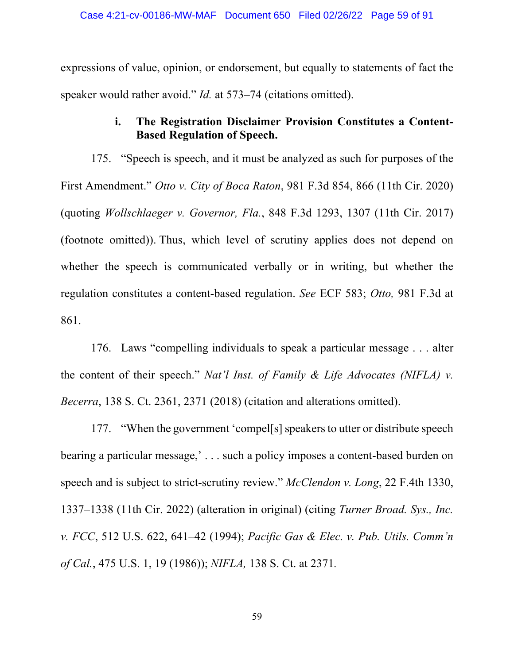expressions of value, opinion, or endorsement, but equally to statements of fact the speaker would rather avoid." *Id.* at 573–74 (citations omitted).

# **i. The Registration Disclaimer Provision Constitutes a Content-Based Regulation of Speech.**

175. "Speech is speech, and it must be analyzed as such for purposes of the First Amendment." *Otto v. City of Boca Raton*, 981 F.3d 854, 866 (11th Cir. 2020) (quoting *Wollschlaeger v. Governor, Fla.*, 848 F.3d 1293, 1307 (11th Cir. 2017) (footnote omitted)). Thus, which level of scrutiny applies does not depend on whether the speech is communicated verbally or in writing, but whether the regulation constitutes a content-based regulation. *See* ECF 583; *Otto,* 981 F.3d at 861.

176. Laws "compelling individuals to speak a particular message . . . alter the content of their speech." *Nat'l Inst. of Family & Life Advocates (NIFLA) v. Becerra*, 138 S. Ct. 2361, 2371 (2018) (citation and alterations omitted).

177. "When the government 'compel[s] speakers to utter or distribute speech bearing a particular message,' . . . such a policy imposes a content-based burden on speech and is subject to strict-scrutiny review." *McClendon v. Long*, 22 F.4th 1330, 1337–1338 (11th Cir. 2022) (alteration in original) (citing *Turner Broad. Sys., Inc. v. FCC*, 512 U.S. 622, 641–42 (1994); *Pacific Gas & Elec. v. Pub. Utils. Comm'n of Cal.*, 475 U.S. 1, 19 (1986)); *NIFLA,* 138 S. Ct. at 2371*.*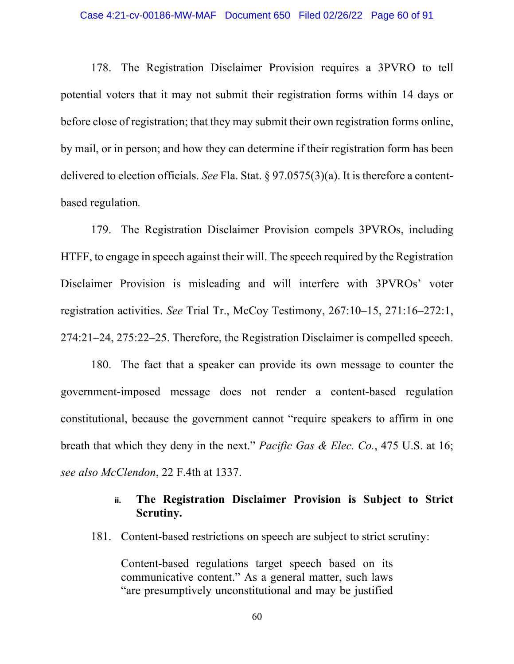#### Case 4:21-cv-00186-MW-MAF Document 650 Filed 02/26/22 Page 60 of 91

178. The Registration Disclaimer Provision requires a 3PVRO to tell potential voters that it may not submit their registration forms within 14 days or before close of registration; that they may submit their own registration forms online, by mail, or in person; and how they can determine if their registration form has been delivered to election officials. *See* Fla. Stat. § 97.0575(3)(a). It is therefore a contentbased regulation*.*

179. The Registration Disclaimer Provision compels 3PVROs, including HTFF, to engage in speech against their will. The speech required by the Registration Disclaimer Provision is misleading and will interfere with 3PVROs' voter registration activities. *See* Trial Tr., McCoy Testimony, 267:10–15, 271:16–272:1, 274:21–24, 275:22–25. Therefore, the Registration Disclaimer is compelled speech.

180. The fact that a speaker can provide its own message to counter the government-imposed message does not render a content-based regulation constitutional, because the government cannot "require speakers to affirm in one breath that which they deny in the next." *Pacific Gas & Elec. Co.*, 475 U.S. at 16; *see also McClendon*, 22 F.4th at 1337.

# **ii. The Registration Disclaimer Provision is Subject to Strict Scrutiny.**

181. Content-based restrictions on speech are subject to strict scrutiny:

Content-based regulations target speech based on its communicative content." As a general matter, such laws "are presumptively unconstitutional and may be justified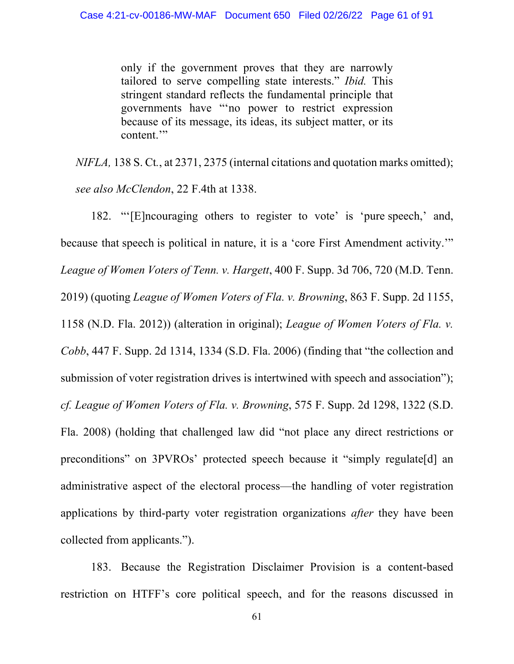only if the government proves that they are narrowly tailored to serve compelling state interests." *Ibid.* This stringent standard reflects the fundamental principle that governments have "'no power to restrict expression because of its message, its ideas, its subject matter, or its content."

*NIFLA,* 138 S. Ct*.*, at 2371, 2375 (internal citations and quotation marks omitted); *see also McClendon*, 22 F.4th at 1338.

182. "'[E]ncouraging others to register to vote' is 'pure speech,' and, because that speech is political in nature, it is a 'core First Amendment activity.'" *League of Women Voters of Tenn. v. Hargett*, 400 F. Supp. 3d 706, 720 (M.D. Tenn. 2019) (quoting *League of Women Voters of Fla. v. Browning*, 863 F. Supp. 2d 1155, 1158 (N.D. Fla. 2012)) (alteration in original); *League of Women Voters of Fla. v. Cobb*, 447 F. Supp. 2d 1314, 1334 (S.D. Fla. 2006) (finding that "the collection and submission of voter registration drives is intertwined with speech and association"); *cf. League of Women Voters of Fla. v. Browning*, 575 F. Supp. 2d 1298, 1322 (S.D. Fla. 2008) (holding that challenged law did "not place any direct restrictions or preconditions" on 3PVROs' protected speech because it "simply regulate[d] an administrative aspect of the electoral process—the handling of voter registration applications by third-party voter registration organizations *after* they have been collected from applicants.").

183. Because the Registration Disclaimer Provision is a content-based restriction on HTFF's core political speech, and for the reasons discussed in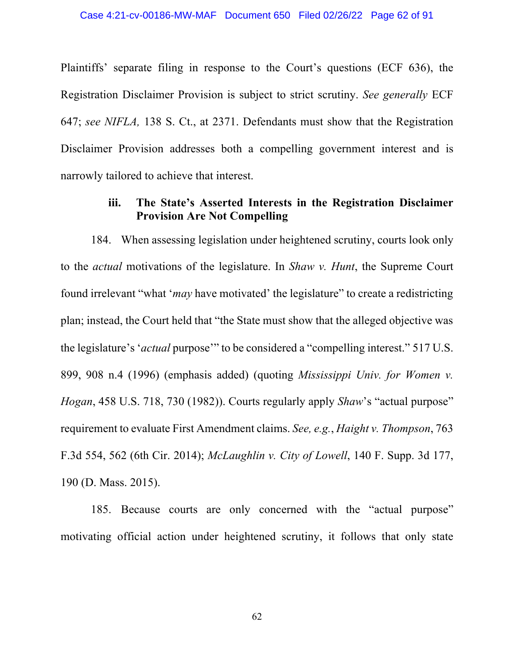Plaintiffs' separate filing in response to the Court's questions (ECF 636), the Registration Disclaimer Provision is subject to strict scrutiny. *See generally* ECF 647; *see NIFLA,* 138 S. Ct., at 2371. Defendants must show that the Registration Disclaimer Provision addresses both a compelling government interest and is narrowly tailored to achieve that interest.

### **iii. The State's Asserted Interests in the Registration Disclaimer Provision Are Not Compelling**

184. When assessing legislation under heightened scrutiny, courts look only to the *actual* motivations of the legislature. In *Shaw v. Hunt*, the Supreme Court found irrelevant "what '*may* have motivated' the legislature" to create a redistricting plan; instead, the Court held that "the State must show that the alleged objective was the legislature's '*actual* purpose'" to be considered a "compelling interest." 517 U.S. 899, 908 n.4 (1996) (emphasis added) (quoting *Mississippi Univ. for Women v. Hogan*, 458 U.S. 718, 730 (1982)). Courts regularly apply *Shaw*'s "actual purpose" requirement to evaluate First Amendment claims. *See, e.g.*, *Haight v. Thompson*, 763 F.3d 554, 562 (6th Cir. 2014); *McLaughlin v. City of Lowell*, 140 F. Supp. 3d 177, 190 (D. Mass. 2015).

185. Because courts are only concerned with the "actual purpose" motivating official action under heightened scrutiny, it follows that only state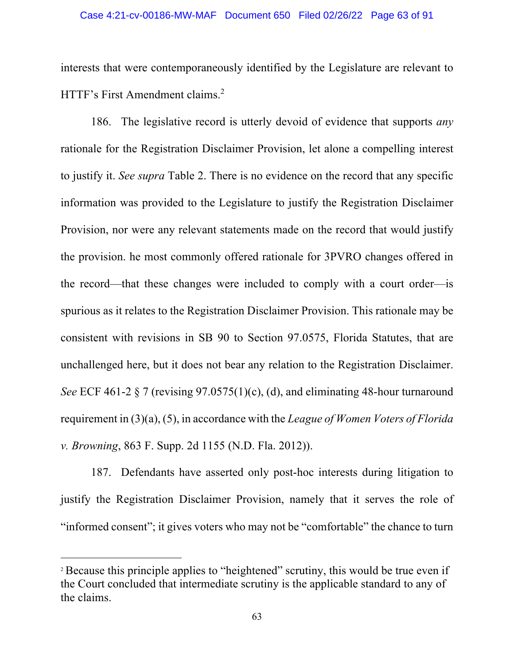interests that were contemporaneously identified by the Legislature are relevant to HTTF's First Amendment claims. 2

186. The legislative record is utterly devoid of evidence that supports *any* rationale for the Registration Disclaimer Provision, let alone a compelling interest to justify it. *See supra* Table 2. There is no evidence on the record that any specific information was provided to the Legislature to justify the Registration Disclaimer Provision, nor were any relevant statements made on the record that would justify the provision. he most commonly offered rationale for 3PVRO changes offered in the record—that these changes were included to comply with a court order—is spurious as it relates to the Registration Disclaimer Provision. This rationale may be consistent with revisions in SB 90 to Section 97.0575, Florida Statutes, that are unchallenged here, but it does not bear any relation to the Registration Disclaimer. *See* ECF 461-2 § 7 (revising 97.0575(1)(c), (d), and eliminating 48-hour turnaround requirement in (3)(a), (5), in accordance with the *League of Women Voters of Florida v. Browning*, 863 F. Supp. 2d 1155 (N.D. Fla. 2012)).

187. Defendants have asserted only post-hoc interests during litigation to justify the Registration Disclaimer Provision, namely that it serves the role of "informed consent"; it gives voters who may not be "comfortable" the chance to turn

<sup>&</sup>lt;sup>2</sup> Because this principle applies to "heightened" scrutiny, this would be true even if the Court concluded that intermediate scrutiny is the applicable standard to any of the claims.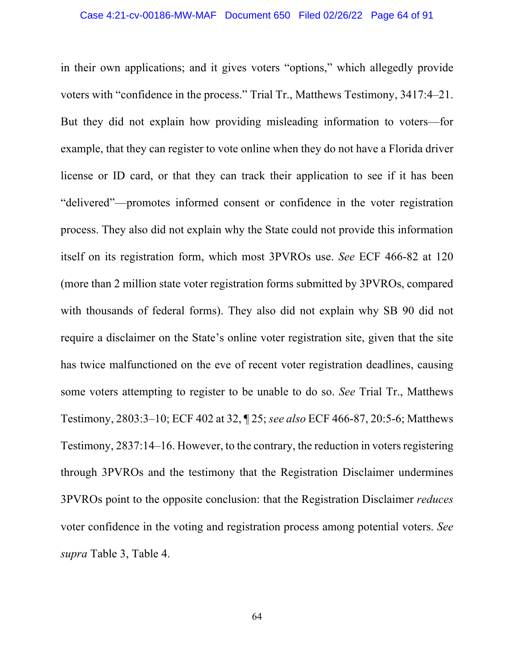in their own applications; and it gives voters "options," which allegedly provide voters with "confidence in the process." Trial Tr., Matthews Testimony, 3417:4–21. But they did not explain how providing misleading information to voters—for example, that they can register to vote online when they do not have a Florida driver license or ID card, or that they can track their application to see if it has been "delivered"—promotes informed consent or confidence in the voter registration process. They also did not explain why the State could not provide this information itself on its registration form, which most 3PVROs use. *See* ECF 466-82 at 120 (more than 2 million state voter registration forms submitted by 3PVROs, compared with thousands of federal forms). They also did not explain why SB 90 did not require a disclaimer on the State's online voter registration site, given that the site has twice malfunctioned on the eve of recent voter registration deadlines, causing some voters attempting to register to be unable to do so. *See* Trial Tr., Matthews Testimony, 2803:3–10; ECF 402 at 32, ¶ 25; *see also* ECF 466-87, 20:5-6; Matthews Testimony, 2837:14–16. However, to the contrary, the reduction in voters registering through 3PVROs and the testimony that the Registration Disclaimer undermines 3PVROs point to the opposite conclusion: that the Registration Disclaimer *reduces* voter confidence in the voting and registration process among potential voters. *See supra* Table 3, Table 4.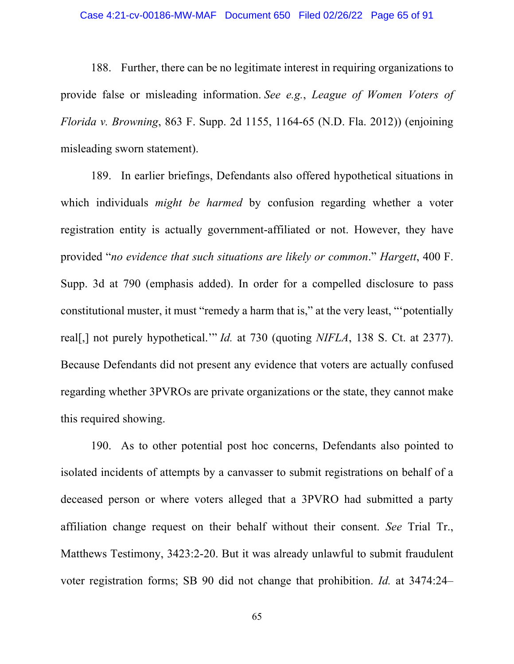188. Further, there can be no legitimate interest in requiring organizations to provide false or misleading information. *See e.g.*, *League of Women Voters of Florida v. Browning*, 863 F. Supp. 2d 1155, 1164-65 (N.D. Fla. 2012)) (enjoining misleading sworn statement).

189. In earlier briefings, Defendants also offered hypothetical situations in which individuals *might be harmed* by confusion regarding whether a voter registration entity is actually government-affiliated or not. However, they have provided "*no evidence that such situations are likely or common*." *Hargett*, 400 F. Supp. 3d at 790 (emphasis added). In order for a compelled disclosure to pass constitutional muster, it must "remedy a harm that is," at the very least, "'potentially real[,] not purely hypothetical.'" *Id.* at 730 (quoting *NIFLA*, 138 S. Ct. at 2377). Because Defendants did not present any evidence that voters are actually confused regarding whether 3PVROs are private organizations or the state, they cannot make this required showing.

190. As to other potential post hoc concerns, Defendants also pointed to isolated incidents of attempts by a canvasser to submit registrations on behalf of a deceased person or where voters alleged that a 3PVRO had submitted a party affiliation change request on their behalf without their consent. *See* Trial Tr., Matthews Testimony, 3423:2-20. But it was already unlawful to submit fraudulent voter registration forms; SB 90 did not change that prohibition. *Id.* at 3474:24–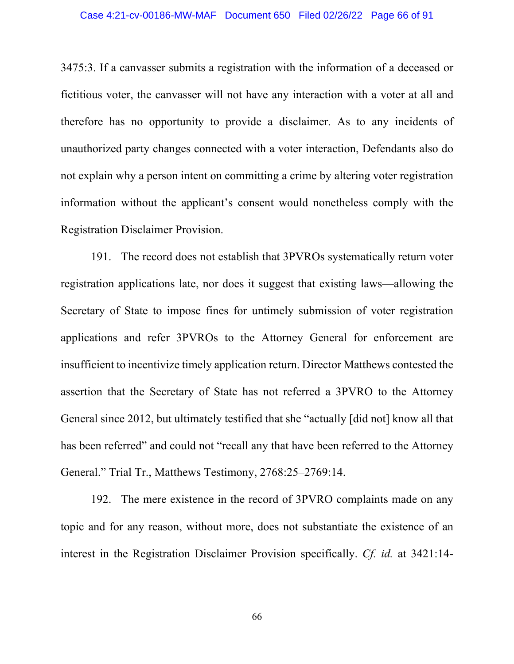3475:3. If a canvasser submits a registration with the information of a deceased or fictitious voter, the canvasser will not have any interaction with a voter at all and therefore has no opportunity to provide a disclaimer. As to any incidents of unauthorized party changes connected with a voter interaction, Defendants also do not explain why a person intent on committing a crime by altering voter registration information without the applicant's consent would nonetheless comply with the Registration Disclaimer Provision.

191. The record does not establish that 3PVROs systematically return voter registration applications late, nor does it suggest that existing laws—allowing the Secretary of State to impose fines for untimely submission of voter registration applications and refer 3PVROs to the Attorney General for enforcement are insufficient to incentivize timely application return. Director Matthews contested the assertion that the Secretary of State has not referred a 3PVRO to the Attorney General since 2012, but ultimately testified that she "actually [did not] know all that has been referred" and could not "recall any that have been referred to the Attorney General." Trial Tr., Matthews Testimony, 2768:25–2769:14.

192. The mere existence in the record of 3PVRO complaints made on any topic and for any reason, without more, does not substantiate the existence of an interest in the Registration Disclaimer Provision specifically. *Cf. id.* at 3421:14-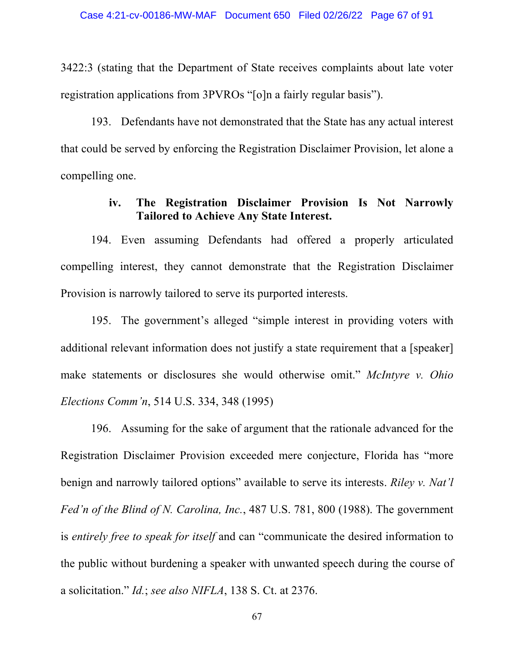3422:3 (stating that the Department of State receives complaints about late voter registration applications from 3PVROs "[o]n a fairly regular basis").

193. Defendants have not demonstrated that the State has any actual interest that could be served by enforcing the Registration Disclaimer Provision, let alone a compelling one.

## **iv. The Registration Disclaimer Provision Is Not Narrowly Tailored to Achieve Any State Interest.**

194. Even assuming Defendants had offered a properly articulated compelling interest, they cannot demonstrate that the Registration Disclaimer Provision is narrowly tailored to serve its purported interests.

195. The government's alleged "simple interest in providing voters with additional relevant information does not justify a state requirement that a [speaker] make statements or disclosures she would otherwise omit." *McIntyre v. Ohio Elections Comm'n*, 514 U.S. 334, 348 (1995)

196. Assuming for the sake of argument that the rationale advanced for the Registration Disclaimer Provision exceeded mere conjecture, Florida has "more benign and narrowly tailored options" available to serve its interests. *Riley v. Nat'l Fed'n of the Blind of N. Carolina, Inc.*, 487 U.S. 781, 800 (1988). The government is *entirely free to speak for itself* and can "communicate the desired information to the public without burdening a speaker with unwanted speech during the course of a solicitation." *Id.*; *see also NIFLA*, 138 S. Ct. at 2376.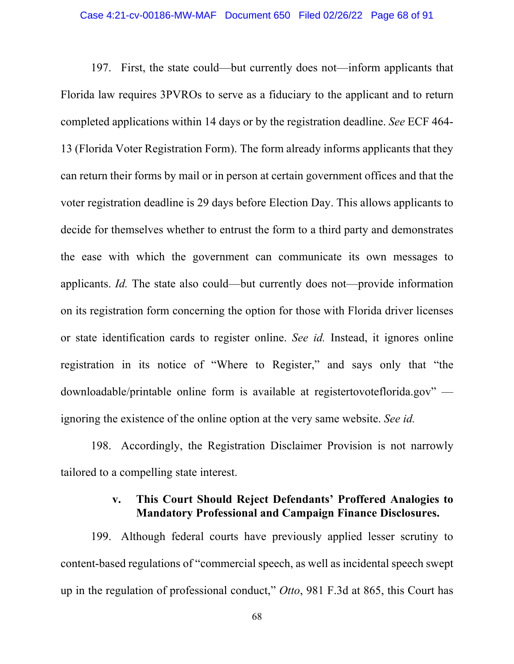197. First, the state could—but currently does not—inform applicants that Florida law requires 3PVROs to serve as a fiduciary to the applicant and to return completed applications within 14 days or by the registration deadline. *See* ECF 464- 13 (Florida Voter Registration Form). The form already informs applicants that they can return their forms by mail or in person at certain government offices and that the voter registration deadline is 29 days before Election Day. This allows applicants to decide for themselves whether to entrust the form to a third party and demonstrates the ease with which the government can communicate its own messages to applicants. *Id.* The state also could—but currently does not—provide information on its registration form concerning the option for those with Florida driver licenses or state identification cards to register online. *See id.* Instead, it ignores online registration in its notice of "Where to Register," and says only that "the downloadable/printable online form is available at registertovoteflorida.gov" ignoring the existence of the online option at the very same website. *See id.*

198. Accordingly, the Registration Disclaimer Provision is not narrowly tailored to a compelling state interest.

## **v. This Court Should Reject Defendants' Proffered Analogies to Mandatory Professional and Campaign Finance Disclosures.**

199. Although federal courts have previously applied lesser scrutiny to content-based regulations of "commercial speech, as well as incidental speech swept up in the regulation of professional conduct," *Otto*, 981 F.3d at 865, this Court has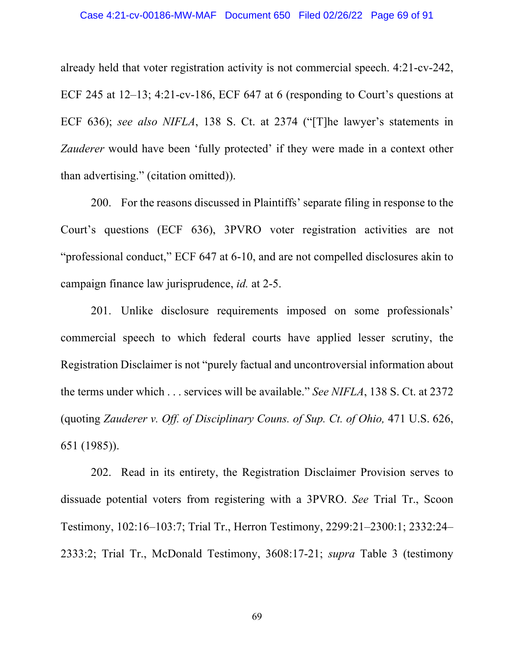already held that voter registration activity is not commercial speech. 4:21-cv-242, ECF 245 at 12–13; 4:21-cv-186, ECF 647 at 6 (responding to Court's questions at ECF 636); *see also NIFLA*, 138 S. Ct. at 2374 ("[T]he lawyer's statements in *Zauderer* would have been 'fully protected' if they were made in a context other than advertising." (citation omitted)).

200. For the reasons discussed in Plaintiffs' separate filing in response to the Court's questions (ECF 636), 3PVRO voter registration activities are not "professional conduct," ECF 647 at 6-10, and are not compelled disclosures akin to campaign finance law jurisprudence, *id.* at 2-5.

201. Unlike disclosure requirements imposed on some professionals' commercial speech to which federal courts have applied lesser scrutiny, the Registration Disclaimer is not "purely factual and uncontroversial information about the terms under which . . . services will be available." *See NIFLA*, 138 S. Ct. at 2372 (quoting *Zauderer v. Off. of Disciplinary Couns. of Sup. Ct. of Ohio,* 471 U.S. 626, 651 (1985)).

202. Read in its entirety, the Registration Disclaimer Provision serves to dissuade potential voters from registering with a 3PVRO. *See* Trial Tr., Scoon Testimony, 102:16–103:7; Trial Tr., Herron Testimony, 2299:21–2300:1; 2332:24– 2333:2; Trial Tr., McDonald Testimony, 3608:17-21; *supra* Table 3 (testimony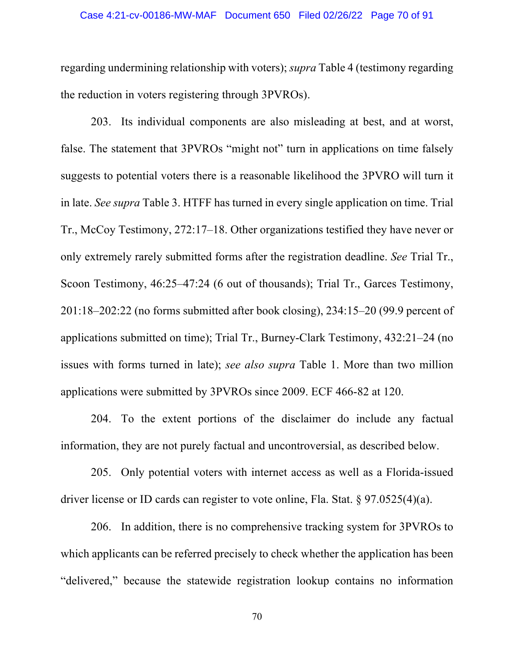regarding undermining relationship with voters); *supra* Table 4 (testimony regarding the reduction in voters registering through 3PVROs).

203. Its individual components are also misleading at best, and at worst, false. The statement that 3PVROs "might not" turn in applications on time falsely suggests to potential voters there is a reasonable likelihood the 3PVRO will turn it in late. *See supra* Table 3. HTFF has turned in every single application on time. Trial Tr., McCoy Testimony, 272:17–18. Other organizations testified they have never or only extremely rarely submitted forms after the registration deadline. *See* Trial Tr., Scoon Testimony, 46:25–47:24 (6 out of thousands); Trial Tr., Garces Testimony, 201:18–202:22 (no forms submitted after book closing), 234:15–20 (99.9 percent of applications submitted on time); Trial Tr., Burney-Clark Testimony, 432:21–24 (no issues with forms turned in late); *see also supra* Table 1. More than two million applications were submitted by 3PVROs since 2009. ECF 466-82 at 120.

204. To the extent portions of the disclaimer do include any factual information, they are not purely factual and uncontroversial, as described below.

205. Only potential voters with internet access as well as a Florida-issued driver license or ID cards can register to vote online, Fla. Stat. § 97.0525(4)(a).

206. In addition, there is no comprehensive tracking system for 3PVROs to which applicants can be referred precisely to check whether the application has been "delivered," because the statewide registration lookup contains no information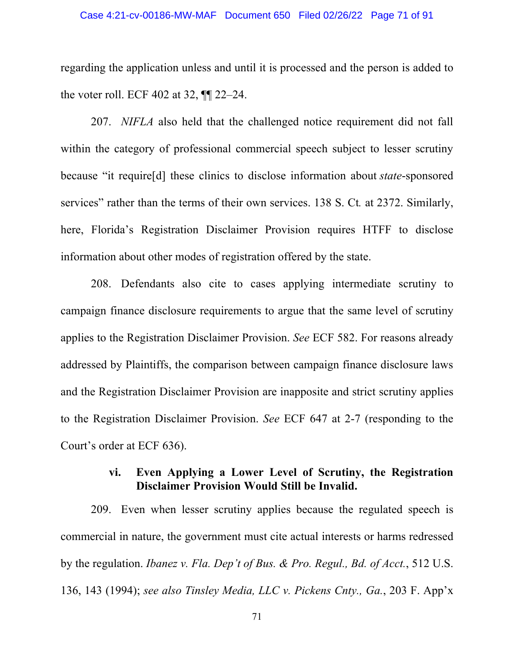regarding the application unless and until it is processed and the person is added to the voter roll. ECF 402 at 32, ¶¶ 22–24.

207. *NIFLA* also held that the challenged notice requirement did not fall within the category of professional commercial speech subject to lesser scrutiny because "it require[d] these clinics to disclose information about *state*-sponsored services" rather than the terms of their own services. 138 S. Ct*.* at 2372. Similarly, here, Florida's Registration Disclaimer Provision requires HTFF to disclose information about other modes of registration offered by the state.

208. Defendants also cite to cases applying intermediate scrutiny to campaign finance disclosure requirements to argue that the same level of scrutiny applies to the Registration Disclaimer Provision. *See* ECF 582. For reasons already addressed by Plaintiffs, the comparison between campaign finance disclosure laws and the Registration Disclaimer Provision are inapposite and strict scrutiny applies to the Registration Disclaimer Provision. *See* ECF 647 at 2-7 (responding to the Court's order at ECF 636).

## **vi. Even Applying a Lower Level of Scrutiny, the Registration Disclaimer Provision Would Still be Invalid.**

209. Even when lesser scrutiny applies because the regulated speech is commercial in nature, the government must cite actual interests or harms redressed by the regulation. *Ibanez v. Fla. Dep't of Bus. & Pro. Regul., Bd. of Acct.*, 512 U.S. 136, 143 (1994); *see also Tinsley Media, LLC v. Pickens Cnty., Ga.*, 203 F. App'x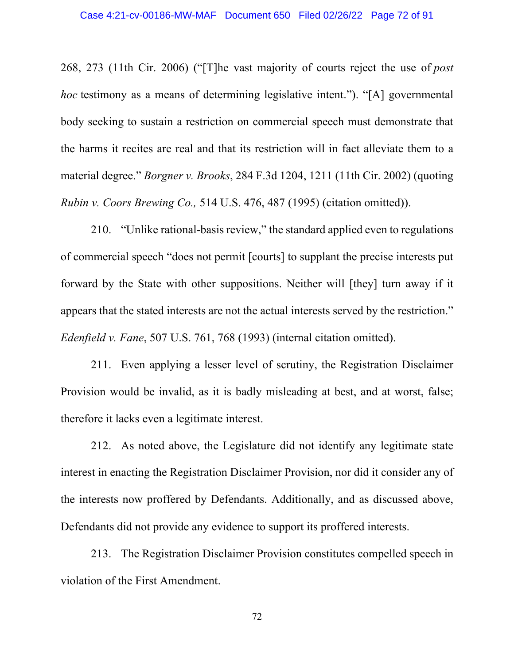268, 273 (11th Cir. 2006) ("[T]he vast majority of courts reject the use of *post hoc* testimony as a means of determining legislative intent."). "[A] governmental body seeking to sustain a restriction on commercial speech must demonstrate that the harms it recites are real and that its restriction will in fact alleviate them to a material degree." *Borgner v. Brooks*, 284 F.3d 1204, 1211 (11th Cir. 2002) (quoting *Rubin v. Coors Brewing Co.,* 514 U.S. 476, 487 (1995) (citation omitted)).

210. "Unlike rational-basis review," the standard applied even to regulations of commercial speech "does not permit [courts] to supplant the precise interests put forward by the State with other suppositions. Neither will [they] turn away if it appears that the stated interests are not the actual interests served by the restriction." *Edenfield v. Fane*, 507 U.S. 761, 768 (1993) (internal citation omitted).

211. Even applying a lesser level of scrutiny, the Registration Disclaimer Provision would be invalid, as it is badly misleading at best, and at worst, false; therefore it lacks even a legitimate interest.

212. As noted above, the Legislature did not identify any legitimate state interest in enacting the Registration Disclaimer Provision, nor did it consider any of the interests now proffered by Defendants. Additionally, and as discussed above, Defendants did not provide any evidence to support its proffered interests.

213. The Registration Disclaimer Provision constitutes compelled speech in violation of the First Amendment.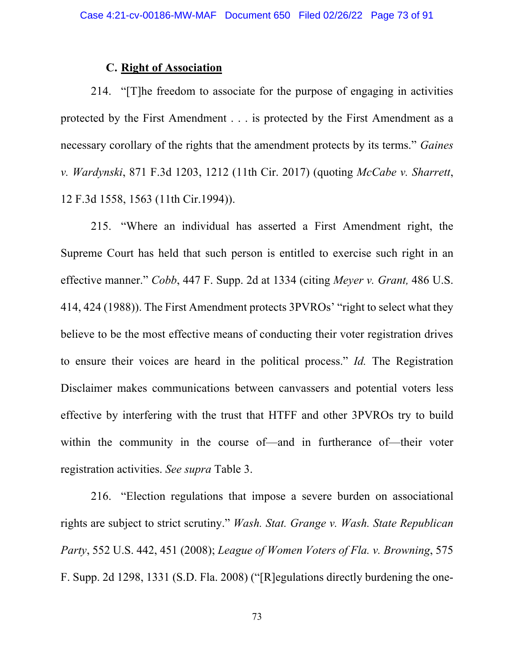### **C. Right of Association**

214. "[T]he freedom to associate for the purpose of engaging in activities protected by the First Amendment . . . is protected by the First Amendment as a necessary corollary of the rights that the amendment protects by its terms." *Gaines v. Wardynski*, 871 F.3d 1203, 1212 (11th Cir. 2017) (quoting *McCabe v. Sharrett*, 12 F.3d 1558, 1563 (11th Cir.1994)).

215. "Where an individual has asserted a First Amendment right, the Supreme Court has held that such person is entitled to exercise such right in an effective manner." *Cobb*, 447 F. Supp. 2d at 1334 (citing *Meyer v. Grant,* 486 U.S. 414, 424 (1988)). The First Amendment protects 3PVROs' "right to select what they believe to be the most effective means of conducting their voter registration drives to ensure their voices are heard in the political process." *Id.* The Registration Disclaimer makes communications between canvassers and potential voters less effective by interfering with the trust that HTFF and other 3PVROs try to build within the community in the course of—and in furtherance of—their voter registration activities. *See supra* Table 3.

216. "Election regulations that impose a severe burden on associational rights are subject to strict scrutiny." *Wash. Stat. Grange v. Wash. State Republican Party*, 552 U.S. 442, 451 (2008); *League of Women Voters of Fla. v. Browning*, 575 F. Supp. 2d 1298, 1331 (S.D. Fla. 2008) ("[R]egulations directly burdening the one-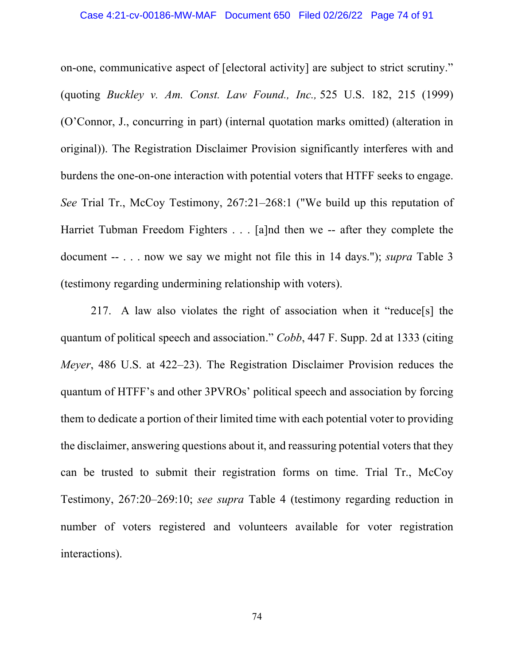on-one, communicative aspect of [electoral activity] are subject to strict scrutiny." (quoting *Buckley v. Am. Const. Law Found., Inc.,* 525 U.S. 182, 215 (1999) (O'Connor, J., concurring in part) (internal quotation marks omitted) (alteration in original)). The Registration Disclaimer Provision significantly interferes with and burdens the one-on-one interaction with potential voters that HTFF seeks to engage. *See* Trial Tr., McCoy Testimony, 267:21–268:1 ("We build up this reputation of Harriet Tubman Freedom Fighters . . . [a]nd then we -- after they complete the document -- . . . now we say we might not file this in 14 days."); *supra* Table 3 (testimony regarding undermining relationship with voters).

217. A law also violates the right of association when it "reduce[s] the quantum of political speech and association." *Cobb*, 447 F. Supp. 2d at 1333 (citing *Meyer*, 486 U.S. at 422–23). The Registration Disclaimer Provision reduces the quantum of HTFF's and other 3PVROs' political speech and association by forcing them to dedicate a portion of their limited time with each potential voter to providing the disclaimer, answering questions about it, and reassuring potential voters that they can be trusted to submit their registration forms on time. Trial Tr., McCoy Testimony, 267:20–269:10; *see supra* Table 4 (testimony regarding reduction in number of voters registered and volunteers available for voter registration interactions).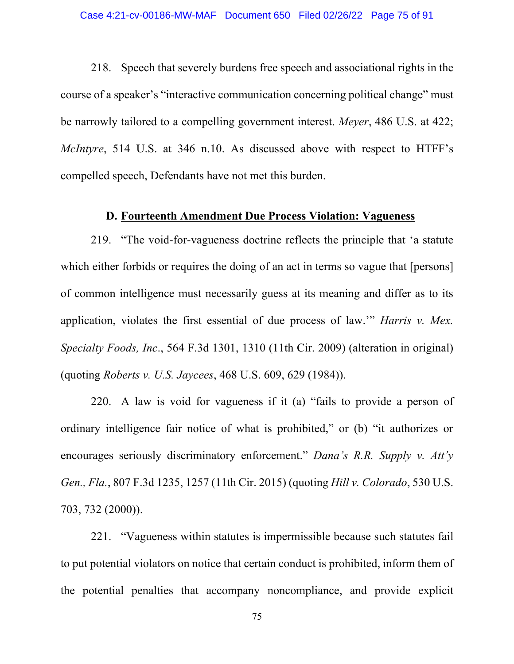218. Speech that severely burdens free speech and associational rights in the course of a speaker's "interactive communication concerning political change" must be narrowly tailored to a compelling government interest. *Meyer*, 486 U.S. at 422; *McIntyre*, 514 U.S. at 346 n.10. As discussed above with respect to HTFF's compelled speech, Defendants have not met this burden.

### **D. Fourteenth Amendment Due Process Violation: Vagueness**

219. "The void-for-vagueness doctrine reflects the principle that 'a statute which either forbids or requires the doing of an act in terms so vague that [persons] of common intelligence must necessarily guess at its meaning and differ as to its application, violates the first essential of due process of law.'" *Harris v. Mex. Specialty Foods, Inc*., 564 F.3d 1301, 1310 (11th Cir. 2009) (alteration in original) (quoting *Roberts v. U.S. Jaycees*, 468 U.S. 609, 629 (1984)).

220. A law is void for vagueness if it (a) "fails to provide a person of ordinary intelligence fair notice of what is prohibited," or (b) "it authorizes or encourages seriously discriminatory enforcement." *Dana's R.R. Supply v. Att'y Gen., Fla.*, 807 F.3d 1235, 1257 (11th Cir. 2015) (quoting *Hill v. Colorado*, 530 U.S. 703, 732 (2000)).

221. "Vagueness within statutes is impermissible because such statutes fail to put potential violators on notice that certain conduct is prohibited, inform them of the potential penalties that accompany noncompliance, and provide explicit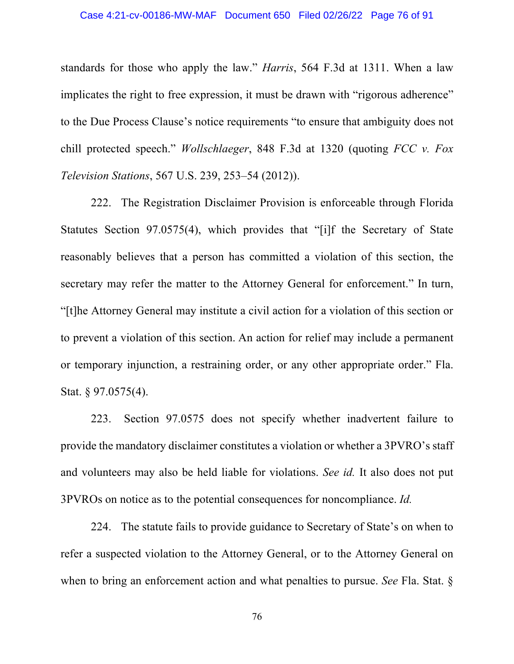standards for those who apply the law." *Harris*, 564 F.3d at 1311. When a law implicates the right to free expression, it must be drawn with "rigorous adherence" to the Due Process Clause's notice requirements "to ensure that ambiguity does not chill protected speech." *Wollschlaeger*, 848 F.3d at 1320 (quoting *FCC v. Fox Television Stations*, 567 U.S. 239, 253–54 (2012)).

222. The Registration Disclaimer Provision is enforceable through Florida Statutes Section 97.0575(4), which provides that "[i]f the Secretary of State reasonably believes that a person has committed a violation of this section, the secretary may refer the matter to the Attorney General for enforcement." In turn, "[t]he Attorney General may institute a civil action for a violation of this section or to prevent a violation of this section. An action for relief may include a permanent or temporary injunction, a restraining order, or any other appropriate order." Fla. Stat. § 97.0575(4).

223. Section 97.0575 does not specify whether inadvertent failure to provide the mandatory disclaimer constitutes a violation or whether a 3PVRO's staff and volunteers may also be held liable for violations. *See id.* It also does not put 3PVROs on notice as to the potential consequences for noncompliance. *Id.*

224. The statute fails to provide guidance to Secretary of State's on when to refer a suspected violation to the Attorney General, or to the Attorney General on when to bring an enforcement action and what penalties to pursue. *See* Fla. Stat. §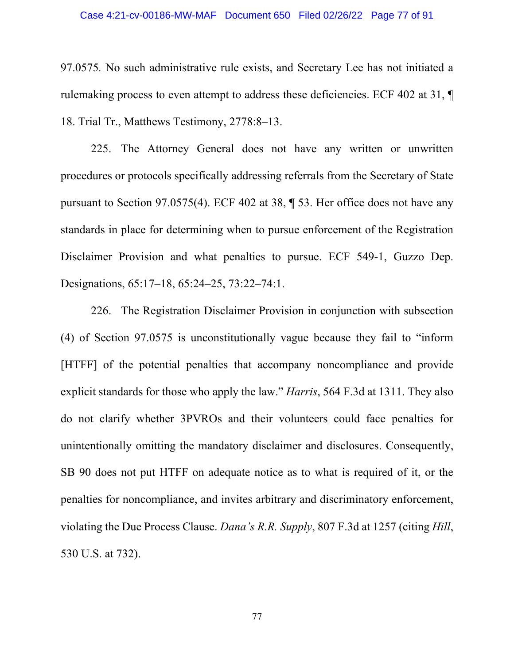97.0575*.* No such administrative rule exists, and Secretary Lee has not initiated a rulemaking process to even attempt to address these deficiencies. ECF 402 at 31, ¶ 18. Trial Tr., Matthews Testimony, 2778:8–13.

225. The Attorney General does not have any written or unwritten procedures or protocols specifically addressing referrals from the Secretary of State pursuant to Section 97.0575(4). ECF 402 at 38, ¶ 53. Her office does not have any standards in place for determining when to pursue enforcement of the Registration Disclaimer Provision and what penalties to pursue. ECF 549-1, Guzzo Dep. Designations, 65:17–18, 65:24–25, 73:22–74:1.

226. The Registration Disclaimer Provision in conjunction with subsection (4) of Section 97.0575 is unconstitutionally vague because they fail to "inform [HTFF] of the potential penalties that accompany noncompliance and provide explicit standards for those who apply the law." *Harris*, 564 F.3d at 1311. They also do not clarify whether 3PVROs and their volunteers could face penalties for unintentionally omitting the mandatory disclaimer and disclosures. Consequently, SB 90 does not put HTFF on adequate notice as to what is required of it, or the penalties for noncompliance, and invites arbitrary and discriminatory enforcement, violating the Due Process Clause. *Dana's R.R. Supply*, 807 F.3d at 1257 (citing *Hill*, 530 U.S. at 732).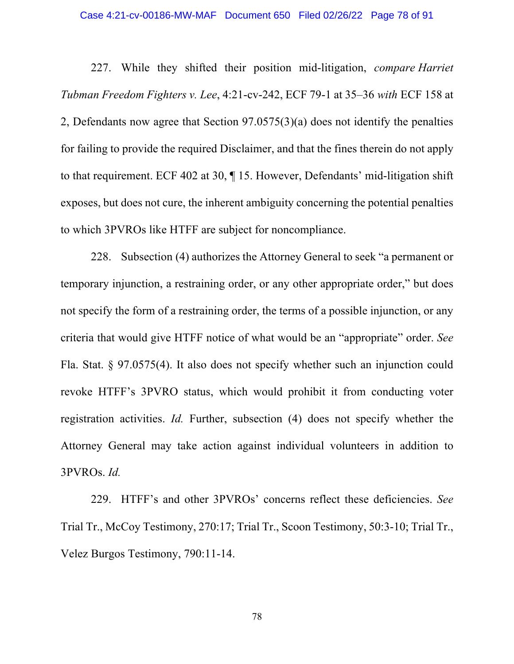#### Case 4:21-cv-00186-MW-MAF Document 650 Filed 02/26/22 Page 78 of 91

227. While they shifted their position mid-litigation, *compare Harriet Tubman Freedom Fighters v. Lee*, 4:21-cv-242, ECF 79-1 at 35–36 *with* ECF 158 at 2, Defendants now agree that Section 97.0575(3)(a) does not identify the penalties for failing to provide the required Disclaimer, and that the fines therein do not apply to that requirement. ECF 402 at 30, ¶ 15. However, Defendants' mid-litigation shift exposes, but does not cure, the inherent ambiguity concerning the potential penalties to which 3PVROs like HTFF are subject for noncompliance.

228. Subsection (4) authorizes the Attorney General to seek "a permanent or temporary injunction, a restraining order, or any other appropriate order," but does not specify the form of a restraining order, the terms of a possible injunction, or any criteria that would give HTFF notice of what would be an "appropriate" order. *See*  Fla. Stat. § 97.0575(4). It also does not specify whether such an injunction could revoke HTFF's 3PVRO status, which would prohibit it from conducting voter registration activities. *Id.* Further, subsection (4) does not specify whether the Attorney General may take action against individual volunteers in addition to 3PVROs. *Id.*

229. HTFF's and other 3PVROs' concerns reflect these deficiencies. *See*  Trial Tr., McCoy Testimony, 270:17; Trial Tr., Scoon Testimony, 50:3-10; Trial Tr., Velez Burgos Testimony, 790:11-14.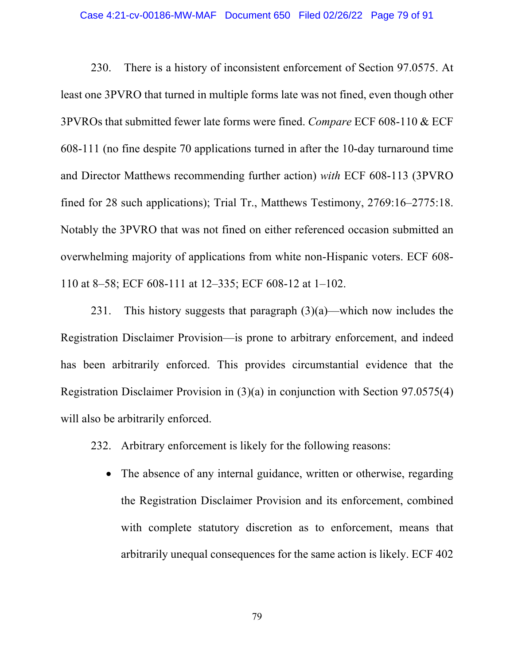#### Case 4:21-cv-00186-MW-MAF Document 650 Filed 02/26/22 Page 79 of 91

230. There is a history of inconsistent enforcement of Section 97.0575. At least one 3PVRO that turned in multiple forms late was not fined, even though other 3PVROs that submitted fewer late forms were fined. *Compare* ECF 608-110 & ECF 608-111 (no fine despite 70 applications turned in after the 10-day turnaround time and Director Matthews recommending further action) *with* ECF 608-113 (3PVRO fined for 28 such applications); Trial Tr., Matthews Testimony, 2769:16–2775:18. Notably the 3PVRO that was not fined on either referenced occasion submitted an overwhelming majority of applications from white non-Hispanic voters. ECF 608- 110 at 8–58; ECF 608-111 at 12–335; ECF 608-12 at 1–102.

231. This history suggests that paragraph  $(3)(a)$ —which now includes the Registration Disclaimer Provision—is prone to arbitrary enforcement, and indeed has been arbitrarily enforced. This provides circumstantial evidence that the Registration Disclaimer Provision in (3)(a) in conjunction with Section 97.0575(4) will also be arbitrarily enforced.

232. Arbitrary enforcement is likely for the following reasons:

• The absence of any internal guidance, written or otherwise, regarding the Registration Disclaimer Provision and its enforcement, combined with complete statutory discretion as to enforcement, means that arbitrarily unequal consequences for the same action is likely. ECF 402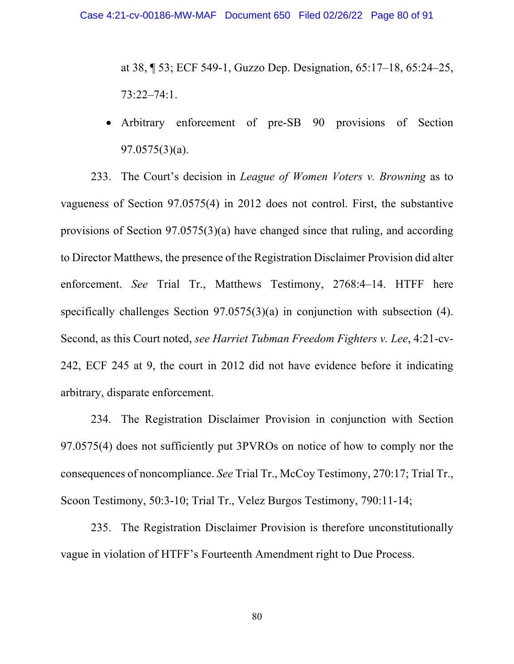at 38, ¶ 53; ECF 549-1, Guzzo Dep. Designation, 65:17–18, 65:24–25, 73:22–74:1.

• Arbitrary enforcement of pre-SB 90 provisions of Section 97.0575(3)(a).

233. The Court's decision in *League of Women Voters v. Browning* as to vagueness of Section 97.0575(4) in 2012 does not control. First, the substantive provisions of Section 97.0575(3)(a) have changed since that ruling, and according to Director Matthews, the presence of the Registration Disclaimer Provision did alter enforcement. *See* Trial Tr., Matthews Testimony, 2768:4–14. HTFF here specifically challenges Section 97.0575(3)(a) in conjunction with subsection (4). Second, as this Court noted, *see Harriet Tubman Freedom Fighters v. Lee*, 4:21-cv-242, ECF 245 at 9, the court in 2012 did not have evidence before it indicating arbitrary, disparate enforcement.

234. The Registration Disclaimer Provision in conjunction with Section 97.0575(4) does not sufficiently put 3PVROs on notice of how to comply nor the consequences of noncompliance. *See* Trial Tr., McCoy Testimony, 270:17; Trial Tr., Scoon Testimony, 50:3-10; Trial Tr., Velez Burgos Testimony, 790:11-14;

235. The Registration Disclaimer Provision is therefore unconstitutionally vague in violation of HTFF's Fourteenth Amendment right to Due Process.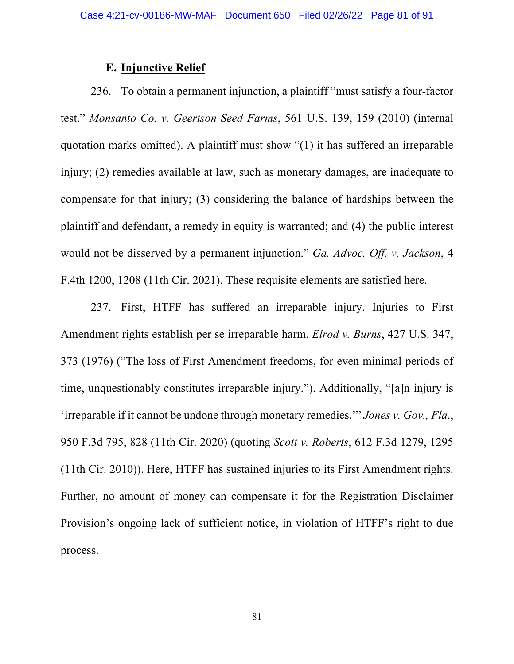## **E. Injunctive Relief**

236. To obtain a permanent injunction, a plaintiff "must satisfy a four-factor test." *Monsanto Co. v. Geertson Seed Farms*, 561 U.S. 139, 159 (2010) (internal quotation marks omitted). A plaintiff must show "(1) it has suffered an irreparable injury; (2) remedies available at law, such as monetary damages, are inadequate to compensate for that injury; (3) considering the balance of hardships between the plaintiff and defendant, a remedy in equity is warranted; and (4) the public interest would not be disserved by a permanent injunction." *Ga. Advoc. Off. v. Jackson*, 4 F.4th 1200, 1208 (11th Cir. 2021). These requisite elements are satisfied here.

237. First, HTFF has suffered an irreparable injury. Injuries to First Amendment rights establish per se irreparable harm. *Elrod v. Burns*, 427 U.S. 347, 373 (1976) ("The loss of First Amendment freedoms, for even minimal periods of time, unquestionably constitutes irreparable injury."). Additionally, "[a]n injury is 'irreparable if it cannot be undone through monetary remedies.'" *Jones v. Gov., Fla*., 950 F.3d 795, 828 (11th Cir. 2020) (quoting *Scott v. Roberts*, 612 F.3d 1279, 1295 (11th Cir. 2010)). Here, HTFF has sustained injuries to its First Amendment rights. Further, no amount of money can compensate it for the Registration Disclaimer Provision's ongoing lack of sufficient notice, in violation of HTFF's right to due process.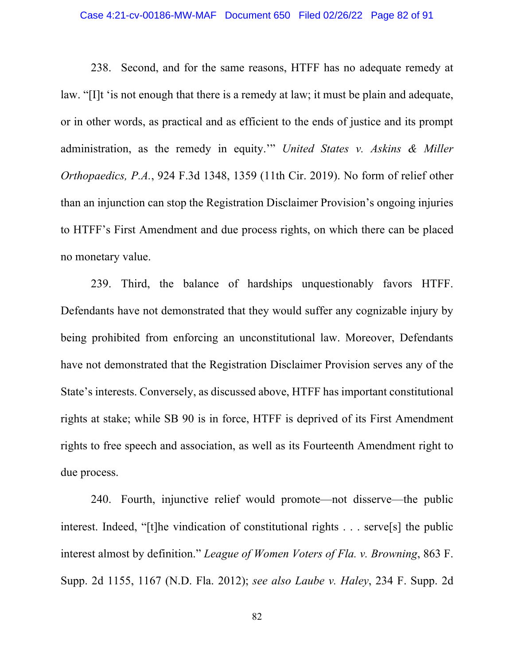#### Case 4:21-cv-00186-MW-MAF Document 650 Filed 02/26/22 Page 82 of 91

238. Second, and for the same reasons, HTFF has no adequate remedy at law. "[I]t 'is not enough that there is a remedy at law; it must be plain and adequate, or in other words, as practical and as efficient to the ends of justice and its prompt administration, as the remedy in equity.'" *United States v. Askins & Miller Orthopaedics, P.A.*, 924 F.3d 1348, 1359 (11th Cir. 2019). No form of relief other than an injunction can stop the Registration Disclaimer Provision's ongoing injuries to HTFF's First Amendment and due process rights, on which there can be placed no monetary value.

239. Third, the balance of hardships unquestionably favors HTFF. Defendants have not demonstrated that they would suffer any cognizable injury by being prohibited from enforcing an unconstitutional law. Moreover, Defendants have not demonstrated that the Registration Disclaimer Provision serves any of the State's interests. Conversely, as discussed above, HTFF has important constitutional rights at stake; while SB 90 is in force, HTFF is deprived of its First Amendment rights to free speech and association, as well as its Fourteenth Amendment right to due process.

240. Fourth, injunctive relief would promote—not disserve—the public interest. Indeed, "[t]he vindication of constitutional rights . . . serve[s] the public interest almost by definition." *League of Women Voters of Fla. v. Browning*, 863 F. Supp. 2d 1155, 1167 (N.D. Fla. 2012); *see also Laube v. Haley*, 234 F. Supp. 2d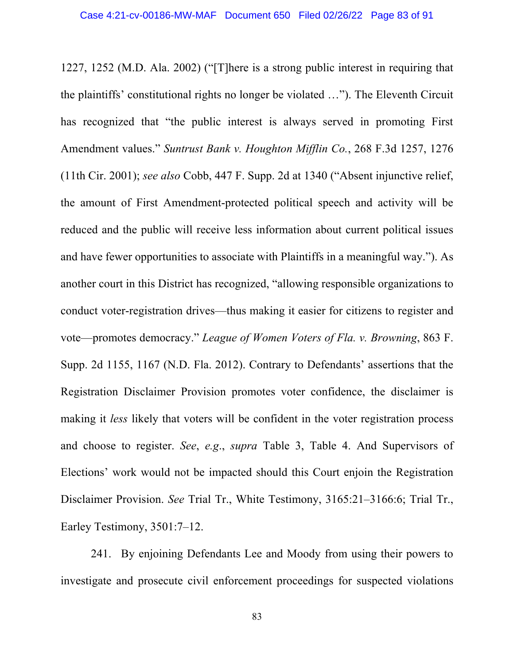1227, 1252 (M.D. Ala. 2002) ("[T]here is a strong public interest in requiring that the plaintiffs' constitutional rights no longer be violated …"). The Eleventh Circuit has recognized that "the public interest is always served in promoting First Amendment values." *Suntrust Bank v. Houghton Mifflin Co.*, 268 F.3d 1257, 1276 (11th Cir. 2001); *see also* Cobb, 447 F. Supp. 2d at 1340 ("Absent injunctive relief, the amount of First Amendment-protected political speech and activity will be reduced and the public will receive less information about current political issues and have fewer opportunities to associate with Plaintiffs in a meaningful way."). As another court in this District has recognized, "allowing responsible organizations to conduct voter-registration drives—thus making it easier for citizens to register and vote—promotes democracy." *League of Women Voters of Fla. v. Browning*, 863 F. Supp. 2d 1155, 1167 (N.D. Fla. 2012). Contrary to Defendants' assertions that the Registration Disclaimer Provision promotes voter confidence, the disclaimer is making it *less* likely that voters will be confident in the voter registration process and choose to register. *See*, *e.g*., *supra* Table 3, Table 4. And Supervisors of Elections' work would not be impacted should this Court enjoin the Registration Disclaimer Provision. *See* Trial Tr., White Testimony, 3165:21–3166:6; Trial Tr., Earley Testimony, 3501:7–12.

241. By enjoining Defendants Lee and Moody from using their powers to investigate and prosecute civil enforcement proceedings for suspected violations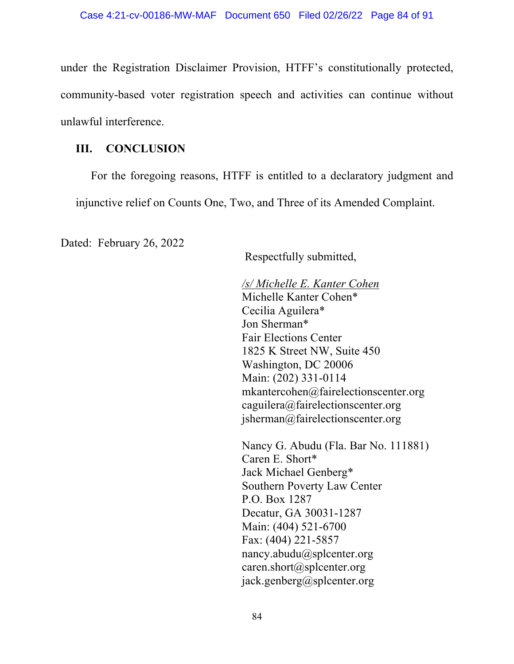under the Registration Disclaimer Provision, HTFF's constitutionally protected, community-based voter registration speech and activities can continue without unlawful interference.

# **III. CONCLUSION**

For the foregoing reasons, HTFF is entitled to a declaratory judgment and injunctive relief on Counts One, Two, and Three of its Amended Complaint.

Dated: February 26, 2022   

Respectfully submitted,

*/s/ Michelle E. Kanter Cohen* Michelle Kanter Cohen\* Cecilia Aguilera\* Jon Sherman\*   Fair Elections Center  1825 K Street NW, Suite 450  Washington, DC 20006  Main: (202) 331-0114  mkantercohen@fairelectionscenter.org caguilera@fairelectionscenter.org jsherman@fairelectionscenter.org

Nancy G. Abudu (Fla. Bar No. 111881)  Caren E. Short\* Jack Michael Genberg\* Southern Poverty Law Center  P.O. Box 1287  Decatur, GA 30031-1287  Main: (404) 521-6700  Fax: (404) 221-5857  nancy.abudu@splcenter.org caren.short@splcenter.org jack.genberg@splcenter.org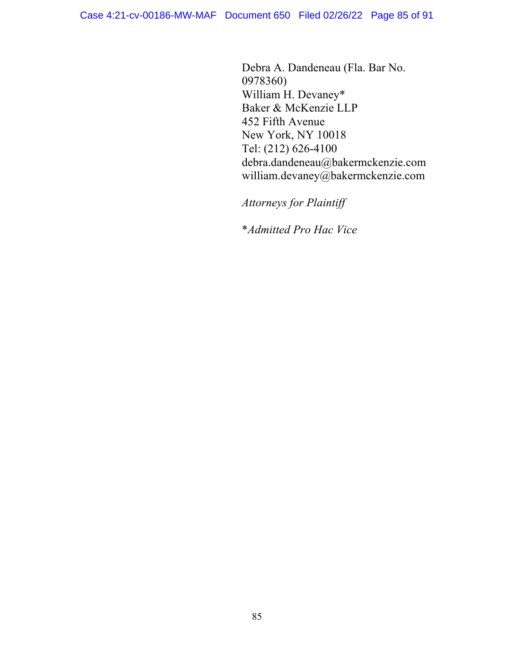Debra A. Dandeneau (Fla. Bar No. 0978360) William H. Devaney\* Baker & McKenzie LLP 452 Fifth Avenue New York, NY 10018 Tel: (212) 626-4100 debra.dandeneau@bakermckenzie.com william.devaney@bakermckenzie.com

*Attorneys for Plaintiff*

\**Admitted Pro Hac Vice*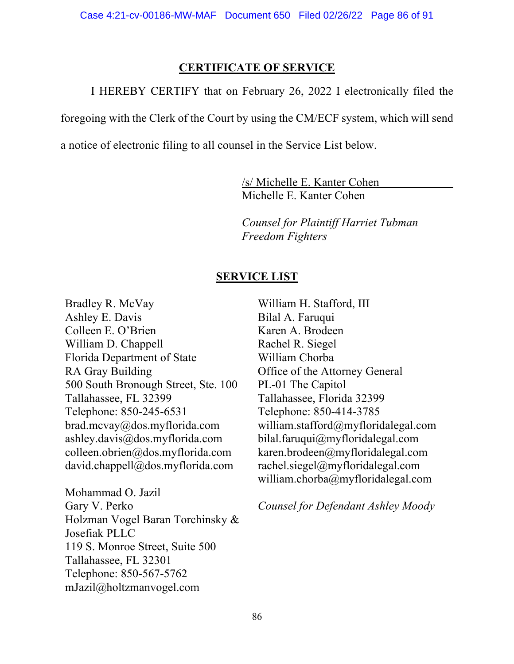### **CERTIFICATE OF SERVICE**

I HEREBY CERTIFY that on February 26, 2022 I electronically filed the

foregoing with the Clerk of the Court by using the CM/ECF system, which will send

a notice of electronic filing to all counsel in the Service List below.

/s/ Michelle E. Kanter Cohen Michelle E. Kanter Cohen

*Counsel for Plaintiff Harriet Tubman Freedom Fighters*

### **SERVICE LIST**

Bradley R. McVay Ashley E. Davis Colleen E. O'Brien William D. Chappell Florida Department of State RA Gray Building 500 South Bronough Street, Ste. 100 Tallahassee, FL 32399 Telephone: 850-245-6531 brad.mcvay@dos.myflorida.com ashley.davis@dos.myflorida.com colleen.obrien@dos.myflorida.com david.chappell@dos.myflorida.com

Mohammad O. Jazil Gary V. Perko Holzman Vogel Baran Torchinsky & Josefiak PLLC 119 S. Monroe Street, Suite 500 Tallahassee, FL 32301 Telephone: 850-567-5762 mJazil@holtzmanvogel.com

William H. Stafford, III Bilal A. Faruqui Karen A. Brodeen Rachel R. Siegel William Chorba Office of the Attorney General PL-01 The Capitol Tallahassee, Florida 32399 Telephone: 850-414-3785 william.stafford@myfloridalegal.com bilal.faruqui@myfloridalegal.com karen.brodeen@myfloridalegal.com rachel.siegel@myfloridalegal.com william.chorba@myfloridalegal.com

*Counsel for Defendant Ashley Moody*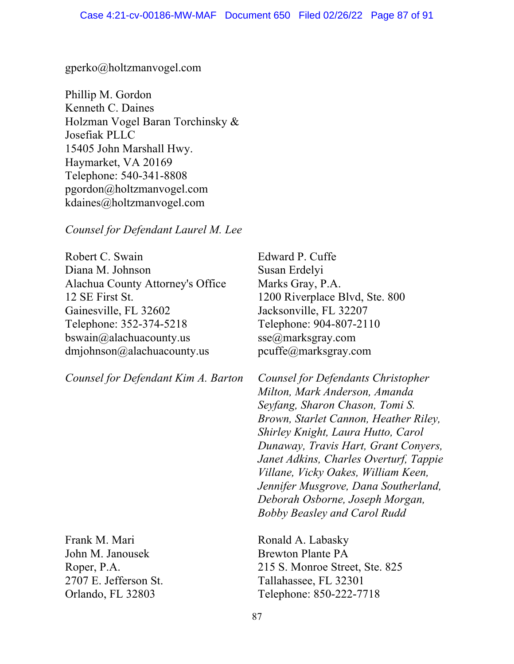#### gperko@holtzmanvogel.com

Phillip M. Gordon Kenneth C. Daines Holzman Vogel Baran Torchinsky & Josefiak PLLC 15405 John Marshall Hwy. Haymarket, VA 20169 Telephone: 540-341-8808 pgordon@holtzmanvogel.com kdaines@holtzmanvogel.com

*Counsel for Defendant Laurel M. Lee*

Robert C. Swain Diana M. Johnson Alachua County Attorney's Office 12 SE First St. Gainesville, FL 32602 Telephone: 352-374-5218 bswain@alachuacounty.us dmjohnson@alachuacounty.us

*Counsel for Defendant Kim A. Barton*

Frank M. Mari John M. Janousek Roper, P.A. 2707 E. Jefferson St. Orlando, FL 32803

Edward P. Cuffe Susan Erdelyi Marks Gray, P.A. 1200 Riverplace Blvd, Ste. 800 Jacksonville, FL 32207 Telephone: 904-807-2110 sse@marksgray.com pcuffe@marksgray.com

*Counsel for Defendants Christopher Milton, Mark Anderson, Amanda Seyfang, Sharon Chason, Tomi S. Brown, Starlet Cannon, Heather Riley, Shirley Knight, Laura Hutto, Carol Dunaway, Travis Hart, Grant Conyers, Janet Adkins, Charles Overturf, Tappie Villane, Vicky Oakes, William Keen, Jennifer Musgrove, Dana Southerland, Deborah Osborne, Joseph Morgan, Bobby Beasley and Carol Rudd*

Ronald A. Labasky Brewton Plante PA 215 S. Monroe Street, Ste. 825 Tallahassee, FL 32301 Telephone: 850-222-7718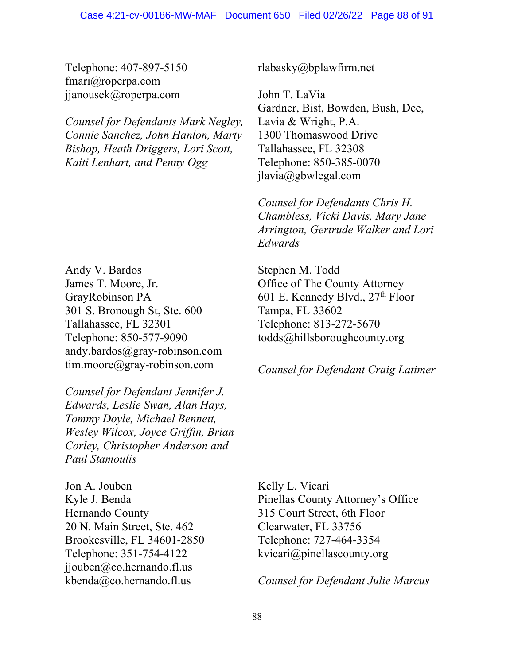Telephone: 407-897-5150 fmari@roperpa.com jjanousek@roperpa.com

*Counsel for Defendants Mark Negley, Connie Sanchez, John Hanlon, Marty Bishop, Heath Driggers, Lori Scott, Kaiti Lenhart, and Penny Ogg*

Andy V. Bardos James T. Moore, Jr. GrayRobinson PA 301 S. Bronough St, Ste. 600 Tallahassee, FL 32301 Telephone: 850-577-9090 andy.bardos@gray-robinson.com tim.moore@gray-robinson.com

*Counsel for Defendant Jennifer J. Edwards, Leslie Swan, Alan Hays, Tommy Doyle, Michael Bennett, Wesley Wilcox, Joyce Griffin, Brian Corley, Christopher Anderson and Paul Stamoulis*

Jon A. Jouben Kyle J. Benda Hernando County 20 N. Main Street, Ste. 462 Brookesville, FL 34601-2850 Telephone: 351-754-4122 jjouben@co.hernando.fl.us kbenda@co.hernando.fl.us

rlabasky@bplawfirm.net

John T. LaVia Gardner, Bist, Bowden, Bush, Dee, Lavia & Wright, P.A. 1300 Thomaswood Drive Tallahassee, FL 32308 Telephone: 850-385-0070 jlavia@gbwlegal.com

*Counsel for Defendants Chris H. Chambless, Vicki Davis, Mary Jane Arrington, Gertrude Walker and Lori Edwards*

Stephen M. Todd Office of The County Attorney 601 E. Kennedy Blvd., 27<sup>th</sup> Floor Tampa, FL 33602 Telephone: 813-272-5670 todds@hillsboroughcounty.org

*Counsel for Defendant Craig Latimer*

Kelly L. Vicari Pinellas County Attorney's Office 315 Court Street, 6th Floor Clearwater, FL 33756 Telephone: 727-464-3354 kvicari@pinellascounty.org

*Counsel for Defendant Julie Marcus*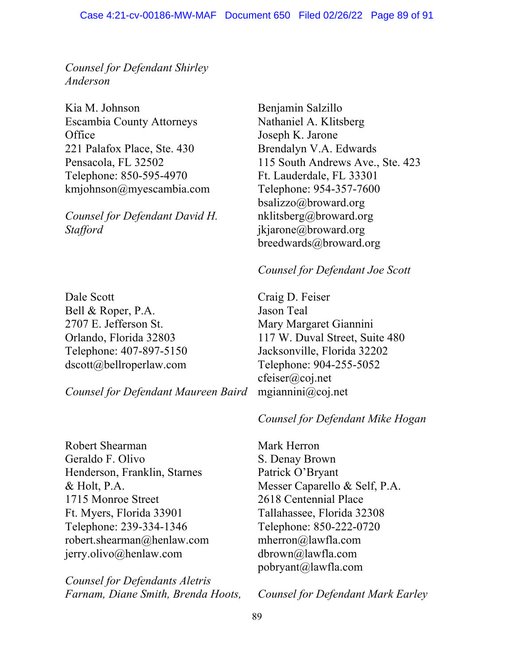*Counsel for Defendant Shirley Anderson*

Kia M. Johnson Escambia County Attorneys **Office** 221 Palafox Place, Ste. 430 Pensacola, FL 32502 Telephone: 850-595-4970 kmjohnson@myescambia.com

*Counsel for Defendant David H. Stafford*

Dale Scott Bell & Roper, P.A. 2707 E. Jefferson St. Orlando, Florida 32803 Telephone: 407-897-5150 dscott@bellroperlaw.com

*Counsel for Defendant Maureen Baird*

Robert Shearman Geraldo F. Olivo Henderson, Franklin, Starnes & Holt, P.A. 1715 Monroe Street Ft. Myers, Florida 33901 Telephone: 239-334-1346 robert.shearman@henlaw.com jerry.olivo@henlaw.com

*Counsel for Defendants Aletris Farnam, Diane Smith, Brenda Hoots,*  Benjamin Salzillo Nathaniel A. Klitsberg Joseph K. Jarone Brendalyn V.A. Edwards 115 South Andrews Ave., Ste. 423 Ft. Lauderdale, FL 33301 Telephone: 954-357-7600 bsalizzo@broward.org nklitsberg@broward.org jkjarone@broward.org breedwards@broward.org

## *Counsel for Defendant Joe Scott*

Craig D. Feiser Jason Teal Mary Margaret Giannini 117 W. Duval Street, Suite 480 Jacksonville, Florida 32202 Telephone: 904-255-5052 cfeiser@coj.net mgiannini@coj.net

# *Counsel for Defendant Mike Hogan*

Mark Herron S. Denay Brown Patrick O'Bryant Messer Caparello & Self, P.A. 2618 Centennial Place Tallahassee, Florida 32308 Telephone: 850-222-0720 mherron@lawfla.com dbrown@lawfla.com pobryant@lawfla.com

*Counsel for Defendant Mark Earley*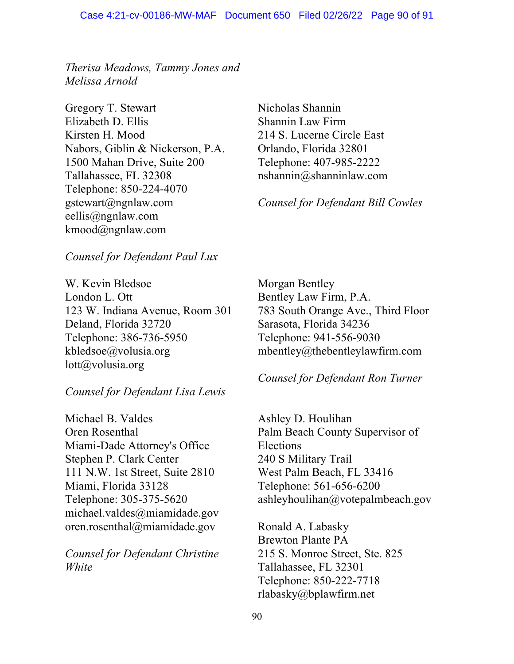*Therisa Meadows, Tammy Jones and Melissa Arnold*

Gregory T. Stewart Elizabeth D. Ellis Kirsten H. Mood Nabors, Giblin & Nickerson, P.A. 1500 Mahan Drive, Suite 200 Tallahassee, FL 32308 Telephone: 850-224-4070 gstewart@ngnlaw.com eellis@ngnlaw.com kmood@ngnlaw.com

Nicholas Shannin Shannin Law Firm 214 S. Lucerne Circle East Orlando, Florida 32801 Telephone: 407-985-2222 nshannin@shanninlaw.com

*Counsel for Defendant Bill Cowles*

### *Counsel for Defendant Paul Lux*

W. Kevin Bledsoe London L. Ott 123 W. Indiana Avenue, Room 301 Deland, Florida 32720 Telephone: 386-736-5950 kbledsoe@volusia.org lott@volusia.org

### *Counsel for Defendant Lisa Lewis*

Michael B. Valdes Oren Rosenthal Miami-Dade Attorney's Office Stephen P. Clark Center 111 N.W. 1st Street, Suite 2810 Miami, Florida 33128 Telephone: 305-375-5620 michael.valdes@miamidade.gov oren.rosenthal@miamidade.gov

*Counsel for Defendant Christine White*

Morgan Bentley Bentley Law Firm, P.A. 783 South Orange Ave., Third Floor Sarasota, Florida 34236 Telephone: 941-556-9030 mbentley@thebentleylawfirm.com

### *Counsel for Defendant Ron Turner*

Ashley D. Houlihan Palm Beach County Supervisor of Elections 240 S Military Trail West Palm Beach, FL 33416 Telephone: 561-656-6200 ashleyhoulihan@votepalmbeach.gov

Ronald A. Labasky Brewton Plante PA 215 S. Monroe Street, Ste. 825 Tallahassee, FL 32301 Telephone: 850-222-7718 rlabasky@bplawfirm.net